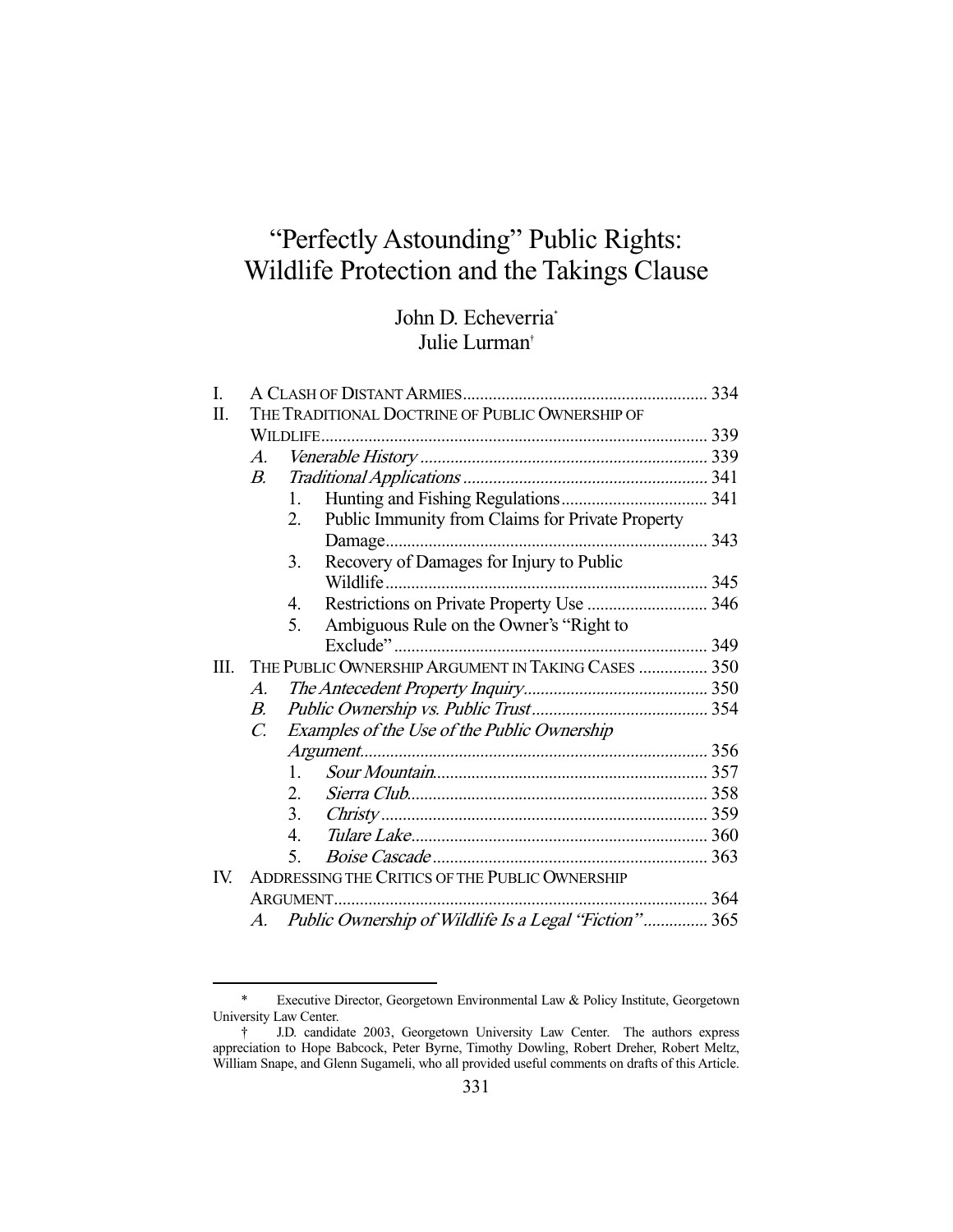# "Perfectly Astounding" Public Rights: Wildlife Protection and the Takings Clause

## John D. Echeverria\* Julie Lurman†

| I.   |                                                    |              |                                                       |  |
|------|----------------------------------------------------|--------------|-------------------------------------------------------|--|
| Π.   | THE TRADITIONAL DOCTRINE OF PUBLIC OWNERSHIP OF    |              |                                                       |  |
|      |                                                    |              |                                                       |  |
|      | А.                                                 |              |                                                       |  |
|      | <i>B</i> .                                         |              |                                                       |  |
|      |                                                    | $1_{-}$      |                                                       |  |
|      |                                                    | 2.           | Public Immunity from Claims for Private Property      |  |
|      |                                                    |              |                                                       |  |
|      |                                                    | 3.           | Recovery of Damages for Injury to Public              |  |
|      |                                                    |              |                                                       |  |
|      |                                                    | 4.           | Restrictions on Private Property Use  346             |  |
|      |                                                    | 5.           | Ambiguous Rule on the Owner's "Right to               |  |
|      |                                                    |              |                                                       |  |
| III. | THE PUBLIC OWNERSHIP ARGUMENT IN TAKING CASES  350 |              |                                                       |  |
|      | $A_{\cdot}$                                        |              |                                                       |  |
|      | $B_{\cdot}$                                        |              |                                                       |  |
|      | $C_{\cdot}$                                        |              | Examples of the Use of the Public Ownership           |  |
|      |                                                    |              |                                                       |  |
|      |                                                    | $\mathbf{1}$ |                                                       |  |
|      |                                                    | 2.           |                                                       |  |
|      |                                                    | 3.           |                                                       |  |
|      |                                                    | 4.           |                                                       |  |
|      |                                                    | 5.           |                                                       |  |
| IV.  | ADDRESSING THE CRITICS OF THE PUBLIC OWNERSHIP     |              |                                                       |  |
|      | ARGUMENT.                                          |              |                                                       |  |
|      | A.                                                 |              | Public Ownership of Wildlife Is a Legal "Fiction" 365 |  |

 <sup>\*</sup> Executive Director, Georgetown Environmental Law & Policy Institute, Georgetown University Law Center.

 <sup>†</sup> J.D. candidate 2003, Georgetown University Law Center. The authors express appreciation to Hope Babcock, Peter Byrne, Timothy Dowling, Robert Dreher, Robert Meltz, William Snape, and Glenn Sugameli, who all provided useful comments on drafts of this Article.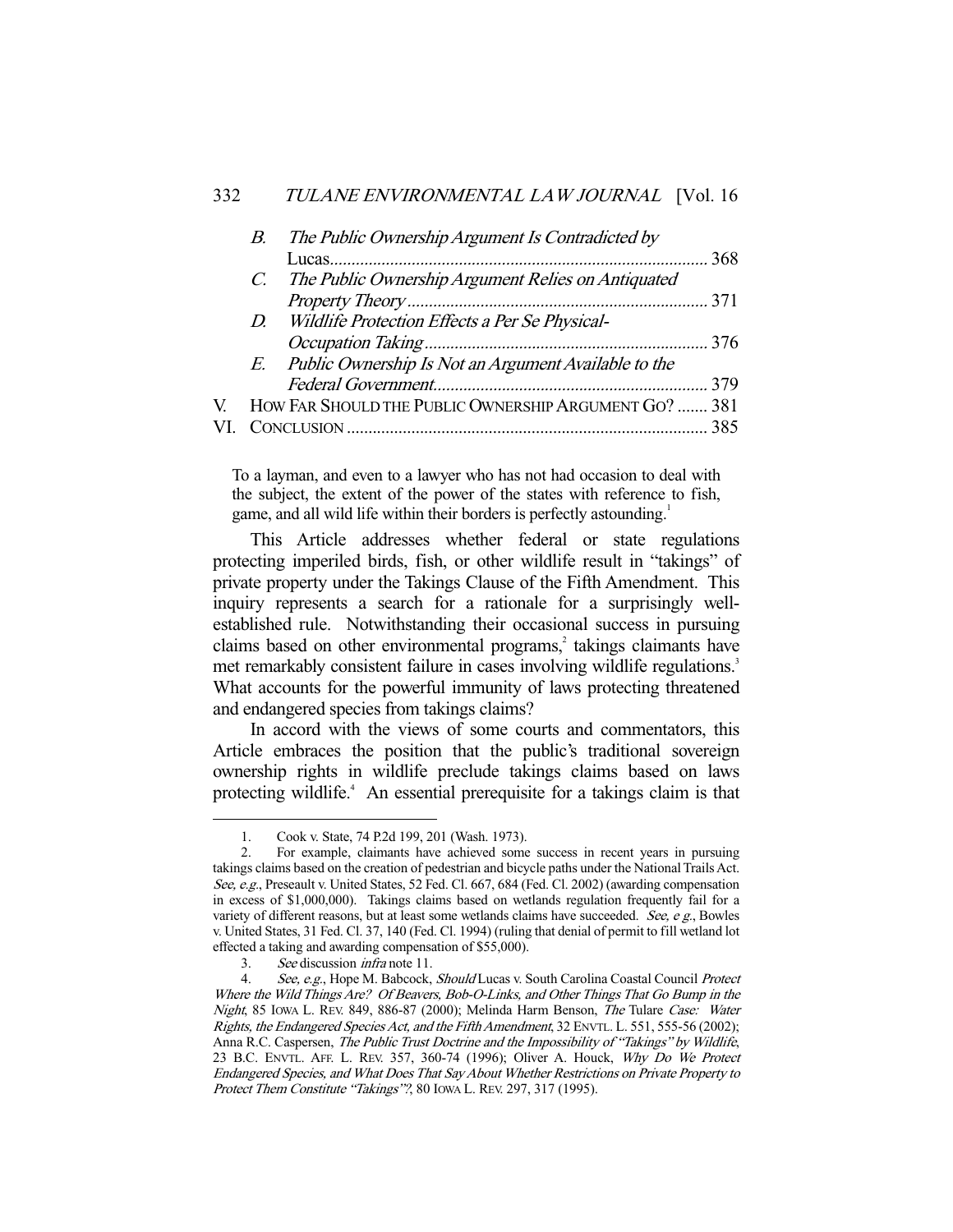|   | В. | The Public Ownership Argument Is Contradicted by        |  |
|---|----|---------------------------------------------------------|--|
|   |    |                                                         |  |
|   |    | C. The Public Ownership Argument Relies on Antiquated   |  |
|   |    |                                                         |  |
|   |    | D. Wildlife Protection Effects a Per Se Physical-       |  |
|   |    |                                                         |  |
|   |    | E. Public Ownership Is Not an Argument Available to the |  |
|   |    |                                                         |  |
| V |    | HOW FAR SHOULD THE PUBLIC OWNERSHIP ARGUMENT GO?  381   |  |
|   |    |                                                         |  |
|   |    |                                                         |  |

To a layman, and even to a lawyer who has not had occasion to deal with the subject, the extent of the power of the states with reference to fish, game, and all wild life within their borders is perfectly astounding.<sup>1</sup>

 This Article addresses whether federal or state regulations protecting imperiled birds, fish, or other wildlife result in "takings" of private property under the Takings Clause of the Fifth Amendment. This inquiry represents a search for a rationale for a surprisingly wellestablished rule. Notwithstanding their occasional success in pursuing claims based on other environmental programs,<sup>2</sup> takings claimants have met remarkably consistent failure in cases involving wildlife regulations.<sup>3</sup> What accounts for the powerful immunity of laws protecting threatened and endangered species from takings claims?

 In accord with the views of some courts and commentators, this Article embraces the position that the public's traditional sovereign ownership rights in wildlife preclude takings claims based on laws protecting wildlife.<sup>4</sup> An essential prerequisite for a takings claim is that

 <sup>1.</sup> Cook v. State, 74 P.2d 199, 201 (Wash. 1973).

 <sup>2.</sup> For example, claimants have achieved some success in recent years in pursuing takings claims based on the creation of pedestrian and bicycle paths under the National Trails Act. See, e.g., Preseault v. United States, 52 Fed. Cl. 667, 684 (Fed. Cl. 2002) (awarding compensation in excess of \$1,000,000). Takings claims based on wetlands regulation frequently fail for a variety of different reasons, but at least some wetlands claims have succeeded. See,  $e \, g$ . Bowles v. United States, 31 Fed. Cl. 37, 140 (Fed. Cl. 1994) (ruling that denial of permit to fill wetland lot effected a taking and awarding compensation of \$55,000).

 <sup>3.</sup> See discussion infra note 11.

<sup>4.</sup> See, e.g., Hope M. Babcock, Should Lucas v. South Carolina Coastal Council Protect Where the Wild Things Are? Of Beavers, Bob-O-Links, and Other Things That Go Bump in the Night, 85 Iowa L. REV. 849, 886-87 (2000); Melinda Harm Benson, The Tulare Case: Water Rights, the Endangered Species Act, and the Fifth Amendment, 32 ENVTL. L. 551, 555-56 (2002); Anna R.C. Caspersen, The Public Trust Doctrine and the Impossibility of "Takings" by Wildlife, 23 B.C. ENVTL. AFF. L. REV. 357, 360-74 (1996); Oliver A. Houck, Why Do We Protect Endangered Species, and What Does That Say About Whether Restrictions on Private Property to Protect Them Constitute "Takings"?, 80 Iowa L. REV. 297, 317 (1995).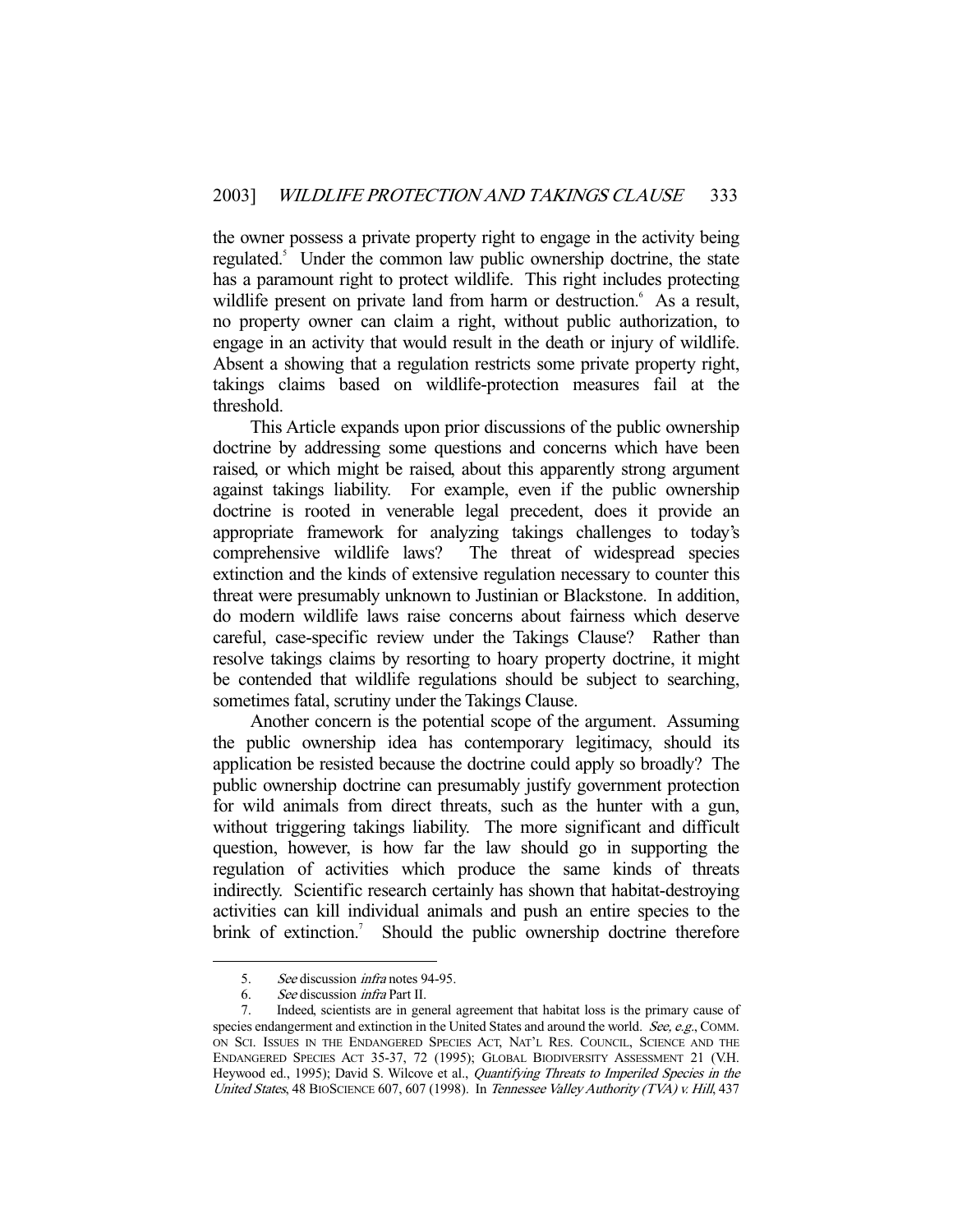the owner possess a private property right to engage in the activity being regulated.<sup>5</sup> Under the common law public ownership doctrine, the state has a paramount right to protect wildlife. This right includes protecting wildlife present on private land from harm or destruction.<sup>6</sup> As a result, no property owner can claim a right, without public authorization, to engage in an activity that would result in the death or injury of wildlife. Absent a showing that a regulation restricts some private property right, takings claims based on wildlife-protection measures fail at the threshold.

 This Article expands upon prior discussions of the public ownership doctrine by addressing some questions and concerns which have been raised, or which might be raised, about this apparently strong argument against takings liability. For example, even if the public ownership doctrine is rooted in venerable legal precedent, does it provide an appropriate framework for analyzing takings challenges to today's comprehensive wildlife laws? The threat of widespread species extinction and the kinds of extensive regulation necessary to counter this threat were presumably unknown to Justinian or Blackstone. In addition, do modern wildlife laws raise concerns about fairness which deserve careful, case-specific review under the Takings Clause? Rather than resolve takings claims by resorting to hoary property doctrine, it might be contended that wildlife regulations should be subject to searching, sometimes fatal, scrutiny under the Takings Clause.

 Another concern is the potential scope of the argument. Assuming the public ownership idea has contemporary legitimacy, should its application be resisted because the doctrine could apply so broadly? The public ownership doctrine can presumably justify government protection for wild animals from direct threats, such as the hunter with a gun, without triggering takings liability. The more significant and difficult question, however, is how far the law should go in supporting the regulation of activities which produce the same kinds of threats indirectly. Scientific research certainly has shown that habitat-destroying activities can kill individual animals and push an entire species to the brink of extinction.<sup>7</sup> Should the public ownership doctrine therefore

 <sup>5.</sup> See discussion infra notes 94-95.

 <sup>6.</sup> See discussion infra Part II.

 <sup>7.</sup> Indeed, scientists are in general agreement that habitat loss is the primary cause of species endangerment and extinction in the United States and around the world. See, e.g., COMM. ON SCI. ISSUES IN THE ENDANGERED SPECIES ACT, NAT'L RES. COUNCIL, SCIENCE AND THE ENDANGERED SPECIES ACT 35-37, 72 (1995); GLOBAL BIODIVERSITY ASSESSMENT 21 (V.H. Heywood ed., 1995); David S. Wilcove et al., Quantifying Threats to Imperiled Species in the United States, 48 BIOSCIENCE 607, 607 (1998). In Tennessee Valley Authority (TVA) v. Hill, 437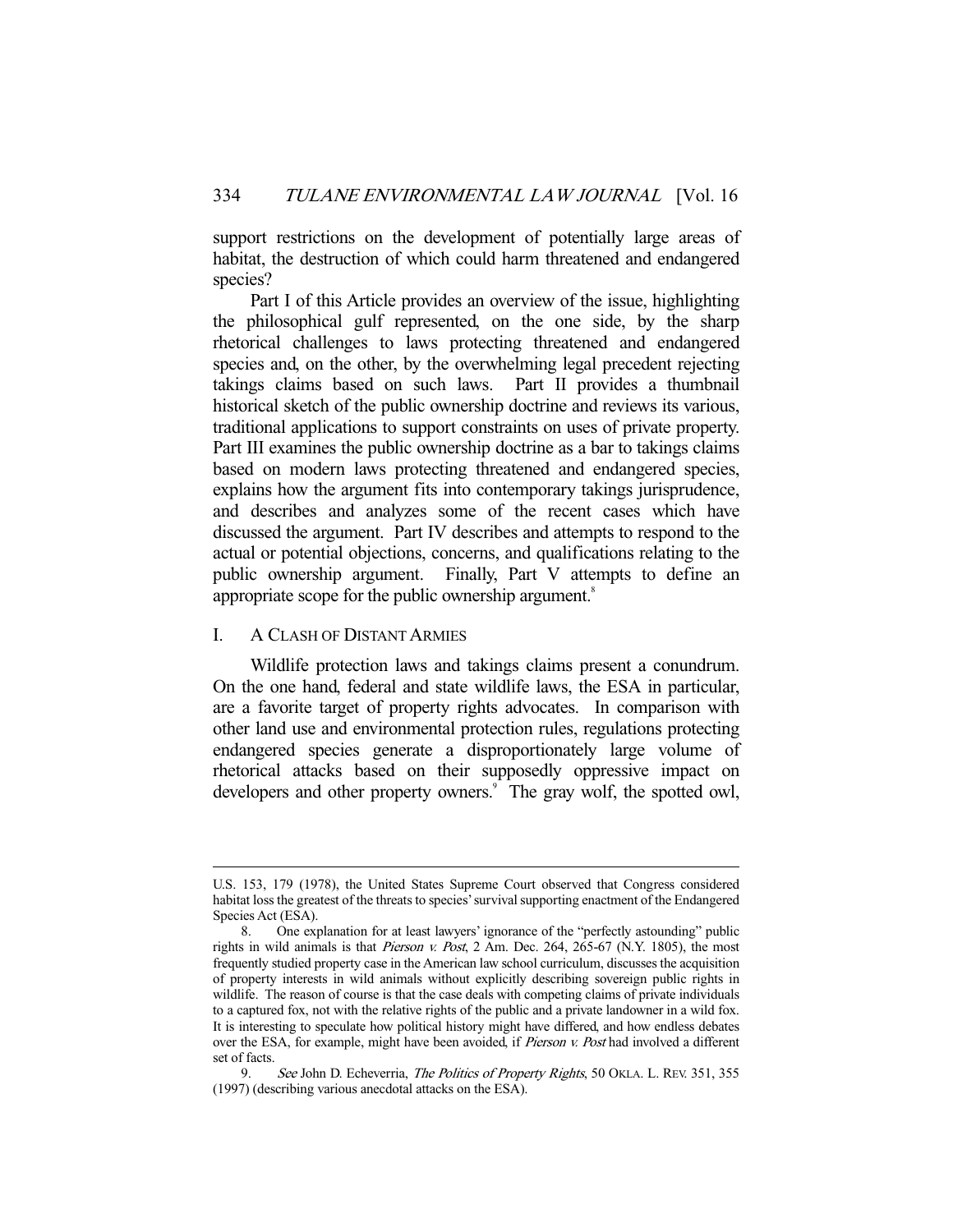support restrictions on the development of potentially large areas of habitat, the destruction of which could harm threatened and endangered species?

 Part I of this Article provides an overview of the issue, highlighting the philosophical gulf represented, on the one side, by the sharp rhetorical challenges to laws protecting threatened and endangered species and, on the other, by the overwhelming legal precedent rejecting takings claims based on such laws. Part II provides a thumbnail historical sketch of the public ownership doctrine and reviews its various, traditional applications to support constraints on uses of private property. Part III examines the public ownership doctrine as a bar to takings claims based on modern laws protecting threatened and endangered species, explains how the argument fits into contemporary takings jurisprudence, and describes and analyzes some of the recent cases which have discussed the argument. Part IV describes and attempts to respond to the actual or potential objections, concerns, and qualifications relating to the public ownership argument. Finally, Part V attempts to define an appropriate scope for the public ownership argument.<sup>8</sup>

## I. A CLASH OF DISTANT ARMIES

-

 Wildlife protection laws and takings claims present a conundrum. On the one hand, federal and state wildlife laws, the ESA in particular, are a favorite target of property rights advocates. In comparison with other land use and environmental protection rules, regulations protecting endangered species generate a disproportionately large volume of rhetorical attacks based on their supposedly oppressive impact on developers and other property owners.<sup>9</sup> The gray wolf, the spotted owl,

U.S. 153, 179 (1978), the United States Supreme Court observed that Congress considered habitat loss the greatest of the threats to species' survival supporting enactment of the Endangered Species Act (ESA).

 <sup>8.</sup> One explanation for at least lawyers' ignorance of the "perfectly astounding" public rights in wild animals is that Pierson v. Post, 2 Am. Dec. 264, 265-67 (N.Y. 1805), the most frequently studied property case in the American law school curriculum, discusses the acquisition of property interests in wild animals without explicitly describing sovereign public rights in wildlife. The reason of course is that the case deals with competing claims of private individuals to a captured fox, not with the relative rights of the public and a private landowner in a wild fox. It is interesting to speculate how political history might have differed, and how endless debates over the ESA, for example, might have been avoided, if *Pierson v. Post* had involved a different set of facts.

<sup>9.</sup> See John D. Echeverria, The Politics of Property Rights, 50 OKLA. L. REV. 351, 355 (1997) (describing various anecdotal attacks on the ESA).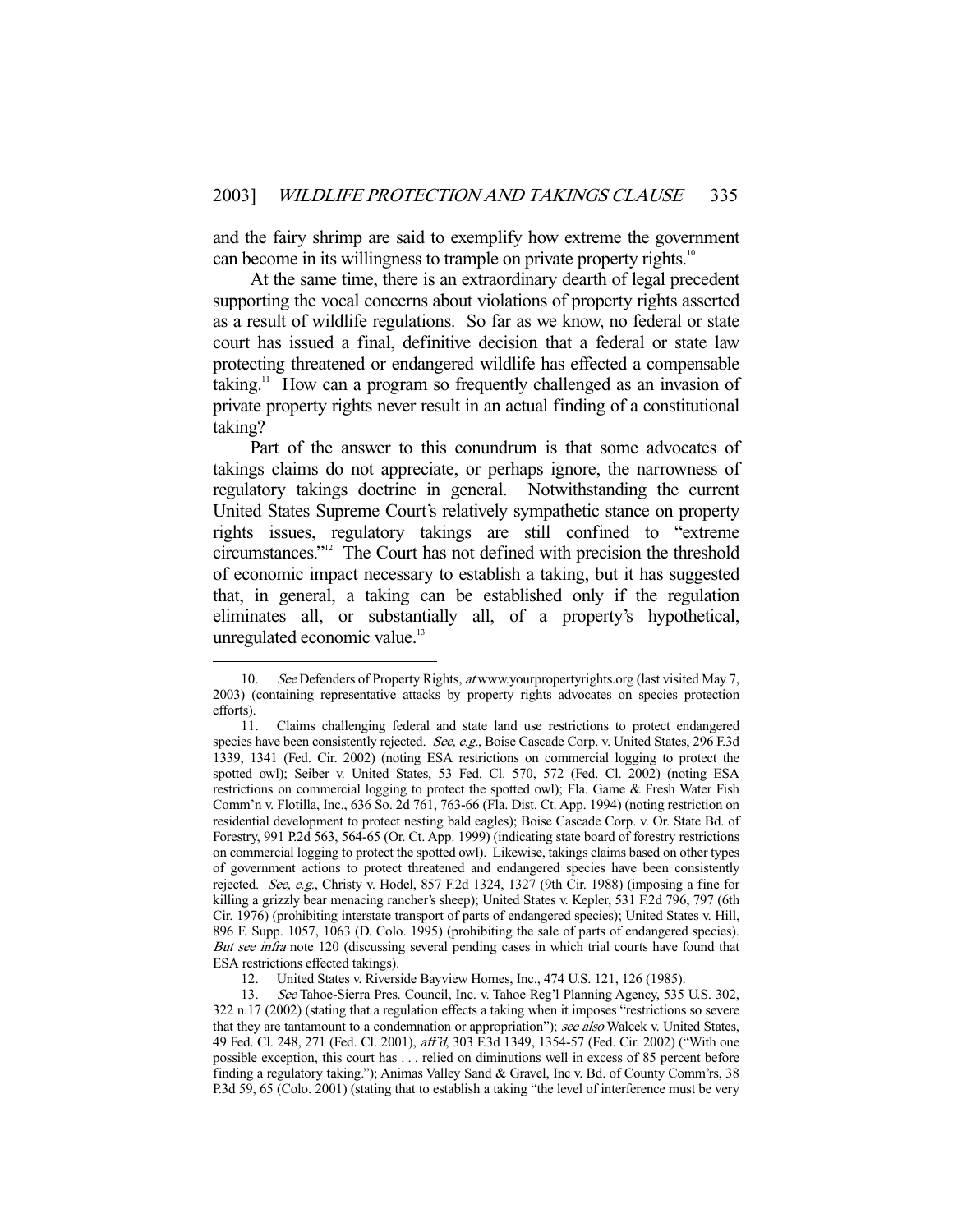and the fairy shrimp are said to exemplify how extreme the government can become in its willingness to trample on private property rights.<sup>10</sup>

 At the same time, there is an extraordinary dearth of legal precedent supporting the vocal concerns about violations of property rights asserted as a result of wildlife regulations. So far as we know, no federal or state court has issued a final, definitive decision that a federal or state law protecting threatened or endangered wildlife has effected a compensable taking.<sup>11</sup> How can a program so frequently challenged as an invasion of private property rights never result in an actual finding of a constitutional taking?

 Part of the answer to this conundrum is that some advocates of takings claims do not appreciate, or perhaps ignore, the narrowness of regulatory takings doctrine in general. Notwithstanding the current United States Supreme Court's relatively sympathetic stance on property rights issues, regulatory takings are still confined to "extreme circumstances."12 The Court has not defined with precision the threshold of economic impact necessary to establish a taking, but it has suggested that, in general, a taking can be established only if the regulation eliminates all, or substantially all, of a property's hypothetical, unregulated economic value.<sup>13</sup>

<sup>10.</sup> See Defenders of Property Rights, at www.yourpropertyrights.org (last visited May 7, 2003) (containing representative attacks by property rights advocates on species protection efforts).

 <sup>11.</sup> Claims challenging federal and state land use restrictions to protect endangered species have been consistently rejected. See, e.g., Boise Cascade Corp. v. United States, 296 F.3d 1339, 1341 (Fed. Cir. 2002) (noting ESA restrictions on commercial logging to protect the spotted owl); Seiber v. United States, 53 Fed. Cl. 570, 572 (Fed. Cl. 2002) (noting ESA restrictions on commercial logging to protect the spotted owl); Fla. Game & Fresh Water Fish Comm'n v. Flotilla, Inc., 636 So. 2d 761, 763-66 (Fla. Dist. Ct. App. 1994) (noting restriction on residential development to protect nesting bald eagles); Boise Cascade Corp. v. Or. State Bd. of Forestry, 991 P.2d 563, 564-65 (Or. Ct. App. 1999) (indicating state board of forestry restrictions on commercial logging to protect the spotted owl). Likewise, takings claims based on other types of government actions to protect threatened and endangered species have been consistently rejected. See, e.g., Christy v. Hodel, 857 F.2d 1324, 1327 (9th Cir. 1988) (imposing a fine for killing a grizzly bear menacing rancher's sheep); United States v. Kepler, 531 F.2d 796, 797 (6th Cir. 1976) (prohibiting interstate transport of parts of endangered species); United States v. Hill, 896 F. Supp. 1057, 1063 (D. Colo. 1995) (prohibiting the sale of parts of endangered species). But see infra note 120 (discussing several pending cases in which trial courts have found that ESA restrictions effected takings).

 <sup>12.</sup> United States v. Riverside Bayview Homes, Inc., 474 U.S. 121, 126 (1985).

 <sup>13.</sup> See Tahoe-Sierra Pres. Council, Inc. v. Tahoe Reg'l Planning Agency, 535 U.S. 302, 322 n.17 (2002) (stating that a regulation effects a taking when it imposes "restrictions so severe that they are tantamount to a condemnation or appropriation"); see also Walcek v. United States, 49 Fed. Cl. 248, 271 (Fed. Cl. 2001), aff'd, 303 F.3d 1349, 1354-57 (Fed. Cir. 2002) ("With one possible exception, this court has . . . relied on diminutions well in excess of 85 percent before finding a regulatory taking."); Animas Valley Sand & Gravel, Inc v. Bd. of County Comm'rs, 38 P.3d 59, 65 (Colo. 2001) (stating that to establish a taking "the level of interference must be very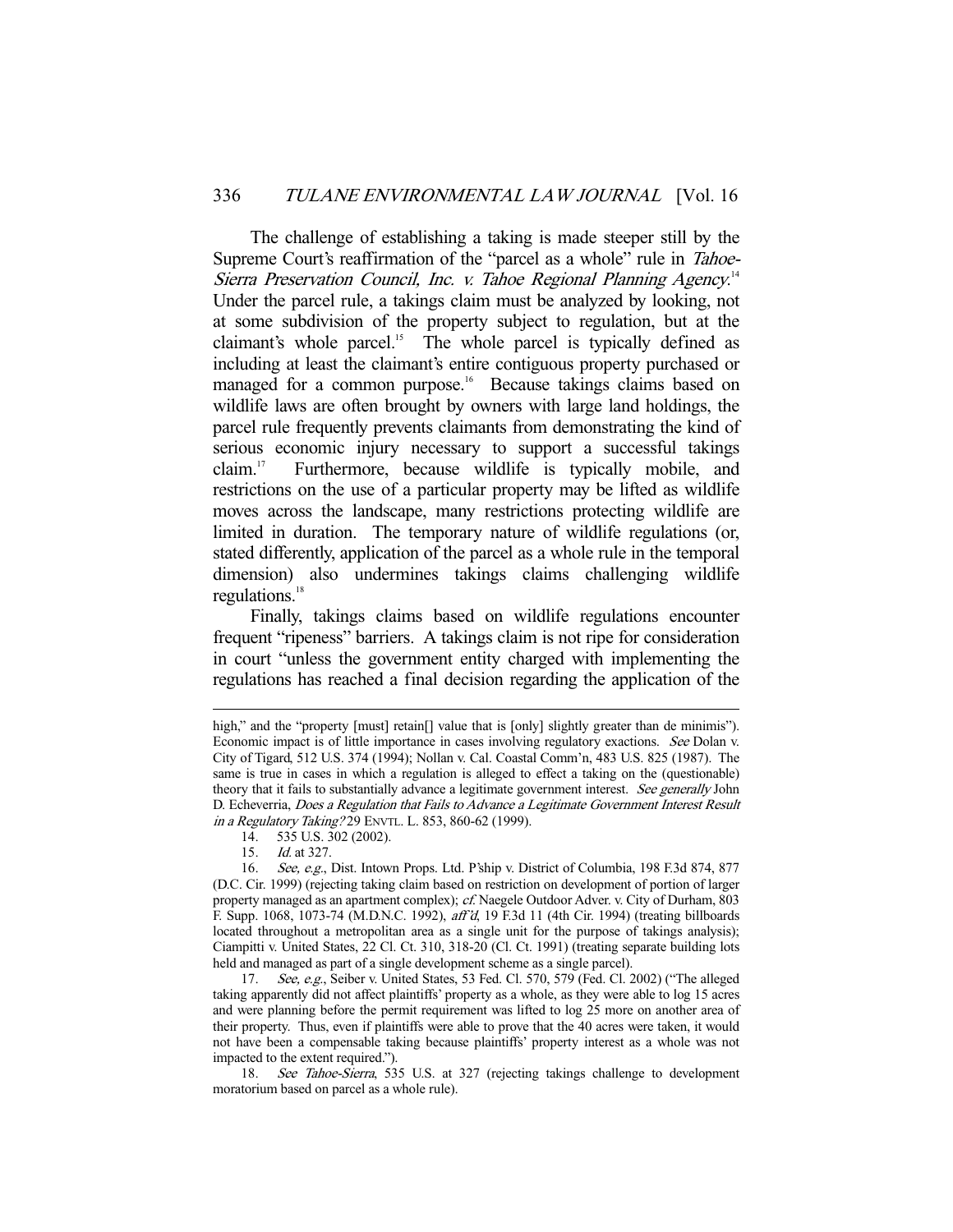The challenge of establishing a taking is made steeper still by the Supreme Court's reaffirmation of the "parcel as a whole" rule in Tahoe-Sierra Preservation Council, Inc. v. Tahoe Regional Planning Agency.<sup>14</sup> Under the parcel rule, a takings claim must be analyzed by looking, not at some subdivision of the property subject to regulation, but at the claimant's whole parcel.<sup>15</sup> The whole parcel is typically defined as including at least the claimant's entire contiguous property purchased or managed for a common purpose.<sup>16</sup> Because takings claims based on wildlife laws are often brought by owners with large land holdings, the parcel rule frequently prevents claimants from demonstrating the kind of serious economic injury necessary to support a successful takings claim.17 Furthermore, because wildlife is typically mobile, and restrictions on the use of a particular property may be lifted as wildlife moves across the landscape, many restrictions protecting wildlife are limited in duration. The temporary nature of wildlife regulations (or, stated differently, application of the parcel as a whole rule in the temporal dimension) also undermines takings claims challenging wildlife regulations. $18$ 

 Finally, takings claims based on wildlife regulations encounter frequent "ripeness" barriers. A takings claim is not ripe for consideration in court "unless the government entity charged with implementing the regulations has reached a final decision regarding the application of the

high," and the "property [must] retain<sup>[]</sup> value that is [only] slightly greater than de minimis"). Economic impact is of little importance in cases involving regulatory exactions. See Dolan v. City of Tigard, 512 U.S. 374 (1994); Nollan v. Cal. Coastal Comm'n, 483 U.S. 825 (1987). The same is true in cases in which a regulation is alleged to effect a taking on the (questionable) theory that it fails to substantially advance a legitimate government interest. See generally John D. Echeverria, *Does a Regulation that Fails to Advance a Legitimate Government Interest Result* in a Regulatory Taking? 29 ENVTL. L. 853, 860-62 (1999).

 <sup>14. 535</sup> U.S. 302 (2002).

 <sup>15.</sup> Id. at 327.

<sup>16.</sup> See, e.g., Dist. Intown Props. Ltd. P'ship v. District of Columbia, 198 F.3d 874, 877 (D.C. Cir. 1999) (rejecting taking claim based on restriction on development of portion of larger property managed as an apartment complex); cf. Naegele Outdoor Adver. v. City of Durham, 803 F. Supp. 1068, 1073-74 (M.D.N.C. 1992), aff'd, 19 F.3d 11 (4th Cir. 1994) (treating billboards located throughout a metropolitan area as a single unit for the purpose of takings analysis); Ciampitti v. United States, 22 Cl. Ct. 310, 318-20 (Cl. Ct. 1991) (treating separate building lots held and managed as part of a single development scheme as a single parcel).

<sup>17.</sup> See, e.g., Seiber v. United States, 53 Fed. Cl. 570, 579 (Fed. Cl. 2002) ("The alleged taking apparently did not affect plaintiffs' property as a whole, as they were able to log 15 acres and were planning before the permit requirement was lifted to log 25 more on another area of their property. Thus, even if plaintiffs were able to prove that the 40 acres were taken, it would not have been a compensable taking because plaintiffs' property interest as a whole was not impacted to the extent required.").

<sup>18.</sup> See Tahoe-Sierra, 535 U.S. at 327 (rejecting takings challenge to development moratorium based on parcel as a whole rule).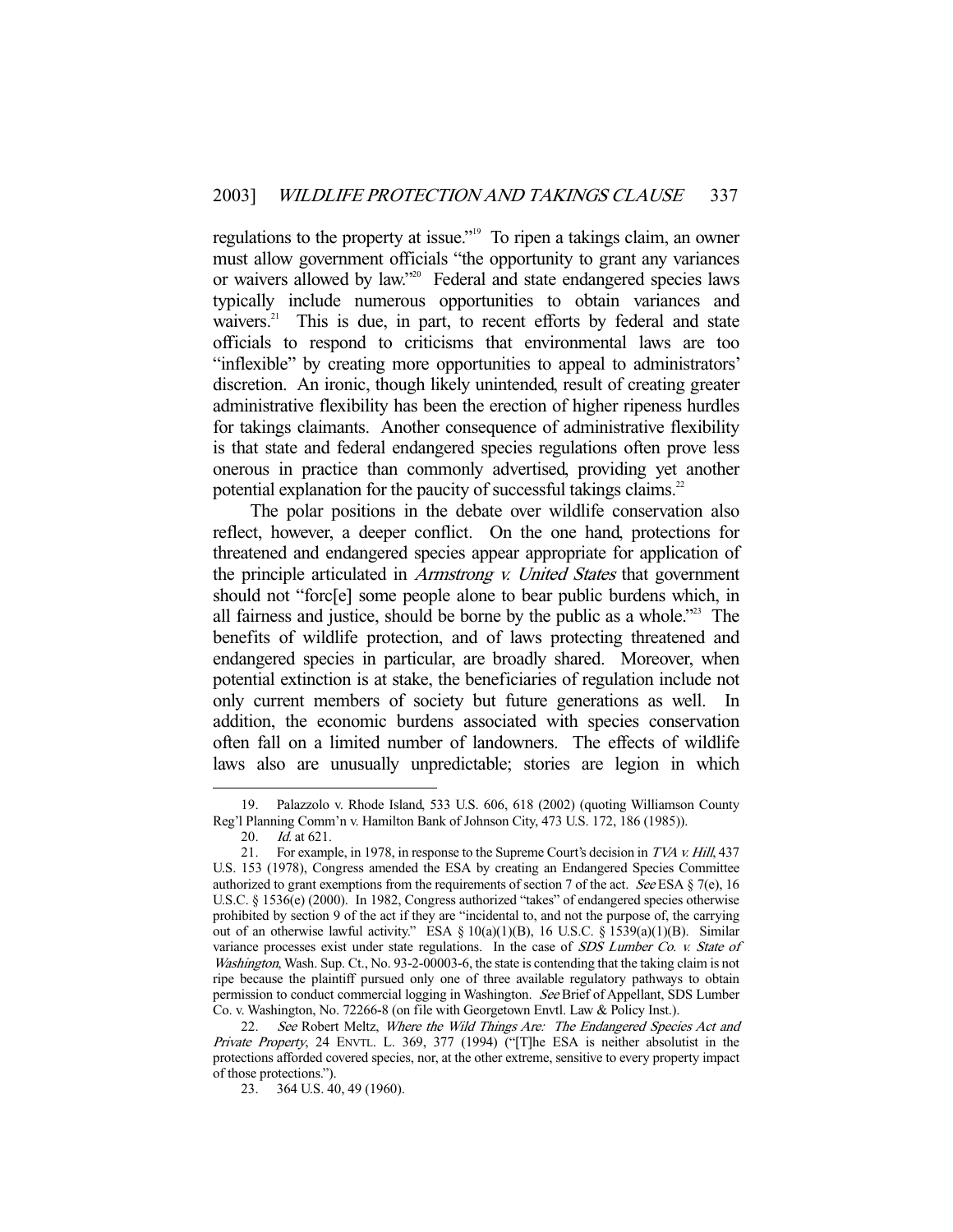regulations to the property at issue."19 To ripen a takings claim, an owner must allow government officials "the opportunity to grant any variances or waivers allowed by law."20 Federal and state endangered species laws typically include numerous opportunities to obtain variances and waivers.<sup>21</sup> This is due, in part, to recent efforts by federal and state officials to respond to criticisms that environmental laws are too "inflexible" by creating more opportunities to appeal to administrators' discretion. An ironic, though likely unintended, result of creating greater administrative flexibility has been the erection of higher ripeness hurdles for takings claimants. Another consequence of administrative flexibility is that state and federal endangered species regulations often prove less onerous in practice than commonly advertised, providing yet another potential explanation for the paucity of successful takings claims.<sup>22</sup>

 The polar positions in the debate over wildlife conservation also reflect, however, a deeper conflict. On the one hand, protections for threatened and endangered species appear appropriate for application of the principle articulated in *Armstrong v. United States* that government should not "forc[e] some people alone to bear public burdens which, in all fairness and justice, should be borne by the public as a whole."23 The benefits of wildlife protection, and of laws protecting threatened and endangered species in particular, are broadly shared. Moreover, when potential extinction is at stake, the beneficiaries of regulation include not only current members of society but future generations as well. In addition, the economic burdens associated with species conservation often fall on a limited number of landowners. The effects of wildlife laws also are unusually unpredictable; stories are legion in which

 <sup>19.</sup> Palazzolo v. Rhode Island, 533 U.S. 606, 618 (2002) (quoting Williamson County Reg'l Planning Comm'n v. Hamilton Bank of Johnson City, 473 U.S. 172, 186 (1985)).

 <sup>20.</sup> Id. at 621.

<sup>21.</sup> For example, in 1978, in response to the Supreme Court's decision in TVA v. Hill, 437 U.S. 153 (1978), Congress amended the ESA by creating an Endangered Species Committee authorized to grant exemptions from the requirements of section 7 of the act. See ESA  $\S$  7(e), 16 U.S.C. § 1536(e) (2000). In 1982, Congress authorized "takes" of endangered species otherwise prohibited by section 9 of the act if they are "incidental to, and not the purpose of, the carrying out of an otherwise lawful activity." ESA § 10(a)(1)(B), 16 U.S.C. § 1539(a)(1)(B). Similar variance processes exist under state regulations. In the case of SDS Lumber Co. v. State of Washington, Wash. Sup. Ct., No. 93-2-00003-6, the state is contending that the taking claim is not ripe because the plaintiff pursued only one of three available regulatory pathways to obtain permission to conduct commercial logging in Washington. See Brief of Appellant, SDS Lumber Co. v. Washington, No. 72266-8 (on file with Georgetown Envtl. Law & Policy Inst.).

<sup>22.</sup> See Robert Meltz, Where the Wild Things Are: The Endangered Species Act and Private Property, 24 ENVTL. L. 369, 377 (1994) ("[T]he ESA is neither absolutist in the protections afforded covered species, nor, at the other extreme, sensitive to every property impact of those protections.").

 <sup>23. 364</sup> U.S. 40, 49 (1960).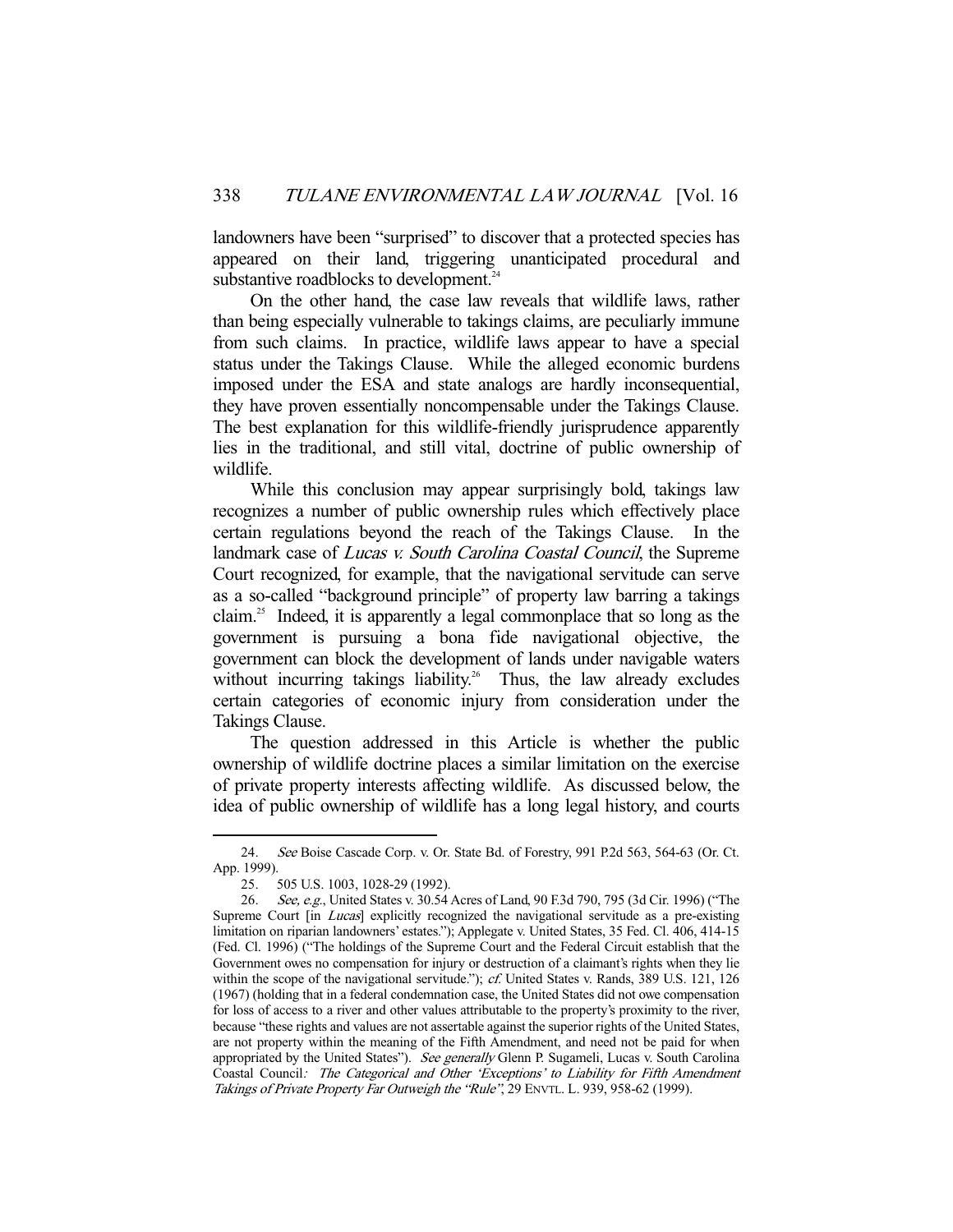landowners have been "surprised" to discover that a protected species has appeared on their land, triggering unanticipated procedural and substantive roadblocks to development.<sup>24</sup>

 On the other hand, the case law reveals that wildlife laws, rather than being especially vulnerable to takings claims, are peculiarly immune from such claims. In practice, wildlife laws appear to have a special status under the Takings Clause. While the alleged economic burdens imposed under the ESA and state analogs are hardly inconsequential, they have proven essentially noncompensable under the Takings Clause. The best explanation for this wildlife-friendly jurisprudence apparently lies in the traditional, and still vital, doctrine of public ownership of wildlife.

 While this conclusion may appear surprisingly bold, takings law recognizes a number of public ownership rules which effectively place certain regulations beyond the reach of the Takings Clause. In the landmark case of *Lucas v. South Carolina Coastal Council*, the Supreme Court recognized, for example, that the navigational servitude can serve as a so-called "background principle" of property law barring a takings claim.25 Indeed, it is apparently a legal commonplace that so long as the government is pursuing a bona fide navigational objective, the government can block the development of lands under navigable waters without incurring takings liability.<sup>26</sup> Thus, the law already excludes certain categories of economic injury from consideration under the Takings Clause.

 The question addressed in this Article is whether the public ownership of wildlife doctrine places a similar limitation on the exercise of private property interests affecting wildlife. As discussed below, the idea of public ownership of wildlife has a long legal history, and courts

 <sup>24.</sup> See Boise Cascade Corp. v. Or. State Bd. of Forestry, 991 P.2d 563, 564-63 (Or. Ct. App. 1999).

 <sup>25. 505</sup> U.S. 1003, 1028-29 (1992).

 <sup>26.</sup> See, e.g., United States v. 30.54 Acres of Land, 90 F.3d 790, 795 (3d Cir. 1996) ("The Supreme Court [in *Lucas*] explicitly recognized the navigational servitude as a pre-existing limitation on riparian landowners' estates."); Applegate v. United States, 35 Fed. Cl. 406, 414-15 (Fed. Cl. 1996) ("The holdings of the Supreme Court and the Federal Circuit establish that the Government owes no compensation for injury or destruction of a claimant's rights when they lie within the scope of the navigational servitude."); cf. United States v. Rands, 389 U.S. 121, 126 (1967) (holding that in a federal condemnation case, the United States did not owe compensation for loss of access to a river and other values attributable to the property's proximity to the river, because "these rights and values are not assertable against the superior rights of the United States, are not property within the meaning of the Fifth Amendment, and need not be paid for when appropriated by the United States"). See generally Glenn P. Sugameli, Lucas v. South Carolina Coastal Council: The Categorical and Other 'Exceptions' to Liability for Fifth Amendment Takings of Private Property Far Outweigh the "Rule", 29 ENVTL. L. 939, 958-62 (1999).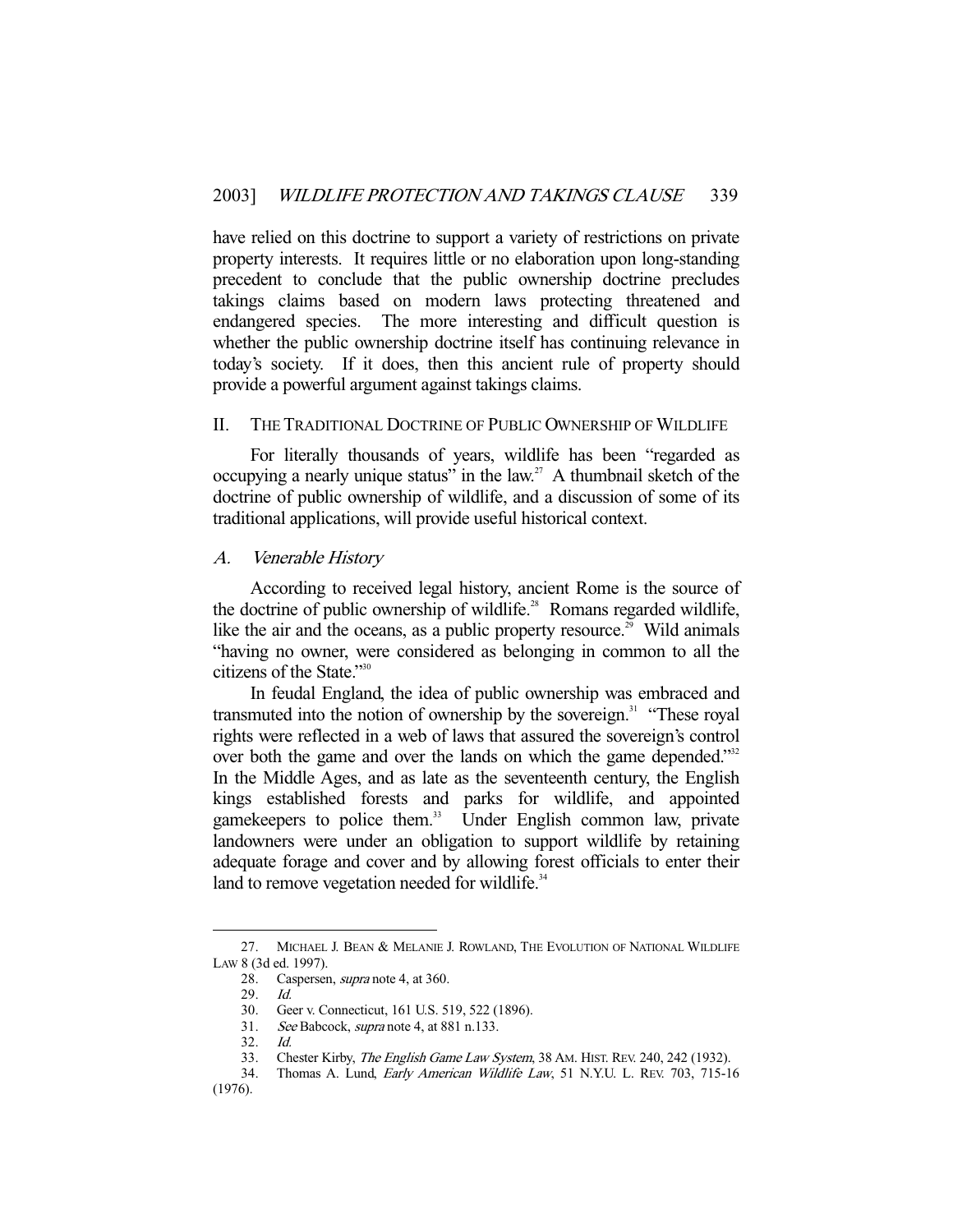have relied on this doctrine to support a variety of restrictions on private property interests. It requires little or no elaboration upon long-standing precedent to conclude that the public ownership doctrine precludes takings claims based on modern laws protecting threatened and endangered species. The more interesting and difficult question is whether the public ownership doctrine itself has continuing relevance in today's society. If it does, then this ancient rule of property should provide a powerful argument against takings claims.

#### II. THE TRADITIONAL DOCTRINE OF PUBLIC OWNERSHIP OF WILDLIFE

 For literally thousands of years, wildlife has been "regarded as occupying a nearly unique status" in the law.<sup>27</sup> A thumbnail sketch of the doctrine of public ownership of wildlife, and a discussion of some of its traditional applications, will provide useful historical context.

#### A. Venerable History

 According to received legal history, ancient Rome is the source of the doctrine of public ownership of wildlife.<sup>28</sup> Romans regarded wildlife, like the air and the oceans, as a public property resource.<sup>29</sup> Wild animals "having no owner, were considered as belonging in common to all the citizens of the State."30

 In feudal England, the idea of public ownership was embraced and transmuted into the notion of ownership by the sovereign.<sup>31</sup> "These royal rights were reflected in a web of laws that assured the sovereign's control over both the game and over the lands on which the game depended.<sup>332</sup> In the Middle Ages, and as late as the seventeenth century, the English kings established forests and parks for wildlife, and appointed gamekeepers to police them.<sup>33</sup> Under English common law, private landowners were under an obligation to support wildlife by retaining adequate forage and cover and by allowing forest officials to enter their land to remove vegetation needed for wildlife. $34$ 

 <sup>27.</sup> MICHAEL J. BEAN & MELANIE J. ROWLAND, THE EVOLUTION OF NATIONAL WILDLIFE LAW 8 (3d ed. 1997).

<sup>28.</sup> Caspersen, *supra* note 4, at 360.

 <sup>29.</sup> Id.

 <sup>30.</sup> Geer v. Connecticut, 161 U.S. 519, 522 (1896).

See Babcock, *supra* note 4, at 881 n.133.  $31.$  See<br>32. Id.

<sup>33.</sup> Chester Kirby, The English Game Law System, 38 AM. HIST. REV. 240, 242 (1932).

<sup>34.</sup> Thomas A. Lund, Early American Wildlife Law, 51 N.Y.U. L. REV. 703, 715-16

<sup>(1976).</sup>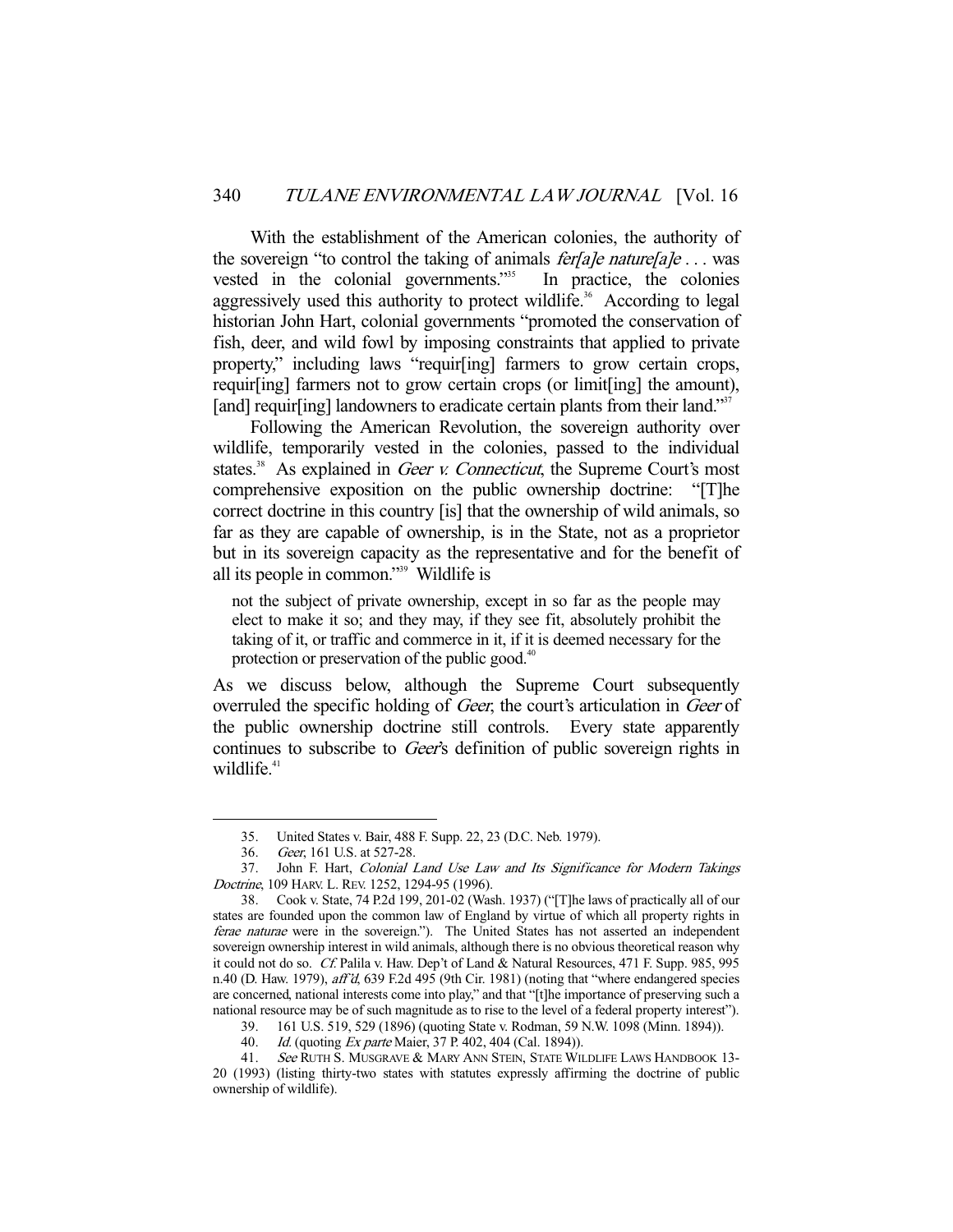With the establishment of the American colonies, the authority of the sovereign "to control the taking of animals *ferfale naturefale* ... was vested in the colonial governments."<sup>35</sup> In practice, the colonies aggressively used this authority to protect wildlife.<sup>36</sup> According to legal historian John Hart, colonial governments "promoted the conservation of fish, deer, and wild fowl by imposing constraints that applied to private property," including laws "requir[ing] farmers to grow certain crops, requir[ing] farmers not to grow certain crops (or limit[ing] the amount), [and] requir[ing] landowners to eradicate certain plants from their land."<sup>37</sup>

 Following the American Revolution, the sovereign authority over wildlife, temporarily vested in the colonies, passed to the individual states.<sup>38</sup> As explained in *Geer v. Connecticut*, the Supreme Court's most comprehensive exposition on the public ownership doctrine: "[T]he correct doctrine in this country [is] that the ownership of wild animals, so far as they are capable of ownership, is in the State, not as a proprietor but in its sovereign capacity as the representative and for the benefit of all its people in common."39 Wildlife is

not the subject of private ownership, except in so far as the people may elect to make it so; and they may, if they see fit, absolutely prohibit the taking of it, or traffic and commerce in it, if it is deemed necessary for the protection or preservation of the public good. $40$ 

As we discuss below, although the Supreme Court subsequently overruled the specific holding of *Geer*, the court's articulation in *Geer* of the public ownership doctrine still controls. Every state apparently continues to subscribe to Geer's definition of public sovereign rights in wildlife.<sup>41</sup>

 <sup>35.</sup> United States v. Bair, 488 F. Supp. 22, 23 (D.C. Neb. 1979).

 <sup>36.</sup> Geer, 161 U.S. at 527-28.

 <sup>37.</sup> John F. Hart, Colonial Land Use Law and Its Significance for Modern Takings Doctrine, 109 HARV. L. REV. 1252, 1294-95 (1996).

 <sup>38.</sup> Cook v. State, 74 P.2d 199, 201-02 (Wash. 1937) ("[T]he laws of practically all of our states are founded upon the common law of England by virtue of which all property rights in ferae naturae were in the sovereign."). The United States has not asserted an independent sovereign ownership interest in wild animals, although there is no obvious theoretical reason why it could not do so. Cf. Palila v. Haw. Dep't of Land & Natural Resources, 471 F. Supp. 985, 995 n.40 (D. Haw. 1979), aff'd, 639 F.2d 495 (9th Cir. 1981) (noting that "where endangered species are concerned, national interests come into play," and that "[t]he importance of preserving such a national resource may be of such magnitude as to rise to the level of a federal property interest").

 <sup>39. 161</sup> U.S. 519, 529 (1896) (quoting State v. Rodman, 59 N.W. 1098 (Minn. 1894)).

<sup>40.</sup> *Id.* (quoting *Ex parte* Maier, 37 P. 402, 404 (Cal. 1894)).

<sup>41.</sup> See RUTH S. MUSGRAVE & MARY ANN STEIN, STATE WILDLIFE LAWS HANDBOOK 13-20 (1993) (listing thirty-two states with statutes expressly affirming the doctrine of public ownership of wildlife).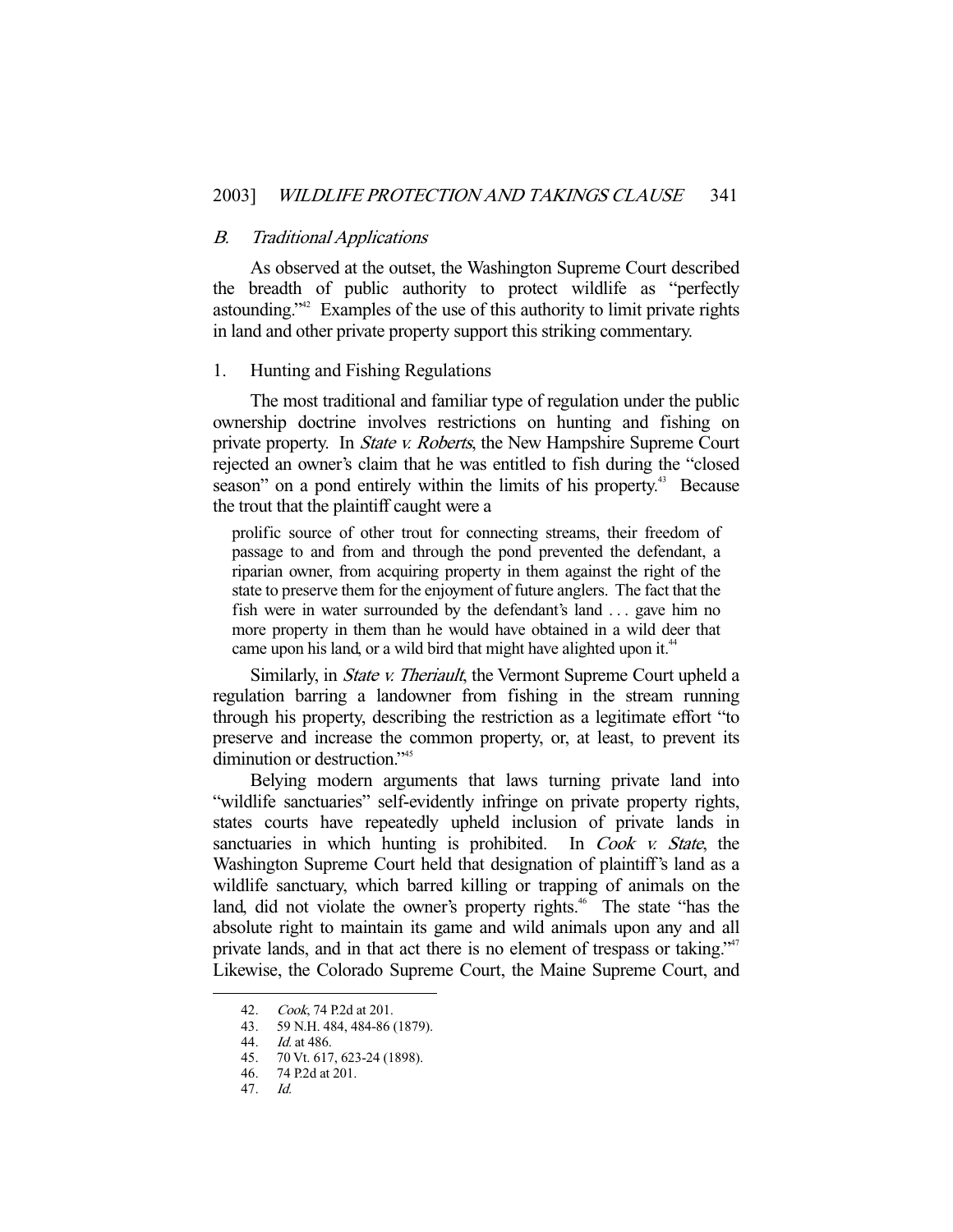#### B. Traditional Applications

 As observed at the outset, the Washington Supreme Court described the breadth of public authority to protect wildlife as "perfectly astounding."42 Examples of the use of this authority to limit private rights in land and other private property support this striking commentary.

## 1. Hunting and Fishing Regulations

 The most traditional and familiar type of regulation under the public ownership doctrine involves restrictions on hunting and fishing on private property. In *State v. Roberts*, the New Hampshire Supreme Court rejected an owner's claim that he was entitled to fish during the "closed season" on a pond entirely within the limits of his property.<sup>43</sup> Because the trout that the plaintiff caught were a

prolific source of other trout for connecting streams, their freedom of passage to and from and through the pond prevented the defendant, a riparian owner, from acquiring property in them against the right of the state to preserve them for the enjoyment of future anglers. The fact that the fish were in water surrounded by the defendant's land . . . gave him no more property in them than he would have obtained in a wild deer that came upon his land, or a wild bird that might have alighted upon it.<sup>44</sup>

Similarly, in *State v. Theriault*, the Vermont Supreme Court upheld a regulation barring a landowner from fishing in the stream running through his property, describing the restriction as a legitimate effort "to preserve and increase the common property, or, at least, to prevent its diminution or destruction."<sup>45</sup>

 Belying modern arguments that laws turning private land into "wildlife sanctuaries" self-evidently infringe on private property rights, states courts have repeatedly upheld inclusion of private lands in sanctuaries in which hunting is prohibited. In Cook v. State, the Washington Supreme Court held that designation of plaintiff's land as a wildlife sanctuary, which barred killing or trapping of animals on the land, did not violate the owner's property rights.<sup>46</sup> The state "has the absolute right to maintain its game and wild animals upon any and all private lands, and in that act there is no element of trespass or taking."<sup>47</sup> Likewise, the Colorado Supreme Court, the Maine Supreme Court, and

<sup>42.</sup> Cook, 74 P.2d at 201.<br>43. 59 N.H. 484, 484-86

<sup>59</sup> N.H. 484, 484-86 (1879).

Id. at 486.

 <sup>45. 70</sup> Vt. 617, 623-24 (1898).

 <sup>46. 74</sup> P.2d at 201.

 <sup>47.</sup> Id.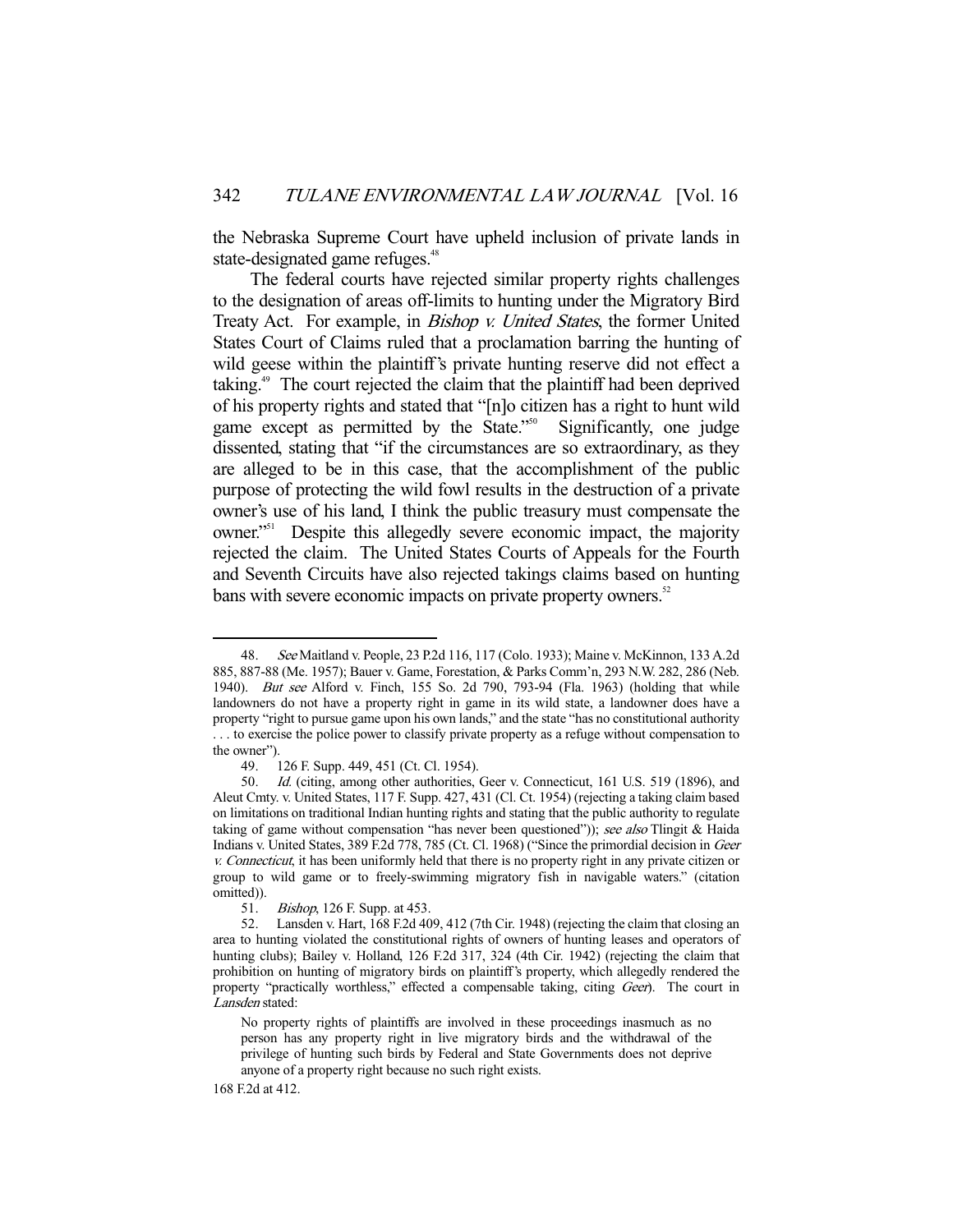the Nebraska Supreme Court have upheld inclusion of private lands in state-designated game refuges.<sup>48</sup>

 The federal courts have rejected similar property rights challenges to the designation of areas off-limits to hunting under the Migratory Bird Treaty Act. For example, in *Bishop v. United States*, the former United States Court of Claims ruled that a proclamation barring the hunting of wild geese within the plaintiff's private hunting reserve did not effect a taking.<sup>49</sup> The court rejected the claim that the plaintiff had been deprived of his property rights and stated that "[n]o citizen has a right to hunt wild game except as permitted by the State."<sup>50</sup> Significantly, one judge dissented, stating that "if the circumstances are so extraordinary, as they are alleged to be in this case, that the accomplishment of the public purpose of protecting the wild fowl results in the destruction of a private owner's use of his land, I think the public treasury must compensate the owner."51 Despite this allegedly severe economic impact, the majority rejected the claim. The United States Courts of Appeals for the Fourth and Seventh Circuits have also rejected takings claims based on hunting bans with severe economic impacts on private property owners.<sup>52</sup>

<sup>48.</sup> See Maitland v. People, 23 P.2d 116, 117 (Colo. 1933); Maine v. McKinnon, 133 A.2d 885, 887-88 (Me. 1957); Bauer v. Game, Forestation, & Parks Comm'n, 293 N.W. 282, 286 (Neb. 1940). But see Alford v. Finch, 155 So. 2d 790, 793-94 (Fla. 1963) (holding that while landowners do not have a property right in game in its wild state, a landowner does have a property "right to pursue game upon his own lands," and the state "has no constitutional authority . . . to exercise the police power to classify private property as a refuge without compensation to the owner").

 <sup>49. 126</sup> F. Supp. 449, 451 (Ct. Cl. 1954).

 <sup>50.</sup> Id. (citing, among other authorities, Geer v. Connecticut, 161 U.S. 519 (1896), and Aleut Cmty. v. United States, 117 F. Supp. 427, 431 (Cl. Ct. 1954) (rejecting a taking claim based on limitations on traditional Indian hunting rights and stating that the public authority to regulate taking of game without compensation "has never been questioned")); see also Tlingit & Haida Indians v. United States, 389 F.2d 778, 785 (Ct. Cl. 1968) ("Since the primordial decision in Geer v. Connecticut, it has been uniformly held that there is no property right in any private citizen or group to wild game or to freely-swimming migratory fish in navigable waters." (citation omitted)).

 <sup>51.</sup> Bishop, 126 F. Supp. at 453.

 <sup>52.</sup> Lansden v. Hart, 168 F.2d 409, 412 (7th Cir. 1948) (rejecting the claim that closing an area to hunting violated the constitutional rights of owners of hunting leases and operators of hunting clubs); Bailey v. Holland, 126 F.2d 317, 324 (4th Cir. 1942) (rejecting the claim that prohibition on hunting of migratory birds on plaintiff's property, which allegedly rendered the property "practically worthless," effected a compensable taking, citing Geer). The court in Lansden stated:

No property rights of plaintiffs are involved in these proceedings inasmuch as no person has any property right in live migratory birds and the withdrawal of the privilege of hunting such birds by Federal and State Governments does not deprive anyone of a property right because no such right exists.

<sup>168</sup> F.2d at 412.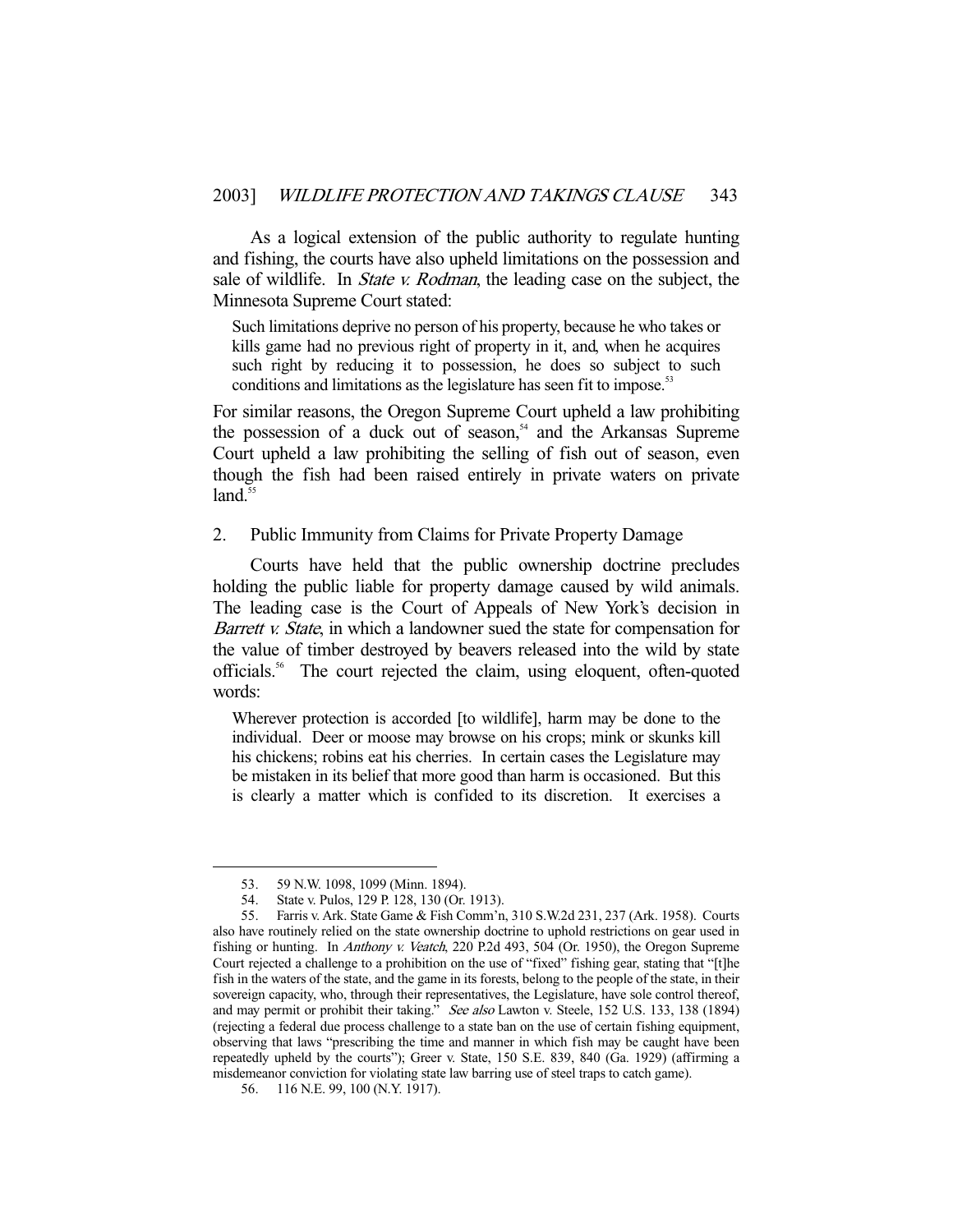As a logical extension of the public authority to regulate hunting and fishing, the courts have also upheld limitations on the possession and sale of wildlife. In *State v. Rodman*, the leading case on the subject, the Minnesota Supreme Court stated:

Such limitations deprive no person of his property, because he who takes or kills game had no previous right of property in it, and, when he acquires such right by reducing it to possession, he does so subject to such conditions and limitations as the legislature has seen fit to impose.<sup>5</sup>

For similar reasons, the Oregon Supreme Court upheld a law prohibiting the possession of a duck out of season,<sup>54</sup> and the Arkansas Supreme Court upheld a law prohibiting the selling of fish out of season, even though the fish had been raised entirely in private waters on private  $land.<sup>55</sup>$ 

2. Public Immunity from Claims for Private Property Damage

 Courts have held that the public ownership doctrine precludes holding the public liable for property damage caused by wild animals. The leading case is the Court of Appeals of New York's decision in Barrett *v. State*, in which a landowner sued the state for compensation for the value of timber destroyed by beavers released into the wild by state officials.56 The court rejected the claim, using eloquent, often-quoted words:

Wherever protection is accorded [to wildlife], harm may be done to the individual. Deer or moose may browse on his crops; mink or skunks kill his chickens; robins eat his cherries. In certain cases the Legislature may be mistaken in its belief that more good than harm is occasioned. But this is clearly a matter which is confided to its discretion. It exercises a

 <sup>53. 59</sup> N.W. 1098, 1099 (Minn. 1894).

 <sup>54.</sup> State v. Pulos, 129 P. 128, 130 (Or. 1913).

 <sup>55.</sup> Farris v. Ark. State Game & Fish Comm'n, 310 S.W.2d 231, 237 (Ark. 1958). Courts also have routinely relied on the state ownership doctrine to uphold restrictions on gear used in fishing or hunting. In Anthony v. Veatch, 220 P.2d 493, 504 (Or. 1950), the Oregon Supreme Court rejected a challenge to a prohibition on the use of "fixed" fishing gear, stating that "[t]he fish in the waters of the state, and the game in its forests, belong to the people of the state, in their sovereign capacity, who, through their representatives, the Legislature, have sole control thereof, and may permit or prohibit their taking." See also Lawton v. Steele, 152 U.S. 133, 138 (1894) (rejecting a federal due process challenge to a state ban on the use of certain fishing equipment, observing that laws "prescribing the time and manner in which fish may be caught have been repeatedly upheld by the courts"); Greer v. State, 150 S.E. 839, 840 (Ga. 1929) (affirming a misdemeanor conviction for violating state law barring use of steel traps to catch game).

 <sup>56. 116</sup> N.E. 99, 100 (N.Y. 1917).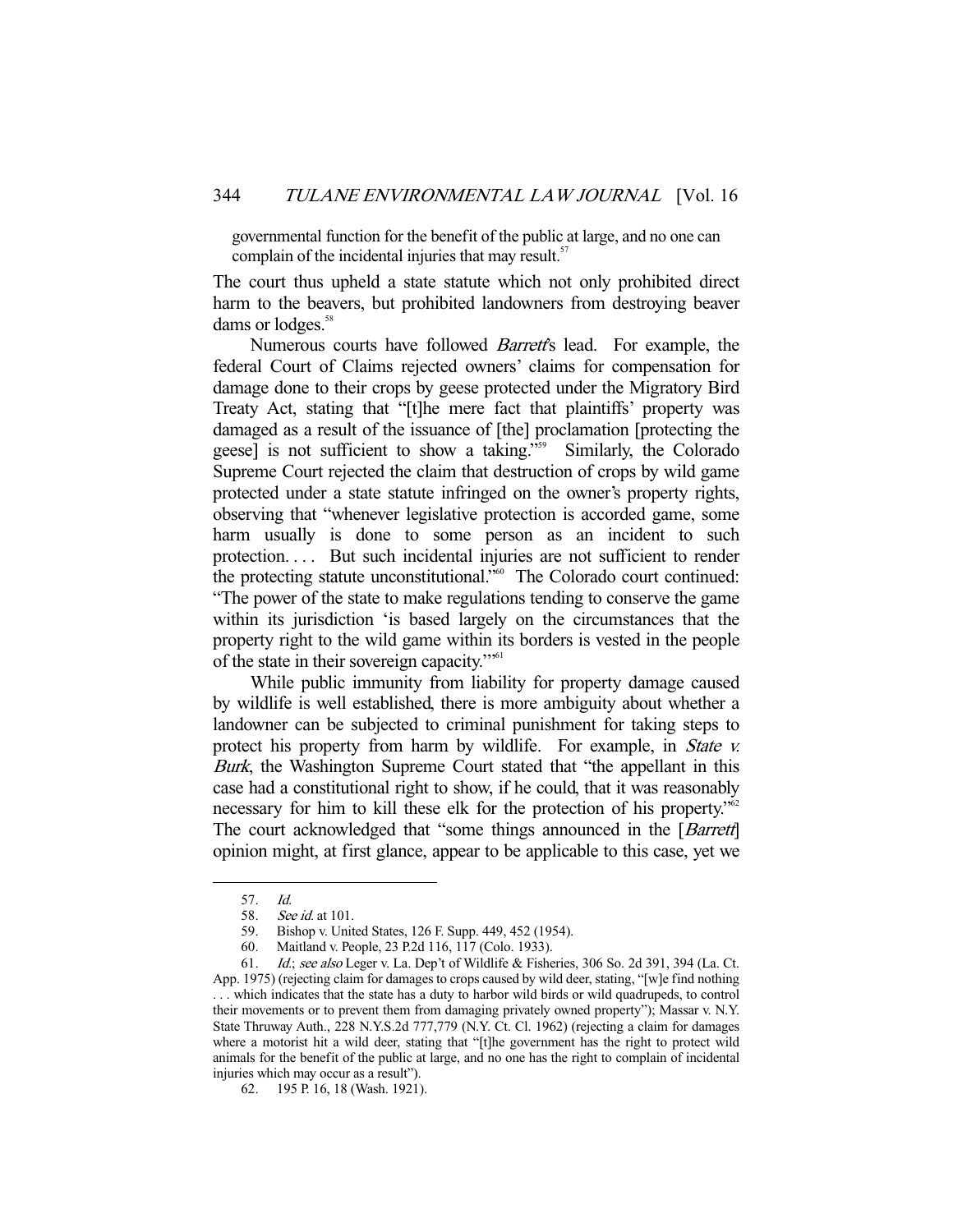governmental function for the benefit of the public at large, and no one can complain of the incidental injuries that may result.<sup>57</sup>

The court thus upheld a state statute which not only prohibited direct harm to the beavers, but prohibited landowners from destroying beaver dams or lodges.<sup>58</sup>

Numerous courts have followed *Barrett's* lead. For example, the federal Court of Claims rejected owners' claims for compensation for damage done to their crops by geese protected under the Migratory Bird Treaty Act, stating that "[t]he mere fact that plaintiffs' property was damaged as a result of the issuance of [the] proclamation [protecting the geese] is not sufficient to show a taking."<sup>59</sup> Similarly, the Colorado Supreme Court rejected the claim that destruction of crops by wild game protected under a state statute infringed on the owner's property rights, observing that "whenever legislative protection is accorded game, some harm usually is done to some person as an incident to such protection.... But such incidental injuries are not sufficient to render the protecting statute unconstitutional."<sup>60</sup> The Colorado court continued: "The power of the state to make regulations tending to conserve the game within its jurisdiction 'is based largely on the circumstances that the property right to the wild game within its borders is vested in the people of the state in their sovereign capacity.'"61

 While public immunity from liability for property damage caused by wildlife is well established, there is more ambiguity about whether a landowner can be subjected to criminal punishment for taking steps to protect his property from harm by wildlife. For example, in *State v.* Burk, the Washington Supreme Court stated that "the appellant in this case had a constitutional right to show, if he could, that it was reasonably necessary for him to kill these elk for the protection of his property."<sup>62</sup> The court acknowledged that "some things announced in the [*Barrett*] opinion might, at first glance, appear to be applicable to this case, yet we

 <sup>57.</sup> Id.

 <sup>58.</sup> See id. at 101.

 <sup>59.</sup> Bishop v. United States, 126 F. Supp. 449, 452 (1954).

 <sup>60.</sup> Maitland v. People, 23 P.2d 116, 117 (Colo. 1933).

 <sup>61.</sup> Id.; see also Leger v. La. Dep't of Wildlife & Fisheries, 306 So. 2d 391, 394 (La. Ct. App. 1975) (rejecting claim for damages to crops caused by wild deer, stating, "[w]e find nothing . . . which indicates that the state has a duty to harbor wild birds or wild quadrupeds, to control their movements or to prevent them from damaging privately owned property"); Massar v. N.Y. State Thruway Auth., 228 N.Y.S.2d 777,779 (N.Y. Ct. Cl. 1962) (rejecting a claim for damages where a motorist hit a wild deer, stating that "[t]he government has the right to protect wild animals for the benefit of the public at large, and no one has the right to complain of incidental injuries which may occur as a result").

 <sup>62. 195</sup> P. 16, 18 (Wash. 1921).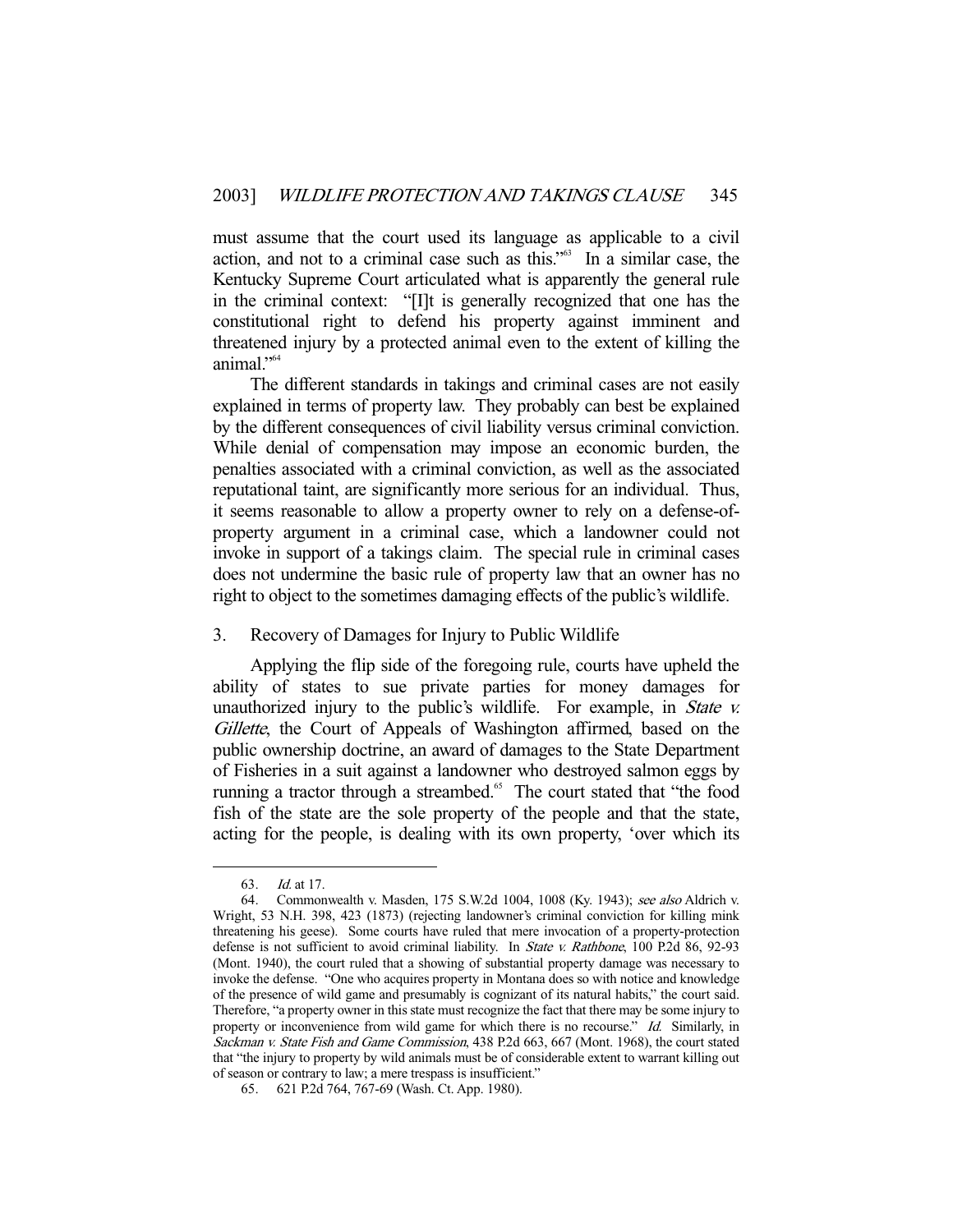must assume that the court used its language as applicable to a civil action, and not to a criminal case such as this."<sup>63</sup> In a similar case, the Kentucky Supreme Court articulated what is apparently the general rule in the criminal context: "[I]t is generally recognized that one has the constitutional right to defend his property against imminent and threatened injury by a protected animal even to the extent of killing the animal."64

 The different standards in takings and criminal cases are not easily explained in terms of property law. They probably can best be explained by the different consequences of civil liability versus criminal conviction. While denial of compensation may impose an economic burden, the penalties associated with a criminal conviction, as well as the associated reputational taint, are significantly more serious for an individual. Thus, it seems reasonable to allow a property owner to rely on a defense-ofproperty argument in a criminal case, which a landowner could not invoke in support of a takings claim. The special rule in criminal cases does not undermine the basic rule of property law that an owner has no right to object to the sometimes damaging effects of the public's wildlife.

## 3. Recovery of Damages for Injury to Public Wildlife

 Applying the flip side of the foregoing rule, courts have upheld the ability of states to sue private parties for money damages for unauthorized injury to the public's wildlife. For example, in *State v.* Gillette, the Court of Appeals of Washington affirmed, based on the public ownership doctrine, an award of damages to the State Department of Fisheries in a suit against a landowner who destroyed salmon eggs by running a tractor through a streambed.<sup>65</sup> The court stated that "the food fish of the state are the sole property of the people and that the state, acting for the people, is dealing with its own property, 'over which its

 <sup>63.</sup> Id. at 17.

 <sup>64.</sup> Commonwealth v. Masden, 175 S.W.2d 1004, 1008 (Ky. 1943); see also Aldrich v. Wright, 53 N.H. 398, 423 (1873) (rejecting landowner's criminal conviction for killing mink threatening his geese). Some courts have ruled that mere invocation of a property-protection defense is not sufficient to avoid criminal liability. In State v. Rathbone, 100 P.2d 86, 92-93 (Mont. 1940), the court ruled that a showing of substantial property damage was necessary to invoke the defense. "One who acquires property in Montana does so with notice and knowledge of the presence of wild game and presumably is cognizant of its natural habits," the court said. Therefore, "a property owner in this state must recognize the fact that there may be some injury to property or inconvenience from wild game for which there is no recourse." Id. Similarly, in Sackman v. State Fish and Game Commission, 438 P.2d 663, 667 (Mont. 1968), the court stated that "the injury to property by wild animals must be of considerable extent to warrant killing out of season or contrary to law; a mere trespass is insufficient."

 <sup>65. 621</sup> P.2d 764, 767-69 (Wash. Ct. App. 1980).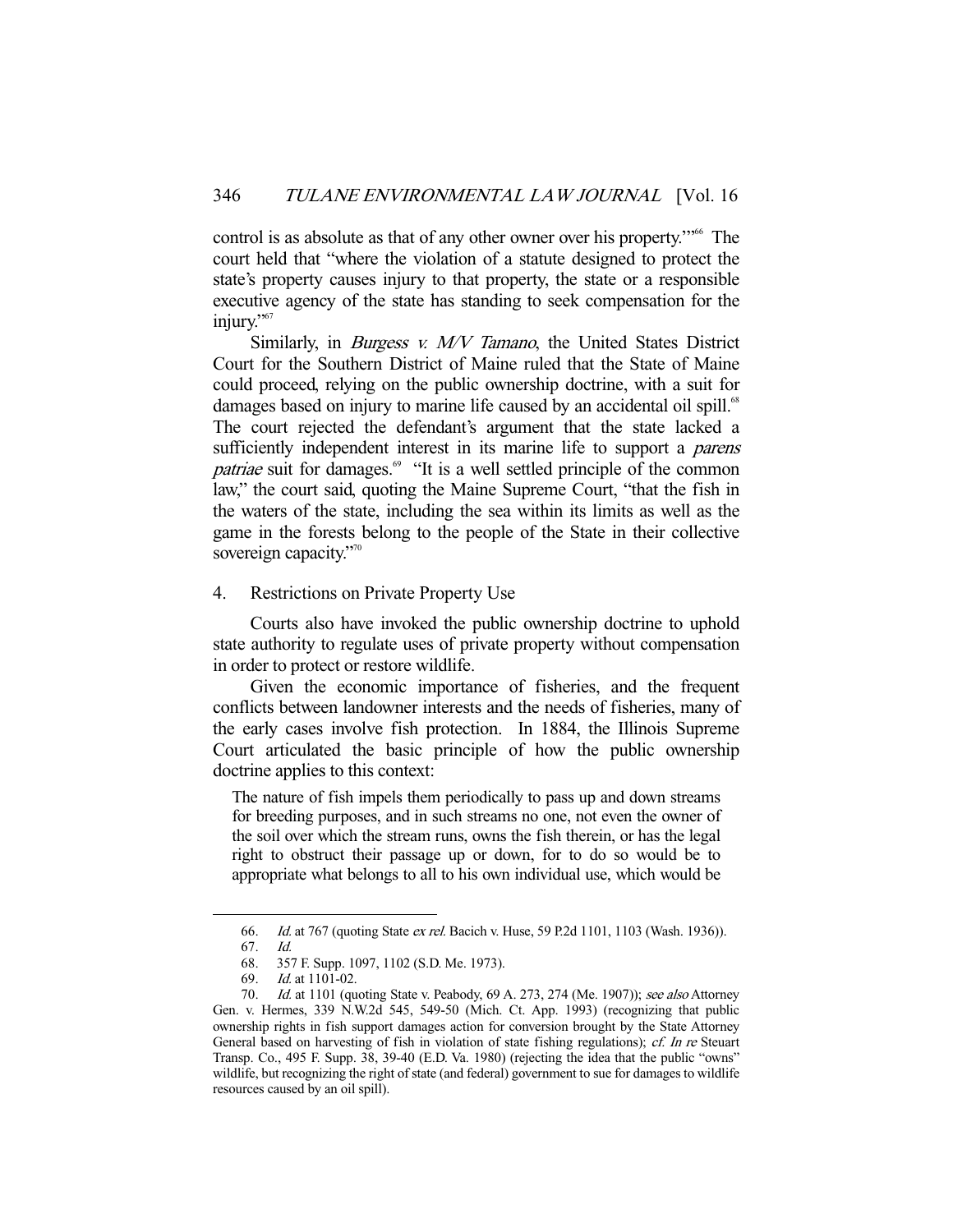control is as absolute as that of any other owner over his property."<sup>66</sup> The court held that "where the violation of a statute designed to protect the state's property causes injury to that property, the state or a responsible executive agency of the state has standing to seek compensation for the injury."<sup>67</sup>

Similarly, in *Burgess v. M/V Tamano*, the United States District Court for the Southern District of Maine ruled that the State of Maine could proceed, relying on the public ownership doctrine, with a suit for damages based on injury to marine life caused by an accidental oil spill.<sup>68</sup> The court rejected the defendant's argument that the state lacked a sufficiently independent interest in its marine life to support a *parens* patriae suit for damages.<sup>69</sup> "It is a well settled principle of the common law," the court said, quoting the Maine Supreme Court, "that the fish in the waters of the state, including the sea within its limits as well as the game in the forests belong to the people of the State in their collective sovereign capacity."<sup>70</sup>

4. Restrictions on Private Property Use

 Courts also have invoked the public ownership doctrine to uphold state authority to regulate uses of private property without compensation in order to protect or restore wildlife.

 Given the economic importance of fisheries, and the frequent conflicts between landowner interests and the needs of fisheries, many of the early cases involve fish protection. In 1884, the Illinois Supreme Court articulated the basic principle of how the public ownership doctrine applies to this context:

The nature of fish impels them periodically to pass up and down streams for breeding purposes, and in such streams no one, not even the owner of the soil over which the stream runs, owns the fish therein, or has the legal right to obstruct their passage up or down, for to do so would be to appropriate what belongs to all to his own individual use, which would be

 <sup>66.</sup> Id. at 767 (quoting State ex rel. Bacich v. Huse, 59 P.2d 1101, 1103 (Wash. 1936)).

 <sup>67.</sup> Id.

 <sup>68. 357</sup> F. Supp. 1097, 1102 (S.D. Me. 1973).

 <sup>69.</sup> Id. at 1101-02.

<sup>70.</sup> *Id.* at 1101 (quoting State v. Peabody, 69 A. 273, 274 (Me. 1907)); see also Attorney Gen. v. Hermes, 339 N.W.2d 545, 549-50 (Mich. Ct. App. 1993) (recognizing that public ownership rights in fish support damages action for conversion brought by the State Attorney General based on harvesting of fish in violation of state fishing regulations); cf. In re Steuart Transp. Co., 495 F. Supp. 38, 39-40 (E.D. Va. 1980) (rejecting the idea that the public "owns" wildlife, but recognizing the right of state (and federal) government to sue for damages to wildlife resources caused by an oil spill).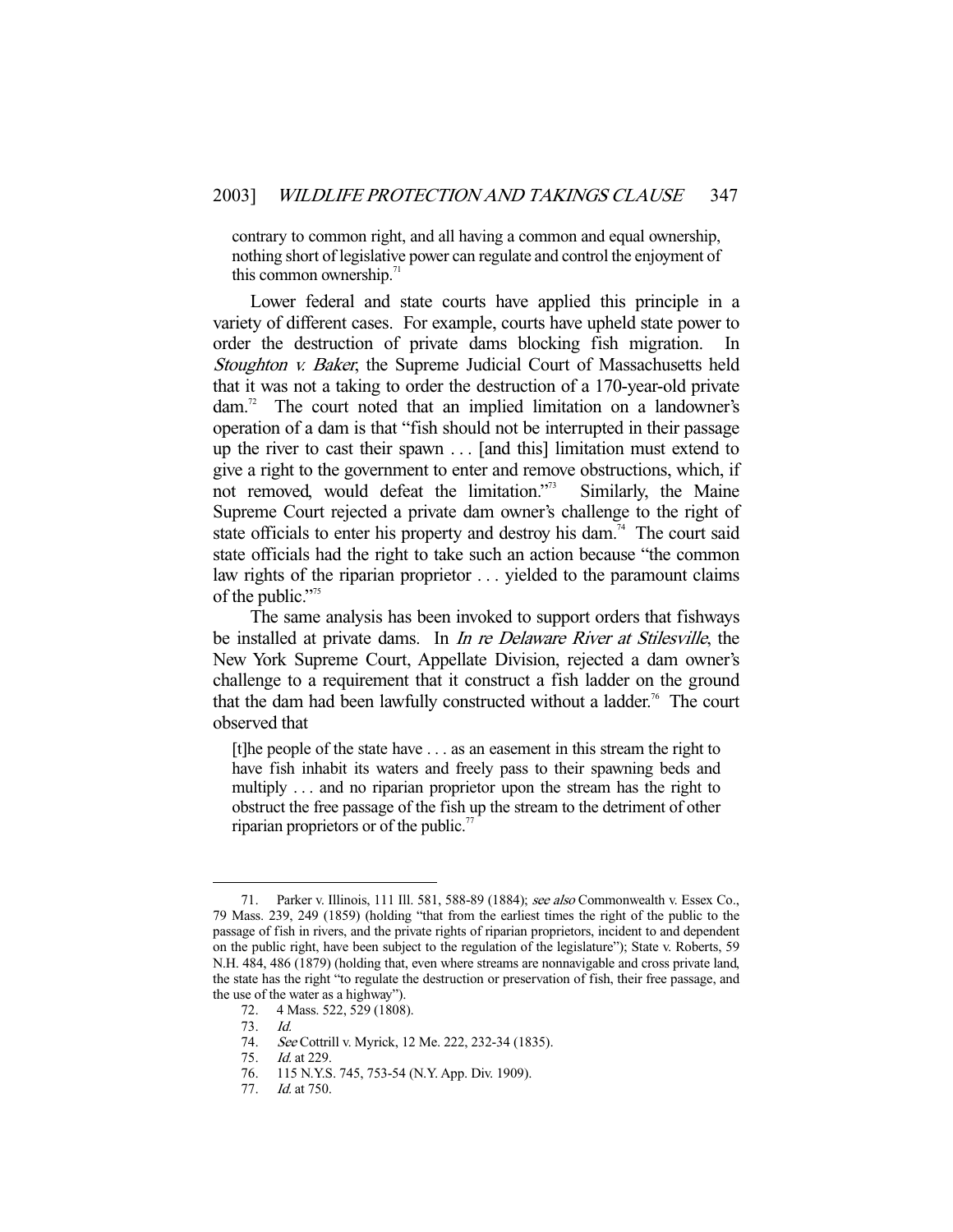contrary to common right, and all having a common and equal ownership, nothing short of legislative power can regulate and control the enjoyment of this common ownership. $\frac{7}{1}$ 

 Lower federal and state courts have applied this principle in a variety of different cases. For example, courts have upheld state power to order the destruction of private dams blocking fish migration. In Stoughton v. Baker, the Supreme Judicial Court of Massachusetts held that it was not a taking to order the destruction of a 170-year-old private dam.<sup>72</sup> The court noted that an implied limitation on a landowner's operation of a dam is that "fish should not be interrupted in their passage up the river to cast their spawn . . . [and this] limitation must extend to give a right to the government to enter and remove obstructions, which, if not removed, would defeat the limitation."73 Similarly, the Maine Supreme Court rejected a private dam owner's challenge to the right of state officials to enter his property and destroy his dam.<sup>74</sup> The court said state officials had the right to take such an action because "the common law rights of the riparian proprietor . . . yielded to the paramount claims of the public."<sup>75</sup>

 The same analysis has been invoked to support orders that fishways be installed at private dams. In *In re Delaware River at Stilesville*, the New York Supreme Court, Appellate Division, rejected a dam owner's challenge to a requirement that it construct a fish ladder on the ground that the dam had been lawfully constructed without a ladder.<sup>76</sup> The court observed that

[t]he people of the state have . . . as an easement in this stream the right to have fish inhabit its waters and freely pass to their spawning beds and multiply . . . and no riparian proprietor upon the stream has the right to obstruct the free passage of the fish up the stream to the detriment of other riparian proprietors or of the public.<sup>77</sup>

<sup>71.</sup> Parker v. Illinois, 111 Ill. 581, 588-89 (1884); see also Commonwealth v. Essex Co., 79 Mass. 239, 249 (1859) (holding "that from the earliest times the right of the public to the passage of fish in rivers, and the private rights of riparian proprietors, incident to and dependent on the public right, have been subject to the regulation of the legislature"); State v. Roberts, 59 N.H. 484, 486 (1879) (holding that, even where streams are nonnavigable and cross private land, the state has the right "to regulate the destruction or preservation of fish, their free passage, and the use of the water as a highway").

 <sup>72. 4</sup> Mass. 522, 529 (1808).

 <sup>73.</sup> Id.

<sup>74.</sup> See Cottrill v. Myrick, 12 Me. 222, 232-34 (1835).<br>75. Id. at 229.

<sup>75.</sup> *Id.* at 229<br>76. 115 N.Y.S

<sup>115</sup> N.Y.S. 745, 753-54 (N.Y. App. Div. 1909).

 <sup>77.</sup> Id. at 750.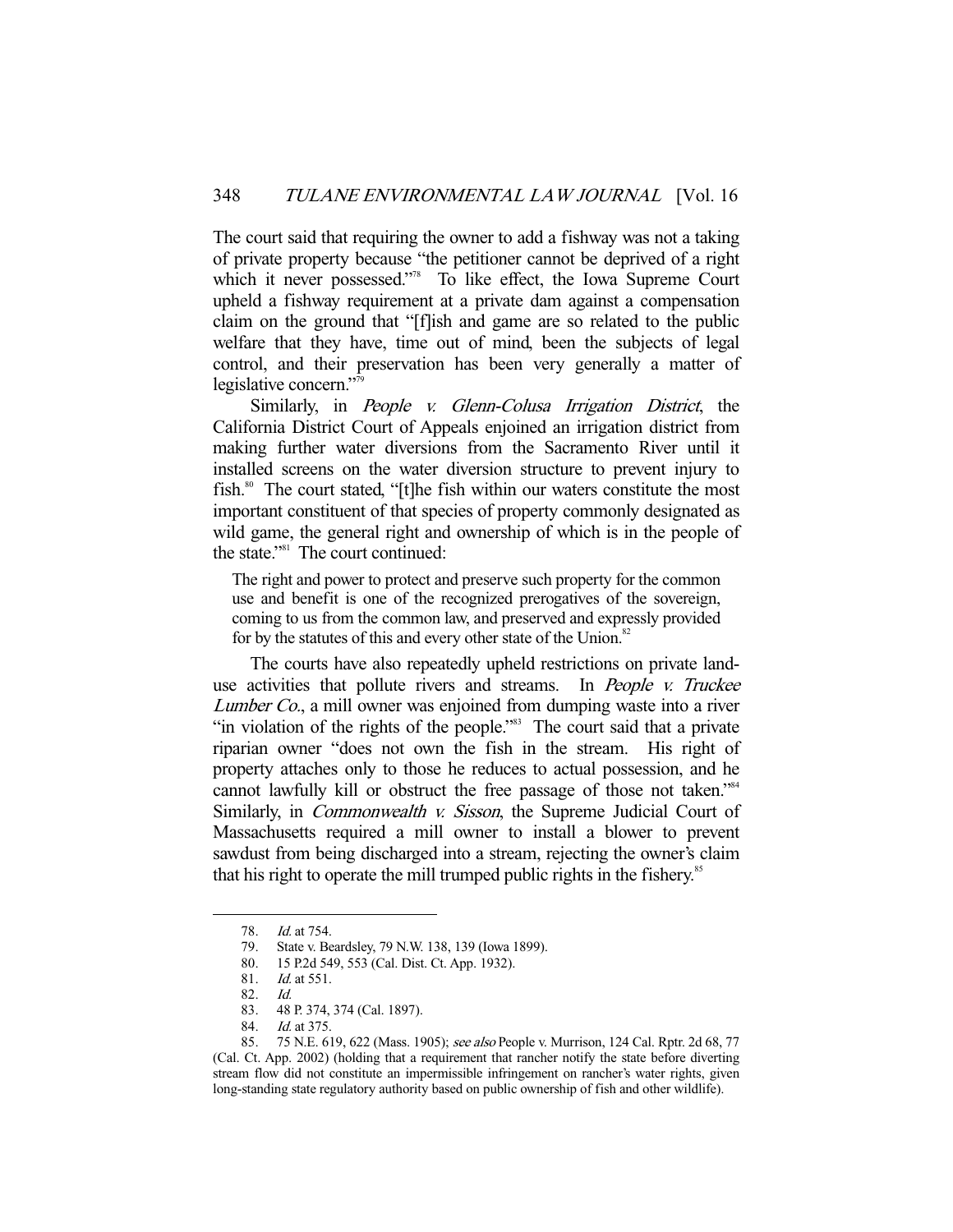The court said that requiring the owner to add a fishway was not a taking of private property because "the petitioner cannot be deprived of a right which it never possessed."<sup>8</sup> To like effect, the Iowa Supreme Court upheld a fishway requirement at a private dam against a compensation claim on the ground that "[f]ish and game are so related to the public welfare that they have, time out of mind, been the subjects of legal control, and their preservation has been very generally a matter of legislative concern."<sup>79</sup>

Similarly, in People v. Glenn-Colusa Irrigation District, the California District Court of Appeals enjoined an irrigation district from making further water diversions from the Sacramento River until it installed screens on the water diversion structure to prevent injury to fish.<sup>80</sup> The court stated, "[t]he fish within our waters constitute the most important constituent of that species of property commonly designated as wild game, the general right and ownership of which is in the people of the state." $s<sup>81</sup>$  The court continued:

The right and power to protect and preserve such property for the common use and benefit is one of the recognized prerogatives of the sovereign, coming to us from the common law, and preserved and expressly provided for by the statutes of this and every other state of the Union.<sup>82</sup>

 The courts have also repeatedly upheld restrictions on private landuse activities that pollute rivers and streams. In People v. Truckee Lumber Co., a mill owner was enjoined from dumping waste into a river "in violation of the rights of the people."<sup>83</sup> The court said that a private riparian owner "does not own the fish in the stream. His right of property attaches only to those he reduces to actual possession, and he cannot lawfully kill or obstruct the free passage of those not taken."<sup>84</sup> Similarly, in *Commonwealth v. Sisson*, the Supreme Judicial Court of Massachusetts required a mill owner to install a blower to prevent sawdust from being discharged into a stream, rejecting the owner's claim that his right to operate the mill trumped public rights in the fishery.<sup>85</sup>

<sup>78.</sup> *Id.* at 754.<br>79. State v. Be

State v. Beardsley, 79 N.W. 138, 139 (Iowa 1899).

 <sup>80. 15</sup> P.2d 549, 553 (Cal. Dist. Ct. App. 1932).

 <sup>81.</sup> Id. at 551.

<sup>82.</sup> *Id.*<br>83. 48

 <sup>83. 48</sup> P. 374, 374 (Cal. 1897).

<sup>84.</sup> *Id.* at 375.

<sup>85. 75</sup> N.E. 619, 622 (Mass. 1905); see also People v. Murrison, 124 Cal. Rptr. 2d 68, 77 (Cal. Ct. App. 2002) (holding that a requirement that rancher notify the state before diverting stream flow did not constitute an impermissible infringement on rancher's water rights, given long-standing state regulatory authority based on public ownership of fish and other wildlife).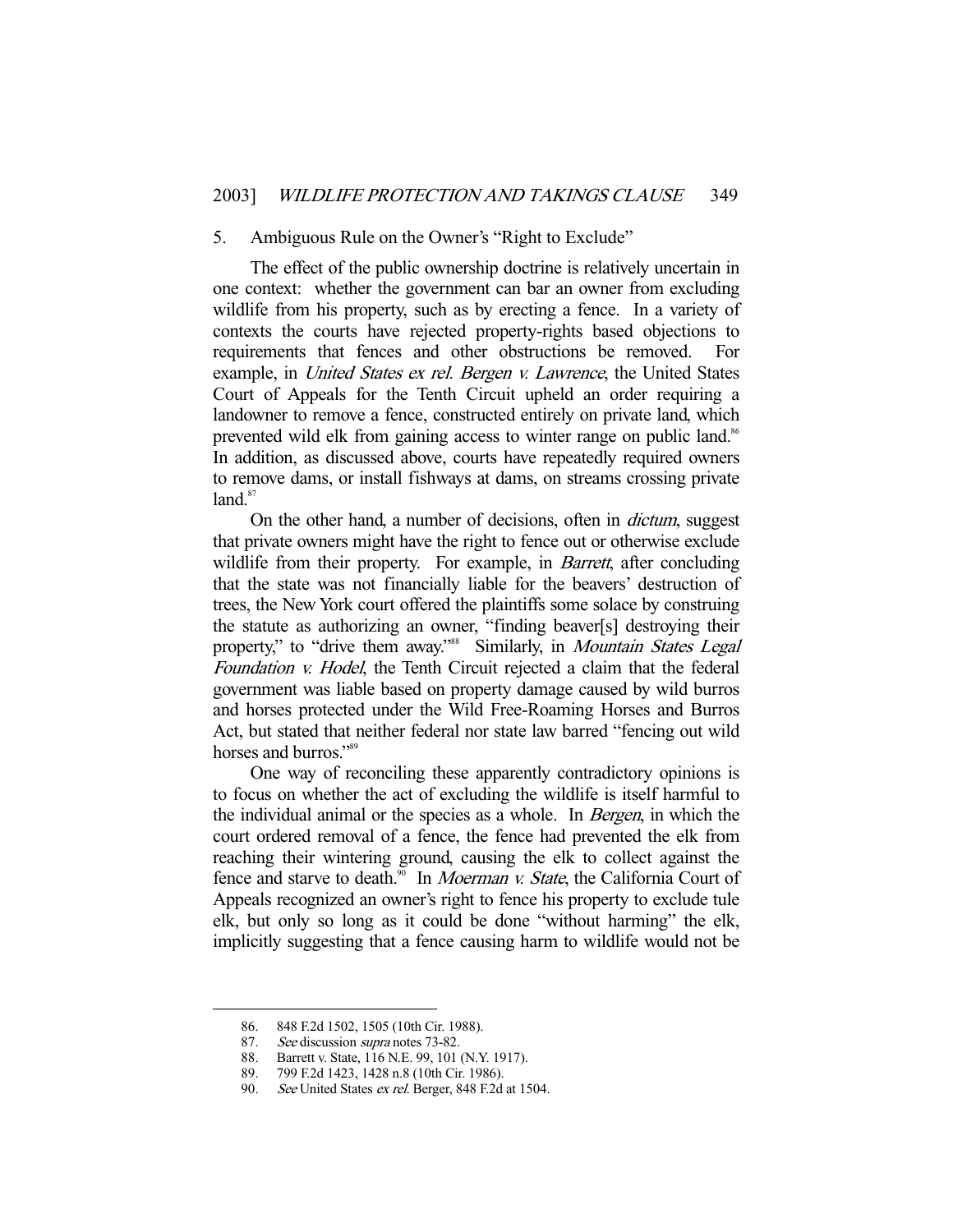#### 5. Ambiguous Rule on the Owner's "Right to Exclude"

 The effect of the public ownership doctrine is relatively uncertain in one context: whether the government can bar an owner from excluding wildlife from his property, such as by erecting a fence. In a variety of contexts the courts have rejected property-rights based objections to requirements that fences and other obstructions be removed. For example, in *United States ex rel. Bergen v. Lawrence*, the United States Court of Appeals for the Tenth Circuit upheld an order requiring a landowner to remove a fence, constructed entirely on private land, which prevented wild elk from gaining access to winter range on public land.<sup>86</sup> In addition, as discussed above, courts have repeatedly required owners to remove dams, or install fishways at dams, on streams crossing private  $land.<sup>87</sup>$ 

 On the other hand, a number of decisions, often in dictum, suggest that private owners might have the right to fence out or otherwise exclude wildlife from their property. For example, in *Barrett*, after concluding that the state was not financially liable for the beavers' destruction of trees, the New York court offered the plaintiffs some solace by construing the statute as authorizing an owner, "finding beaver[s] destroying their property," to "drive them away."<sup>88</sup> Similarly, in *Mountain States Legal* Foundation v. Hodel, the Tenth Circuit rejected a claim that the federal government was liable based on property damage caused by wild burros and horses protected under the Wild Free-Roaming Horses and Burros Act, but stated that neither federal nor state law barred "fencing out wild horses and burros."<sup>89</sup>

 One way of reconciling these apparently contradictory opinions is to focus on whether the act of excluding the wildlife is itself harmful to the individual animal or the species as a whole. In Bergen, in which the court ordered removal of a fence, the fence had prevented the elk from reaching their wintering ground, causing the elk to collect against the fence and starve to death.<sup>90</sup> In *Moerman v. State*, the California Court of Appeals recognized an owner's right to fence his property to exclude tule elk, but only so long as it could be done "without harming" the elk, implicitly suggesting that a fence causing harm to wildlife would not be

 <sup>86. 848</sup> F.2d 1502, 1505 (10th Cir. 1988).

<sup>87.</sup> See discussion supra notes 73-82.

 <sup>88.</sup> Barrett v. State, 116 N.E. 99, 101 (N.Y. 1917).

 <sup>89. 799</sup> F.2d 1423, 1428 n.8 (10th Cir. 1986).

<sup>90.</sup> See United States ex rel. Berger, 848 F.2d at 1504.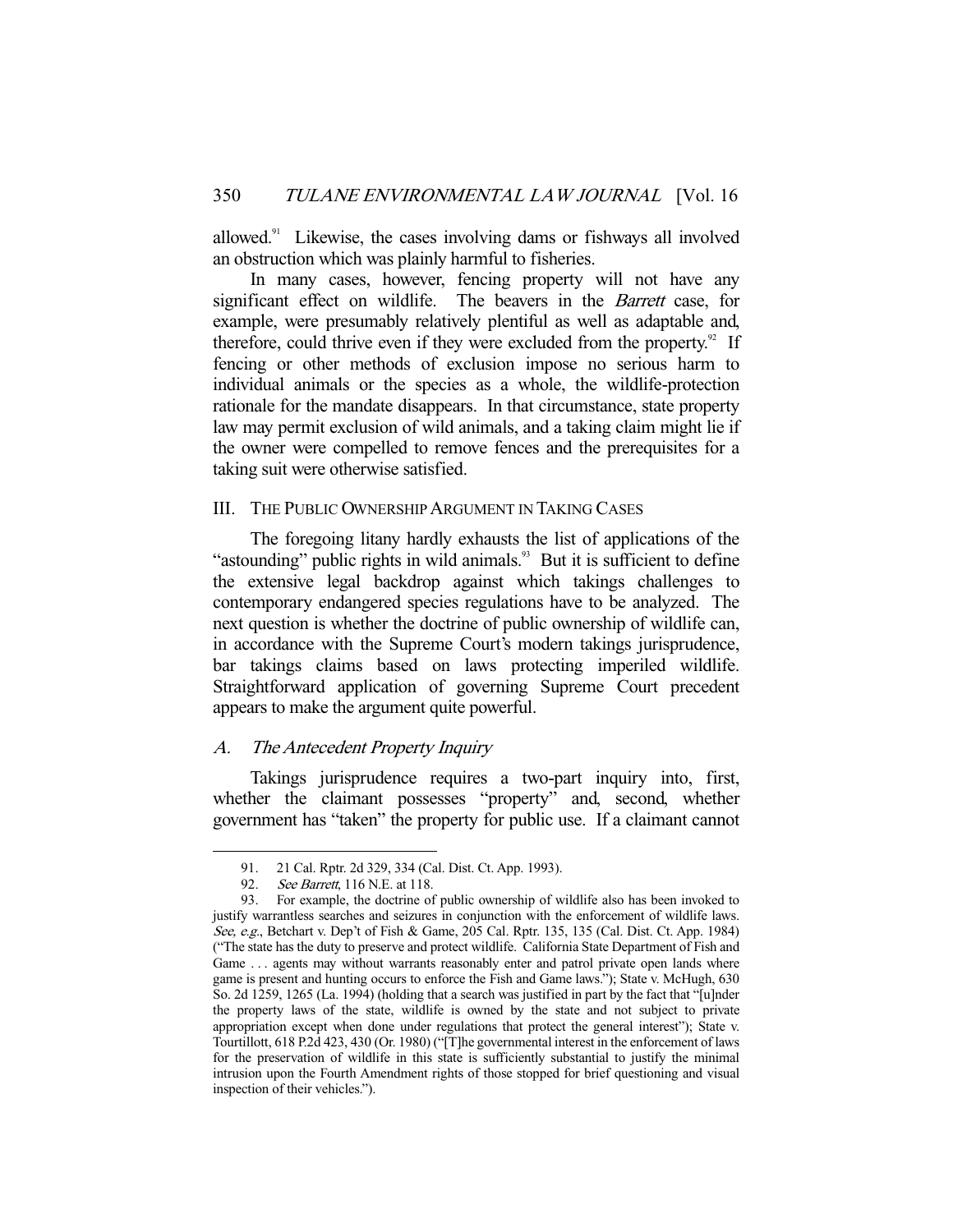allowed.91 Likewise, the cases involving dams or fishways all involved an obstruction which was plainly harmful to fisheries.

 In many cases, however, fencing property will not have any significant effect on wildlife. The beavers in the *Barrett* case, for example, were presumably relatively plentiful as well as adaptable and, therefore, could thrive even if they were excluded from the property.<sup>92</sup> If fencing or other methods of exclusion impose no serious harm to individual animals or the species as a whole, the wildlife-protection rationale for the mandate disappears. In that circumstance, state property law may permit exclusion of wild animals, and a taking claim might lie if the owner were compelled to remove fences and the prerequisites for a taking suit were otherwise satisfied.

## III. THE PUBLIC OWNERSHIP ARGUMENT IN TAKING CASES

 The foregoing litany hardly exhausts the list of applications of the "astounding" public rights in wild animals.<sup>93</sup> But it is sufficient to define the extensive legal backdrop against which takings challenges to contemporary endangered species regulations have to be analyzed. The next question is whether the doctrine of public ownership of wildlife can, in accordance with the Supreme Court's modern takings jurisprudence, bar takings claims based on laws protecting imperiled wildlife. Straightforward application of governing Supreme Court precedent appears to make the argument quite powerful.

## A. The Antecedent Property Inquiry

 Takings jurisprudence requires a two-part inquiry into, first, whether the claimant possesses "property" and, second, whether government has "taken" the property for public use. If a claimant cannot

 <sup>91. 21</sup> Cal. Rptr. 2d 329, 334 (Cal. Dist. Ct. App. 1993).

<sup>92.</sup> See Barrett, 116 N.E. at 118.

 <sup>93.</sup> For example, the doctrine of public ownership of wildlife also has been invoked to justify warrantless searches and seizures in conjunction with the enforcement of wildlife laws. See, e.g., Betchart v. Dep't of Fish & Game, 205 Cal. Rptr. 135, 135 (Cal. Dist. Ct. App. 1984) ("The state has the duty to preserve and protect wildlife. California State Department of Fish and Game ... agents may without warrants reasonably enter and patrol private open lands where game is present and hunting occurs to enforce the Fish and Game laws."); State v. McHugh, 630 So. 2d 1259, 1265 (La. 1994) (holding that a search was justified in part by the fact that "[u]nder the property laws of the state, wildlife is owned by the state and not subject to private appropriation except when done under regulations that protect the general interest"); State v. Tourtillott, 618 P.2d 423, 430 (Or. 1980) ("[T]he governmental interest in the enforcement of laws for the preservation of wildlife in this state is sufficiently substantial to justify the minimal intrusion upon the Fourth Amendment rights of those stopped for brief questioning and visual inspection of their vehicles.").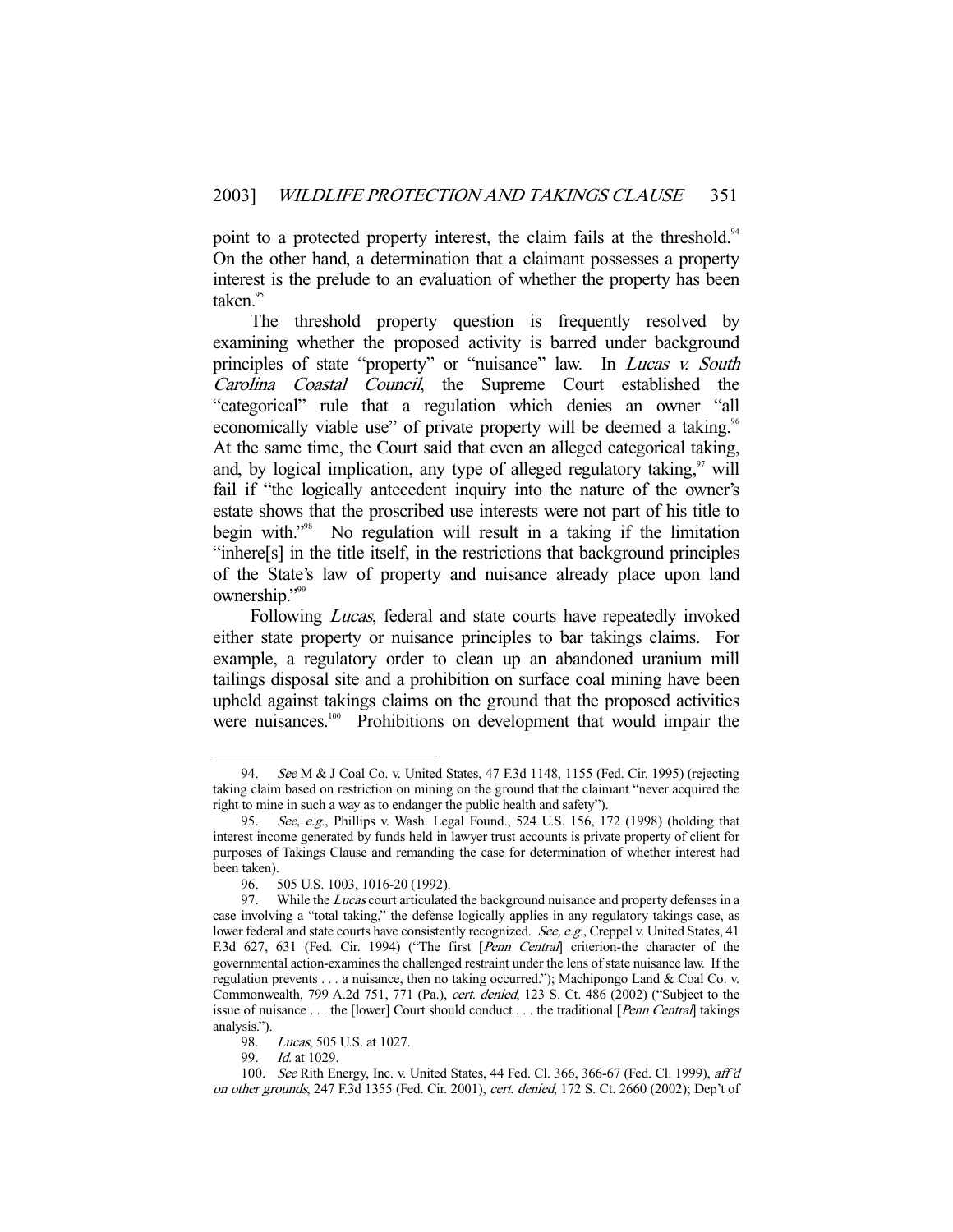point to a protected property interest, the claim fails at the threshold.<sup>94</sup> On the other hand, a determination that a claimant possesses a property interest is the prelude to an evaluation of whether the property has been taken.<sup>95</sup>

 The threshold property question is frequently resolved by examining whether the proposed activity is barred under background principles of state "property" or "nuisance" law. In *Lucas v. South* Carolina Coastal Council, the Supreme Court established the "categorical" rule that a regulation which denies an owner "all economically viable use" of private property will be deemed a taking.<sup>96</sup> At the same time, the Court said that even an alleged categorical taking, and, by logical implication, any type of alleged regulatory taking, $\frac{97}{1}$  will fail if "the logically antecedent inquiry into the nature of the owner's estate shows that the proscribed use interests were not part of his title to begin with."98 No regulation will result in a taking if the limitation "inhere[s] in the title itself, in the restrictions that background principles of the State's law of property and nuisance already place upon land ownership."<sup>99</sup>

Following *Lucas*, federal and state courts have repeatedly invoked either state property or nuisance principles to bar takings claims. For example, a regulatory order to clean up an abandoned uranium mill tailings disposal site and a prohibition on surface coal mining have been upheld against takings claims on the ground that the proposed activities were nuisances.<sup>100</sup> Prohibitions on development that would impair the

<sup>94.</sup> See M & J Coal Co. v. United States, 47 F.3d 1148, 1155 (Fed. Cir. 1995) (rejecting taking claim based on restriction on mining on the ground that the claimant "never acquired the right to mine in such a way as to endanger the public health and safety").

 <sup>95.</sup> See, e.g., Phillips v. Wash. Legal Found., 524 U.S. 156, 172 (1998) (holding that interest income generated by funds held in lawyer trust accounts is private property of client for purposes of Takings Clause and remanding the case for determination of whether interest had been taken).

 <sup>96. 505</sup> U.S. 1003, 1016-20 (1992).

<sup>97.</sup> While the *Lucas* court articulated the background nuisance and property defenses in a case involving a "total taking," the defense logically applies in any regulatory takings case, as lower federal and state courts have consistently recognized. See, e.g., Creppel v. United States, 41 F.3d 627, 631 (Fed. Cir. 1994) ("The first [Penn Central] criterion-the character of the governmental action-examines the challenged restraint under the lens of state nuisance law. If the regulation prevents . . . a nuisance, then no taking occurred."); Machipongo Land & Coal Co. v. Commonwealth, 799 A.2d 751, 771 (Pa.), cert. denied, 123 S. Ct. 486 (2002) ("Subject to the issue of nuisance . . . the [lower] Court should conduct . . . the traditional [Penn Central] takings analysis.").

<sup>98.</sup> Lucas, 505 U.S. at 1027.

 <sup>99.</sup> Id. at 1029.

 <sup>100.</sup> See Rith Energy, Inc. v. United States, 44 Fed. Cl. 366, 366-67 (Fed. Cl. 1999), aff'd on other grounds, 247 F.3d 1355 (Fed. Cir. 2001), cert. denied, 172 S. Ct. 2660 (2002); Dep't of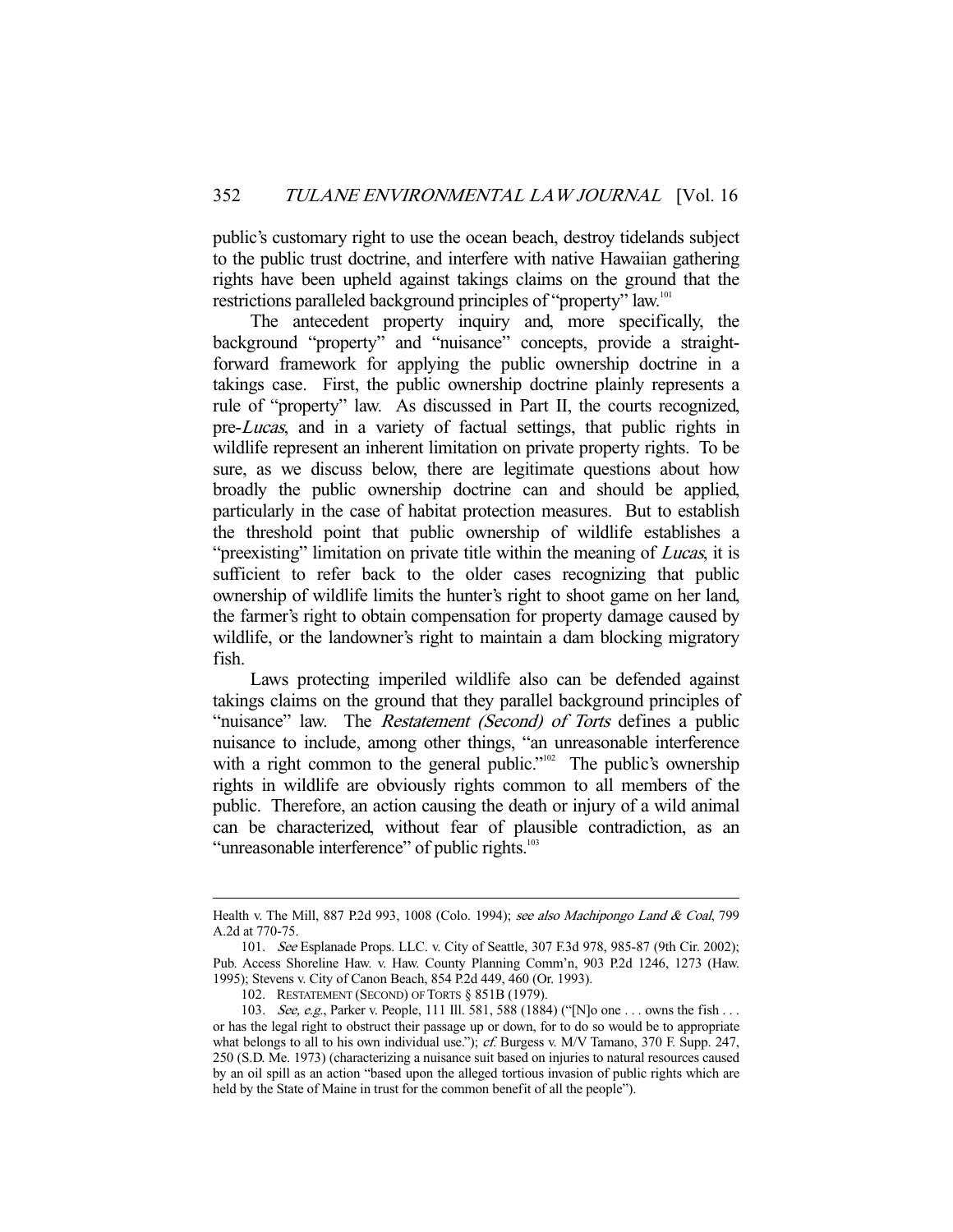public's customary right to use the ocean beach, destroy tidelands subject to the public trust doctrine, and interfere with native Hawaiian gathering rights have been upheld against takings claims on the ground that the restrictions paralleled background principles of "property" law.<sup>101</sup>

 The antecedent property inquiry and, more specifically, the background "property" and "nuisance" concepts, provide a straightforward framework for applying the public ownership doctrine in a takings case. First, the public ownership doctrine plainly represents a rule of "property" law. As discussed in Part II, the courts recognized, pre-Lucas, and in a variety of factual settings, that public rights in wildlife represent an inherent limitation on private property rights. To be sure, as we discuss below, there are legitimate questions about how broadly the public ownership doctrine can and should be applied, particularly in the case of habitat protection measures. But to establish the threshold point that public ownership of wildlife establishes a "preexisting" limitation on private title within the meaning of *Lucas*, it is sufficient to refer back to the older cases recognizing that public ownership of wildlife limits the hunter's right to shoot game on her land, the farmer's right to obtain compensation for property damage caused by wildlife, or the landowner's right to maintain a dam blocking migratory fish.

 Laws protecting imperiled wildlife also can be defended against takings claims on the ground that they parallel background principles of "nuisance" law. The *Restatement (Second) of Torts* defines a public nuisance to include, among other things, "an unreasonable interference with a right common to the general public." $102$  The public's ownership rights in wildlife are obviously rights common to all members of the public. Therefore, an action causing the death or injury of a wild animal can be characterized, without fear of plausible contradiction, as an "unreasonable interference" of public rights.<sup>103</sup>

Health v. The Mill, 887 P.2d 993, 1008 (Colo. 1994); see also Machipongo Land & Coal, 799 A.2d at 770-75.

 <sup>101.</sup> See Esplanade Props. LLC. v. City of Seattle, 307 F.3d 978, 985-87 (9th Cir. 2002); Pub. Access Shoreline Haw. v. Haw. County Planning Comm'n, 903 P.2d 1246, 1273 (Haw. 1995); Stevens v. City of Canon Beach, 854 P.2d 449, 460 (Or. 1993).

 <sup>102.</sup> RESTATEMENT (SECOND) OF TORTS § 851B (1979).

<sup>103.</sup> See, e.g., Parker v. People, 111 Ill. 581, 588 (1884) ("[N]o one . . . owns the fish . . . or has the legal right to obstruct their passage up or down, for to do so would be to appropriate what belongs to all to his own individual use."); cf. Burgess v. M/V Tamano, 370 F. Supp. 247, 250 (S.D. Me. 1973) (characterizing a nuisance suit based on injuries to natural resources caused by an oil spill as an action "based upon the alleged tortious invasion of public rights which are held by the State of Maine in trust for the common benefit of all the people").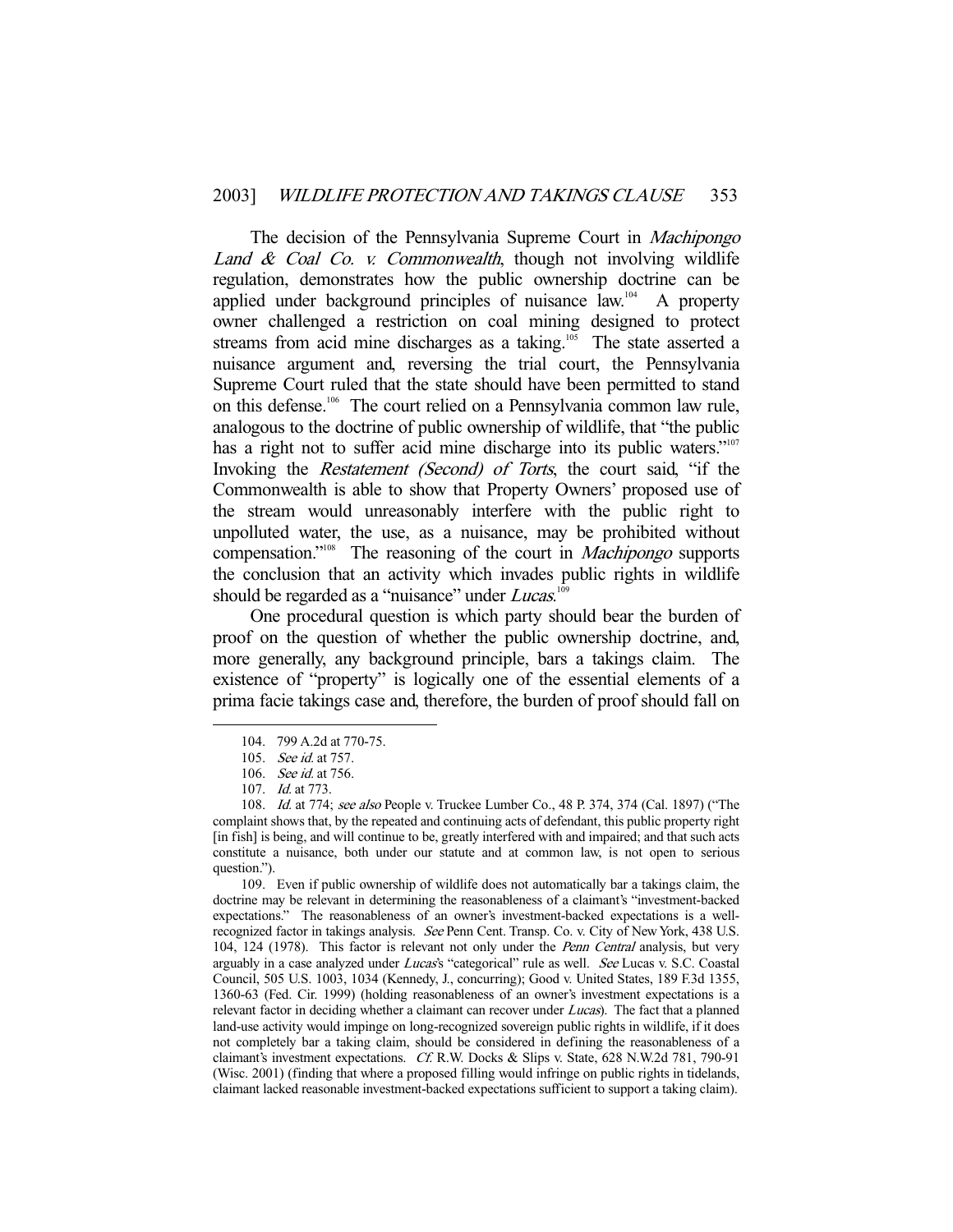The decision of the Pennsylvania Supreme Court in *Machipongo* Land  $\&$  Coal Co. v. Commonwealth, though not involving wildlife regulation, demonstrates how the public ownership doctrine can be applied under background principles of nuisance  $law<sup>104</sup>$ . A property owner challenged a restriction on coal mining designed to protect streams from acid mine discharges as a taking.<sup>105</sup> The state asserted a nuisance argument and, reversing the trial court, the Pennsylvania Supreme Court ruled that the state should have been permitted to stand on this defense.<sup>106</sup> The court relied on a Pennsylvania common law rule, analogous to the doctrine of public ownership of wildlife, that "the public has a right not to suffer acid mine discharge into its public waters."<sup>107</sup> Invoking the Restatement (Second) of Torts, the court said, "if the Commonwealth is able to show that Property Owners' proposed use of the stream would unreasonably interfere with the public right to unpolluted water, the use, as a nuisance, may be prohibited without compensation."<sup>108</sup> The reasoning of the court in *Machipongo* supports the conclusion that an activity which invades public rights in wildlife should be regarded as a "nuisance" under Lucas.<sup>109</sup>

 One procedural question is which party should bear the burden of proof on the question of whether the public ownership doctrine, and, more generally, any background principle, bars a takings claim. The existence of "property" is logically one of the essential elements of a prima facie takings case and, therefore, the burden of proof should fall on

-

 109. Even if public ownership of wildlife does not automatically bar a takings claim, the doctrine may be relevant in determining the reasonableness of a claimant's "investment-backed expectations." The reasonableness of an owner's investment-backed expectations is a wellrecognized factor in takings analysis. See Penn Cent. Transp. Co. v. City of New York, 438 U.S. 104, 124 (1978). This factor is relevant not only under the Penn Central analysis, but very arguably in a case analyzed under Lucas's "categorical" rule as well. See Lucas v. S.C. Coastal Council, 505 U.S. 1003, 1034 (Kennedy, J., concurring); Good v. United States, 189 F.3d 1355, 1360-63 (Fed. Cir. 1999) (holding reasonableness of an owner's investment expectations is a relevant factor in deciding whether a claimant can recover under *Lucas*). The fact that a planned land-use activity would impinge on long-recognized sovereign public rights in wildlife, if it does not completely bar a taking claim, should be considered in defining the reasonableness of a claimant's investment expectations. Cf. R.W. Docks & Slips v. State, 628 N.W.2d 781, 790-91 (Wisc. 2001) (finding that where a proposed filling would infringe on public rights in tidelands, claimant lacked reasonable investment-backed expectations sufficient to support a taking claim).

 <sup>104. 799</sup> A.2d at 770-75.

 <sup>105.</sup> See id. at 757.

 <sup>106.</sup> See id. at 756.

 <sup>107.</sup> Id. at 773.

<sup>108.</sup> *Id.* at 774; see also People v. Truckee Lumber Co., 48 P. 374, 374 (Cal. 1897) ("The complaint shows that, by the repeated and continuing acts of defendant, this public property right [in fish] is being, and will continue to be, greatly interfered with and impaired; and that such acts constitute a nuisance, both under our statute and at common law, is not open to serious question.").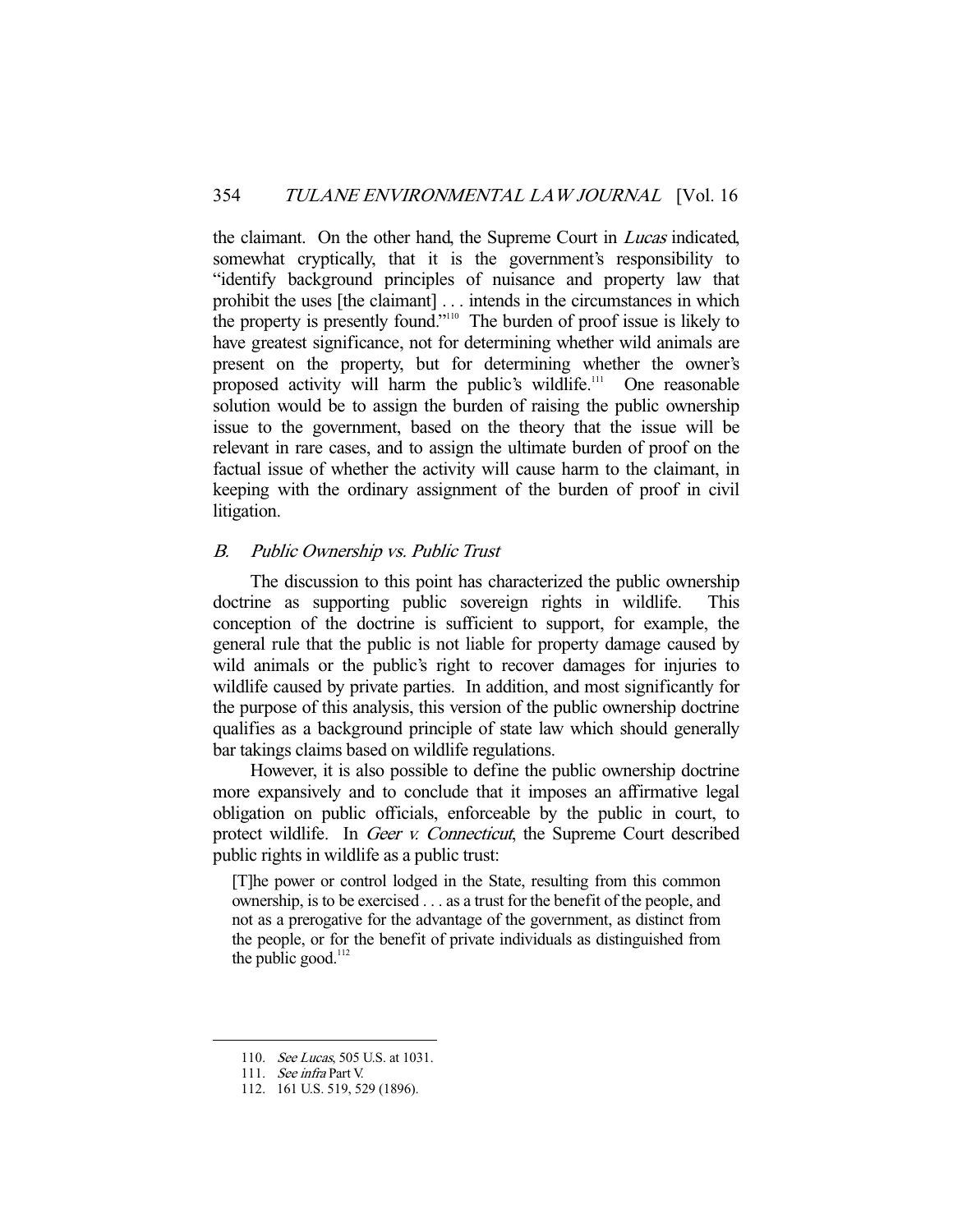the claimant. On the other hand, the Supreme Court in Lucas indicated, somewhat cryptically, that it is the government's responsibility to "identify background principles of nuisance and property law that prohibit the uses [the claimant] . . . intends in the circumstances in which the property is presently found."<sup>110</sup> The burden of proof issue is likely to have greatest significance, not for determining whether wild animals are present on the property, but for determining whether the owner's proposed activity will harm the public's wildlife.<sup>111</sup> One reasonable solution would be to assign the burden of raising the public ownership issue to the government, based on the theory that the issue will be relevant in rare cases, and to assign the ultimate burden of proof on the factual issue of whether the activity will cause harm to the claimant, in keeping with the ordinary assignment of the burden of proof in civil litigation.

#### B. Public Ownership vs. Public Trust

 The discussion to this point has characterized the public ownership doctrine as supporting public sovereign rights in wildlife. This conception of the doctrine is sufficient to support, for example, the general rule that the public is not liable for property damage caused by wild animals or the public's right to recover damages for injuries to wildlife caused by private parties. In addition, and most significantly for the purpose of this analysis, this version of the public ownership doctrine qualifies as a background principle of state law which should generally bar takings claims based on wildlife regulations.

 However, it is also possible to define the public ownership doctrine more expansively and to conclude that it imposes an affirmative legal obligation on public officials, enforceable by the public in court, to protect wildlife. In Geer v. Connecticut, the Supreme Court described public rights in wildlife as a public trust:

[T]he power or control lodged in the State, resulting from this common ownership, is to be exercised . . . as a trust for the benefit of the people, and not as a prerogative for the advantage of the government, as distinct from the people, or for the benefit of private individuals as distinguished from the public good. $112$ 

<sup>110.</sup> See Lucas, 505 U.S. at 1031.

 <sup>111.</sup> See infra Part V.

 <sup>112. 161</sup> U.S. 519, 529 (1896).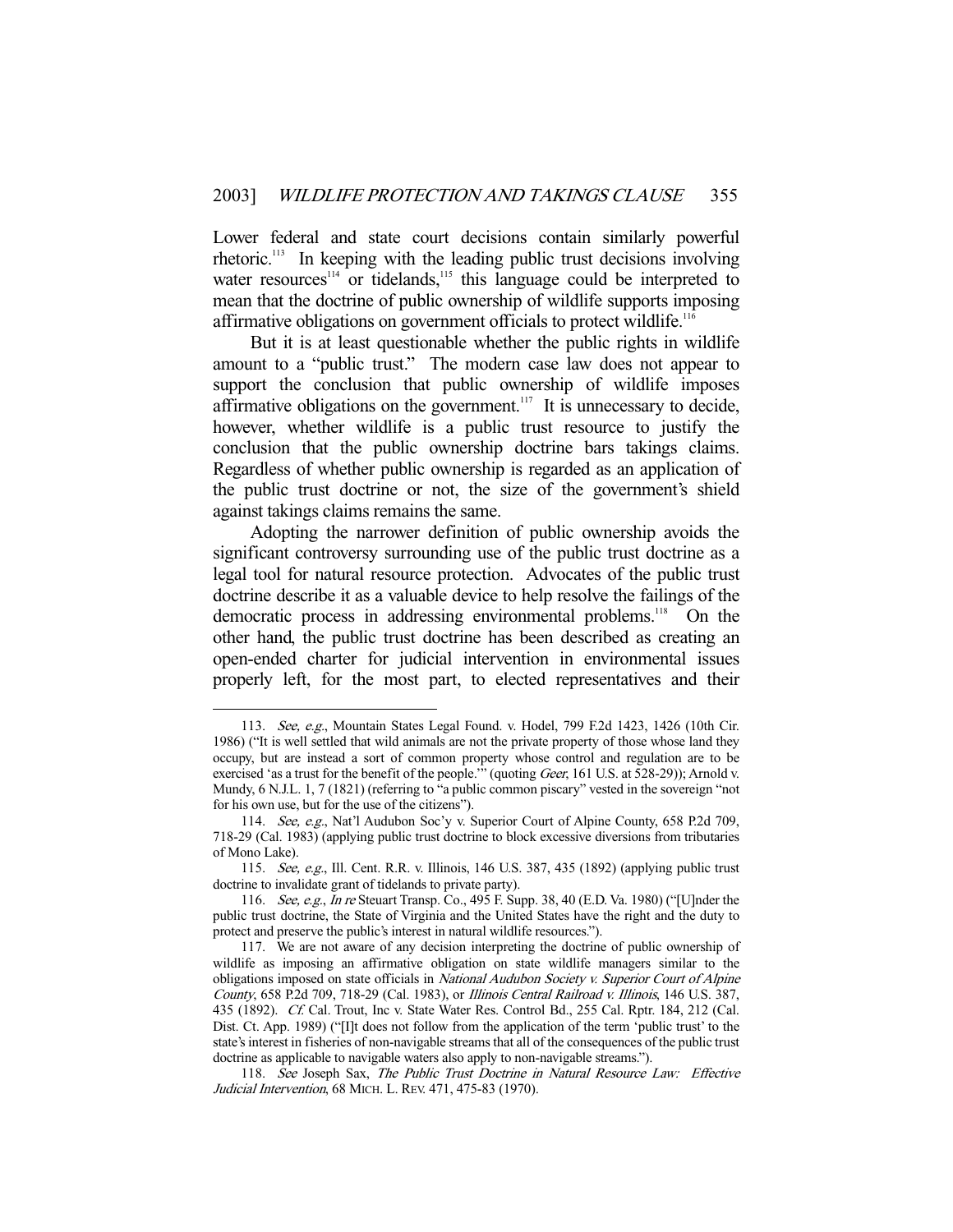Lower federal and state court decisions contain similarly powerful rhetoric.113 In keeping with the leading public trust decisions involving water resources<sup>114</sup> or tidelands,<sup>115</sup> this language could be interpreted to mean that the doctrine of public ownership of wildlife supports imposing affirmative obligations on government officials to protect wildlife.<sup>116</sup>

 But it is at least questionable whether the public rights in wildlife amount to a "public trust." The modern case law does not appear to support the conclusion that public ownership of wildlife imposes affirmative obligations on the government.<sup>117</sup> It is unnecessary to decide, however, whether wildlife is a public trust resource to justify the conclusion that the public ownership doctrine bars takings claims. Regardless of whether public ownership is regarded as an application of the public trust doctrine or not, the size of the government's shield against takings claims remains the same.

 Adopting the narrower definition of public ownership avoids the significant controversy surrounding use of the public trust doctrine as a legal tool for natural resource protection. Advocates of the public trust doctrine describe it as a valuable device to help resolve the failings of the democratic process in addressing environmental problems.<sup>118</sup> On the other hand, the public trust doctrine has been described as creating an open-ended charter for judicial intervention in environmental issues properly left, for the most part, to elected representatives and their

 <sup>113.</sup> See, e.g., Mountain States Legal Found. v. Hodel, 799 F.2d 1423, 1426 (10th Cir. 1986) ("It is well settled that wild animals are not the private property of those whose land they occupy, but are instead a sort of common property whose control and regulation are to be exercised 'as a trust for the benefit of the people.'" (quoting Geer, 161 U.S. at 528-29)); Arnold v. Mundy, 6 N.J.L. 1, 7 (1821) (referring to "a public common piscary" vested in the sovereign "not for his own use, but for the use of the citizens").

 <sup>114.</sup> See, e.g., Nat'l Audubon Soc'y v. Superior Court of Alpine County, 658 P.2d 709, 718-29 (Cal. 1983) (applying public trust doctrine to block excessive diversions from tributaries of Mono Lake).

 <sup>115.</sup> See, e.g., Ill. Cent. R.R. v. Illinois, 146 U.S. 387, 435 (1892) (applying public trust doctrine to invalidate grant of tidelands to private party).

 <sup>116.</sup> See, e.g., In re Steuart Transp. Co., 495 F. Supp. 38, 40 (E.D. Va. 1980) ("[U]nder the public trust doctrine, the State of Virginia and the United States have the right and the duty to protect and preserve the public's interest in natural wildlife resources.").

 <sup>117.</sup> We are not aware of any decision interpreting the doctrine of public ownership of wildlife as imposing an affirmative obligation on state wildlife managers similar to the obligations imposed on state officials in National Audubon Society v. Superior Court of Alpine County, 658 P.2d 709, 718-29 (Cal. 1983), or Illinois Central Railroad v. Illinois, 146 U.S. 387, 435 (1892). Cf. Cal. Trout, Inc v. State Water Res. Control Bd., 255 Cal. Rptr. 184, 212 (Cal. Dist. Ct. App. 1989) ("[I]t does not follow from the application of the term 'public trust' to the state's interest in fisheries of non-navigable streams that all of the consequences of the public trust doctrine as applicable to navigable waters also apply to non-navigable streams.").

<sup>118.</sup> See Joseph Sax, The Public Trust Doctrine in Natural Resource Law: Effective Judicial Intervention, 68 MICH. L. REV. 471, 475-83 (1970).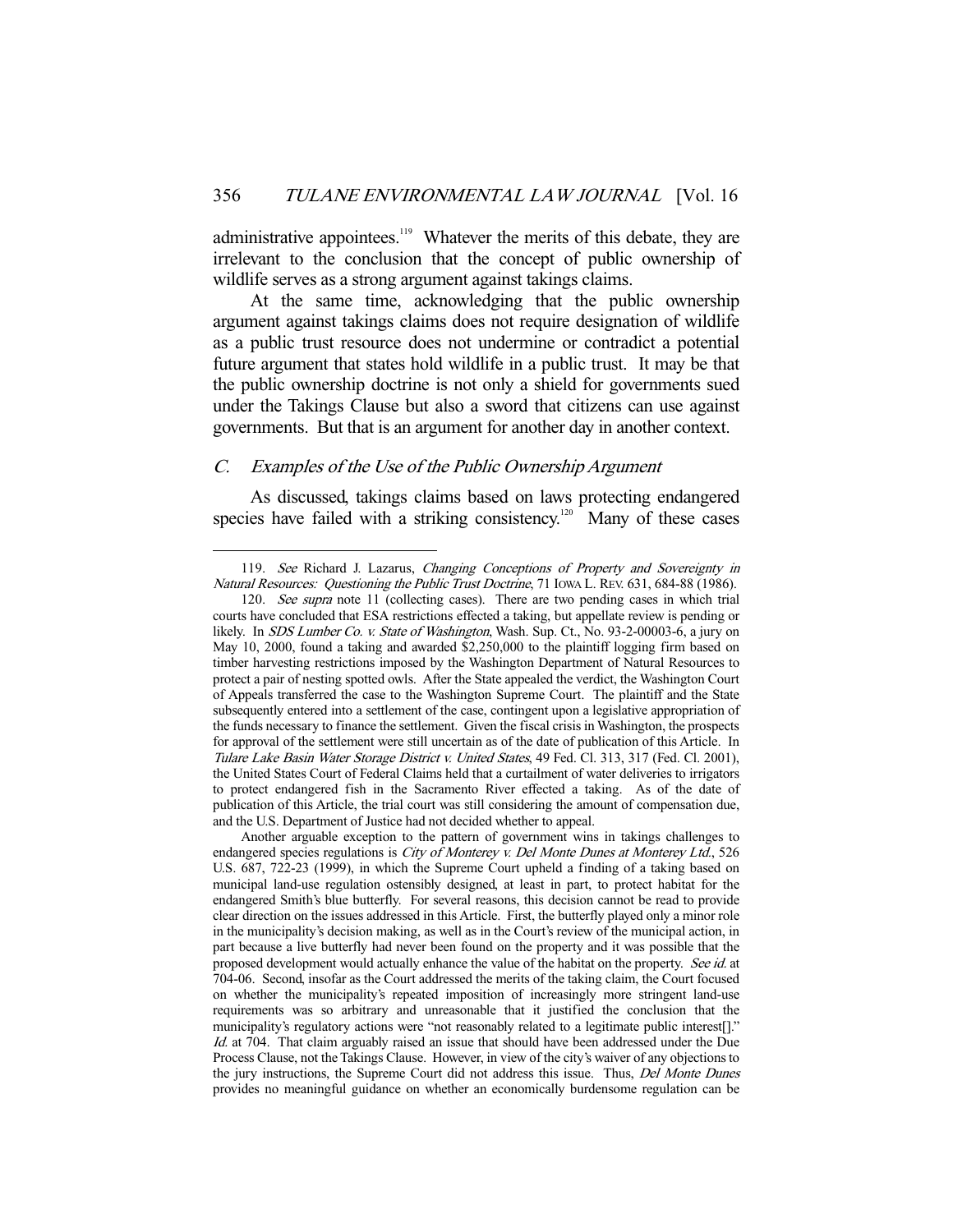administrative appointees.<sup>119</sup> Whatever the merits of this debate, they are irrelevant to the conclusion that the concept of public ownership of wildlife serves as a strong argument against takings claims.

 At the same time, acknowledging that the public ownership argument against takings claims does not require designation of wildlife as a public trust resource does not undermine or contradict a potential future argument that states hold wildlife in a public trust. It may be that the public ownership doctrine is not only a shield for governments sued under the Takings Clause but also a sword that citizens can use against governments. But that is an argument for another day in another context.

## C. Examples of the Use of the Public Ownership Argument

-

 As discussed, takings claims based on laws protecting endangered species have failed with a striking consistency.<sup>120</sup> Many of these cases

<sup>119.</sup> See Richard J. Lazarus, Changing Conceptions of Property and Sovereignty in Natural Resources: Questioning the Public Trust Doctrine, 71 IOWA L. REV. 631, 684-88 (1986).

<sup>120.</sup> See supra note 11 (collecting cases). There are two pending cases in which trial courts have concluded that ESA restrictions effected a taking, but appellate review is pending or likely. In SDS Lumber Co. v. State of Washington, Wash. Sup. Ct., No. 93-2-00003-6, a jury on May 10, 2000, found a taking and awarded \$2,250,000 to the plaintiff logging firm based on timber harvesting restrictions imposed by the Washington Department of Natural Resources to protect a pair of nesting spotted owls. After the State appealed the verdict, the Washington Court of Appeals transferred the case to the Washington Supreme Court. The plaintiff and the State subsequently entered into a settlement of the case, contingent upon a legislative appropriation of the funds necessary to finance the settlement. Given the fiscal crisis in Washington, the prospects for approval of the settlement were still uncertain as of the date of publication of this Article. In Tulare Lake Basin Water Storage District v. United States, 49 Fed. Cl. 313, 317 (Fed. Cl. 2001), the United States Court of Federal Claims held that a curtailment of water deliveries to irrigators to protect endangered fish in the Sacramento River effected a taking. As of the date of publication of this Article, the trial court was still considering the amount of compensation due, and the U.S. Department of Justice had not decided whether to appeal.

Another arguable exception to the pattern of government wins in takings challenges to endangered species regulations is City of Monterey v. Del Monte Dunes at Monterey Ltd., 526 U.S. 687, 722-23 (1999), in which the Supreme Court upheld a finding of a taking based on municipal land-use regulation ostensibly designed, at least in part, to protect habitat for the endangered Smith's blue butterfly. For several reasons, this decision cannot be read to provide clear direction on the issues addressed in this Article. First, the butterfly played only a minor role in the municipality's decision making, as well as in the Court's review of the municipal action, in part because a live butterfly had never been found on the property and it was possible that the proposed development would actually enhance the value of the habitat on the property. See id. at 704-06. Second, insofar as the Court addressed the merits of the taking claim, the Court focused on whether the municipality's repeated imposition of increasingly more stringent land-use requirements was so arbitrary and unreasonable that it justified the conclusion that the municipality's regulatory actions were "not reasonably related to a legitimate public interest[]." Id. at 704. That claim arguably raised an issue that should have been addressed under the Due Process Clause, not the Takings Clause. However, in view of the city's waiver of any objections to the jury instructions, the Supreme Court did not address this issue. Thus, Del Monte Dunes provides no meaningful guidance on whether an economically burdensome regulation can be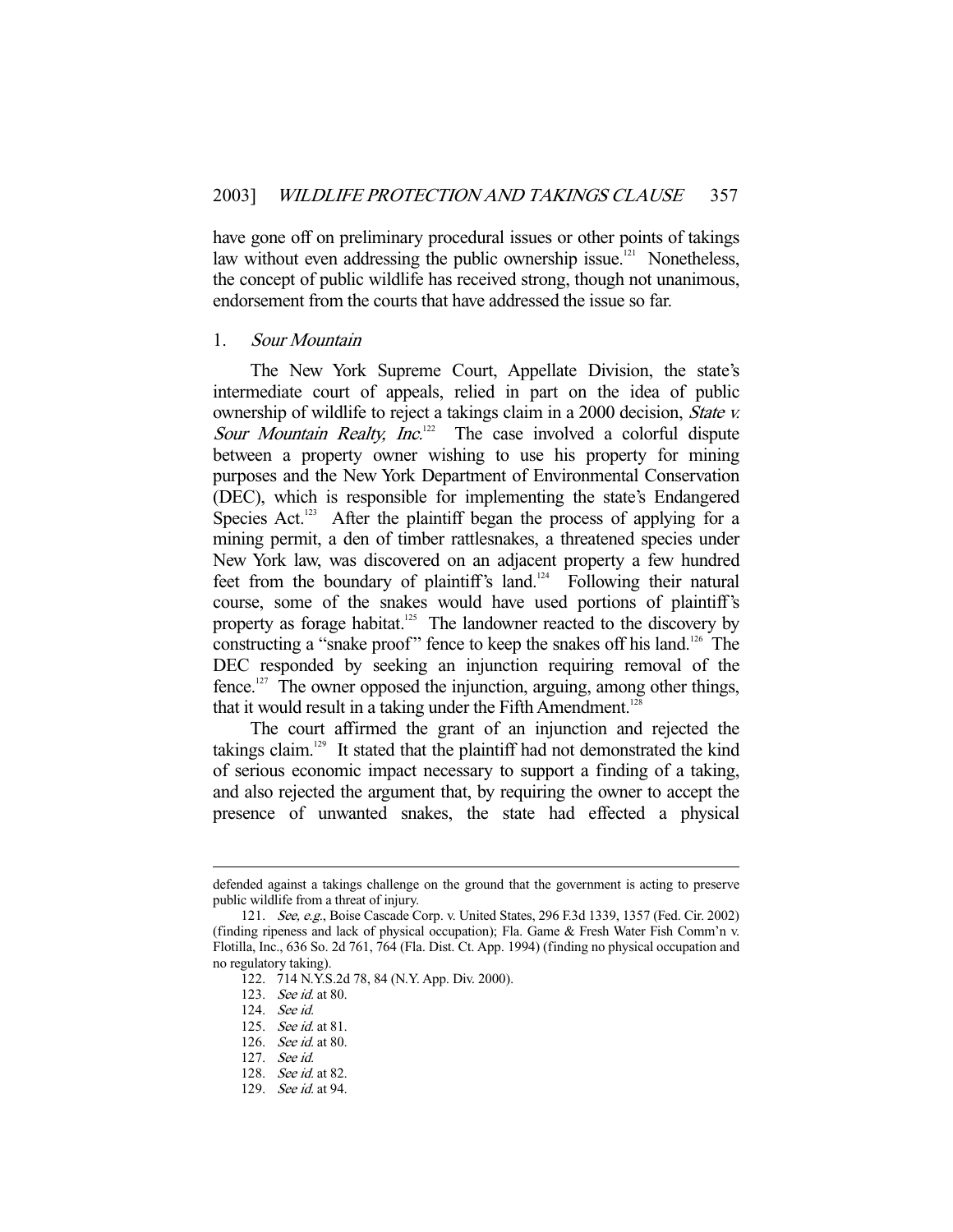have gone off on preliminary procedural issues or other points of takings law without even addressing the public ownership issue.<sup>121</sup> Nonetheless, the concept of public wildlife has received strong, though not unanimous, endorsement from the courts that have addressed the issue so far.

#### 1. Sour Mountain

 The New York Supreme Court, Appellate Division, the state's intermediate court of appeals, relied in part on the idea of public ownership of wildlife to reject a takings claim in a 2000 decision, State v. Sour Mountain Realty, Inc.<sup>122</sup> The case involved a colorful dispute between a property owner wishing to use his property for mining purposes and the New York Department of Environmental Conservation (DEC), which is responsible for implementing the state's Endangered Species Act. $123$  After the plaintiff began the process of applying for a mining permit, a den of timber rattlesnakes, a threatened species under New York law, was discovered on an adjacent property a few hundred feet from the boundary of plaintiff's land.<sup>124</sup> Following their natural course, some of the snakes would have used portions of plaintiff's property as forage habitat.<sup>125</sup> The landowner reacted to the discovery by constructing a "snake proof" fence to keep the snakes off his land.<sup>126</sup> The DEC responded by seeking an injunction requiring removal of the fence.127 The owner opposed the injunction, arguing, among other things, that it would result in a taking under the Fifth Amendment.<sup>128</sup>

 The court affirmed the grant of an injunction and rejected the takings claim.129 It stated that the plaintiff had not demonstrated the kind of serious economic impact necessary to support a finding of a taking, and also rejected the argument that, by requiring the owner to accept the presence of unwanted snakes, the state had effected a physical

defended against a takings challenge on the ground that the government is acting to preserve public wildlife from a threat of injury.

 <sup>121.</sup> See, e.g., Boise Cascade Corp. v. United States, 296 F.3d 1339, 1357 (Fed. Cir. 2002) (finding ripeness and lack of physical occupation); Fla. Game & Fresh Water Fish Comm'n v. Flotilla, Inc., 636 So. 2d 761, 764 (Fla. Dist. Ct. App. 1994) (finding no physical occupation and no regulatory taking).

 <sup>122. 714</sup> N.Y.S.2d 78, 84 (N.Y. App. Div. 2000).

 <sup>123.</sup> See id. at 80.

 <sup>124.</sup> See id.

 <sup>125.</sup> See id. at 81.

 <sup>126.</sup> See id. at 80.

 <sup>127.</sup> See id.

 <sup>128.</sup> See id. at 82.

<sup>129.</sup> See id. at 94.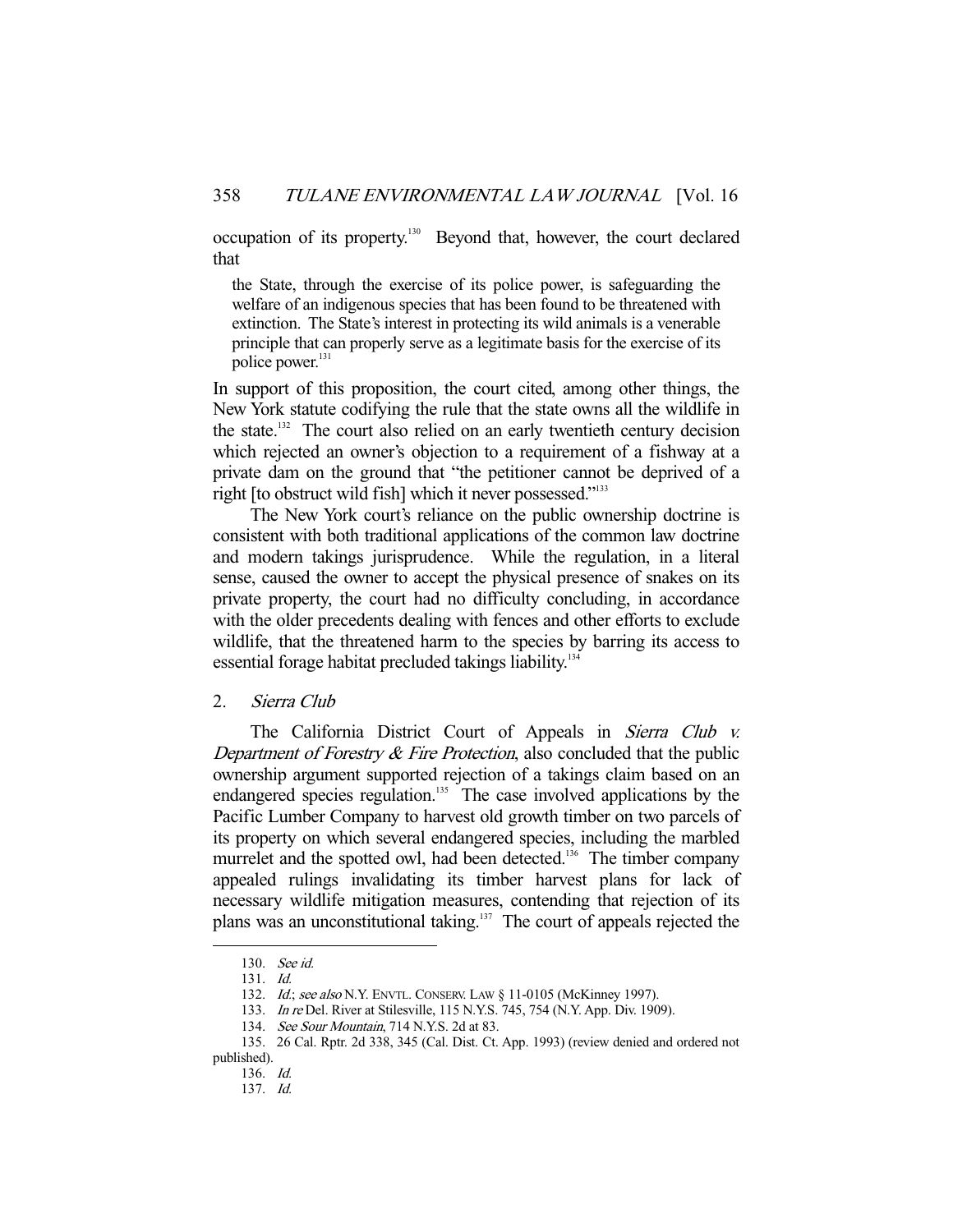occupation of its property.130 Beyond that, however, the court declared that

the State, through the exercise of its police power, is safeguarding the welfare of an indigenous species that has been found to be threatened with extinction. The State's interest in protecting its wild animals is a venerable principle that can properly serve as a legitimate basis for the exercise of its police power.<sup>131</sup>

In support of this proposition, the court cited, among other things, the New York statute codifying the rule that the state owns all the wildlife in the state.<sup>132</sup> The court also relied on an early twentieth century decision which rejected an owner's objection to a requirement of a fishway at a private dam on the ground that "the petitioner cannot be deprived of a right [to obstruct wild fish] which it never possessed."<sup>133</sup>

 The New York court's reliance on the public ownership doctrine is consistent with both traditional applications of the common law doctrine and modern takings jurisprudence. While the regulation, in a literal sense, caused the owner to accept the physical presence of snakes on its private property, the court had no difficulty concluding, in accordance with the older precedents dealing with fences and other efforts to exclude wildlife, that the threatened harm to the species by barring its access to essential forage habitat precluded takings liability.<sup>134</sup>

## 2. Sierra Club

The California District Court of Appeals in Sierra Club v. Department of Forestry  $\&$  Fire Protection, also concluded that the public ownership argument supported rejection of a takings claim based on an endangered species regulation.<sup>135</sup> The case involved applications by the Pacific Lumber Company to harvest old growth timber on two parcels of its property on which several endangered species, including the marbled murrelet and the spotted owl, had been detected.<sup>136</sup> The timber company appealed rulings invalidating its timber harvest plans for lack of necessary wildlife mitigation measures, contending that rejection of its plans was an unconstitutional taking.137 The court of appeals rejected the

 <sup>130.</sup> See id.

 <sup>131.</sup> Id.

<sup>132.</sup> Id.; see also N.Y. ENVTL. CONSERV. LAW § 11-0105 (McKinney 1997).

<sup>133.</sup> In re Del. River at Stilesville, 115 N.Y.S. 745, 754 (N.Y. App. Div. 1909).

 <sup>134.</sup> See Sour Mountain, 714 N.Y.S. 2d at 83.

 <sup>135. 26</sup> Cal. Rptr. 2d 338, 345 (Cal. Dist. Ct. App. 1993) (review denied and ordered not published).

 <sup>136.</sup> Id.

 <sup>137.</sup> Id.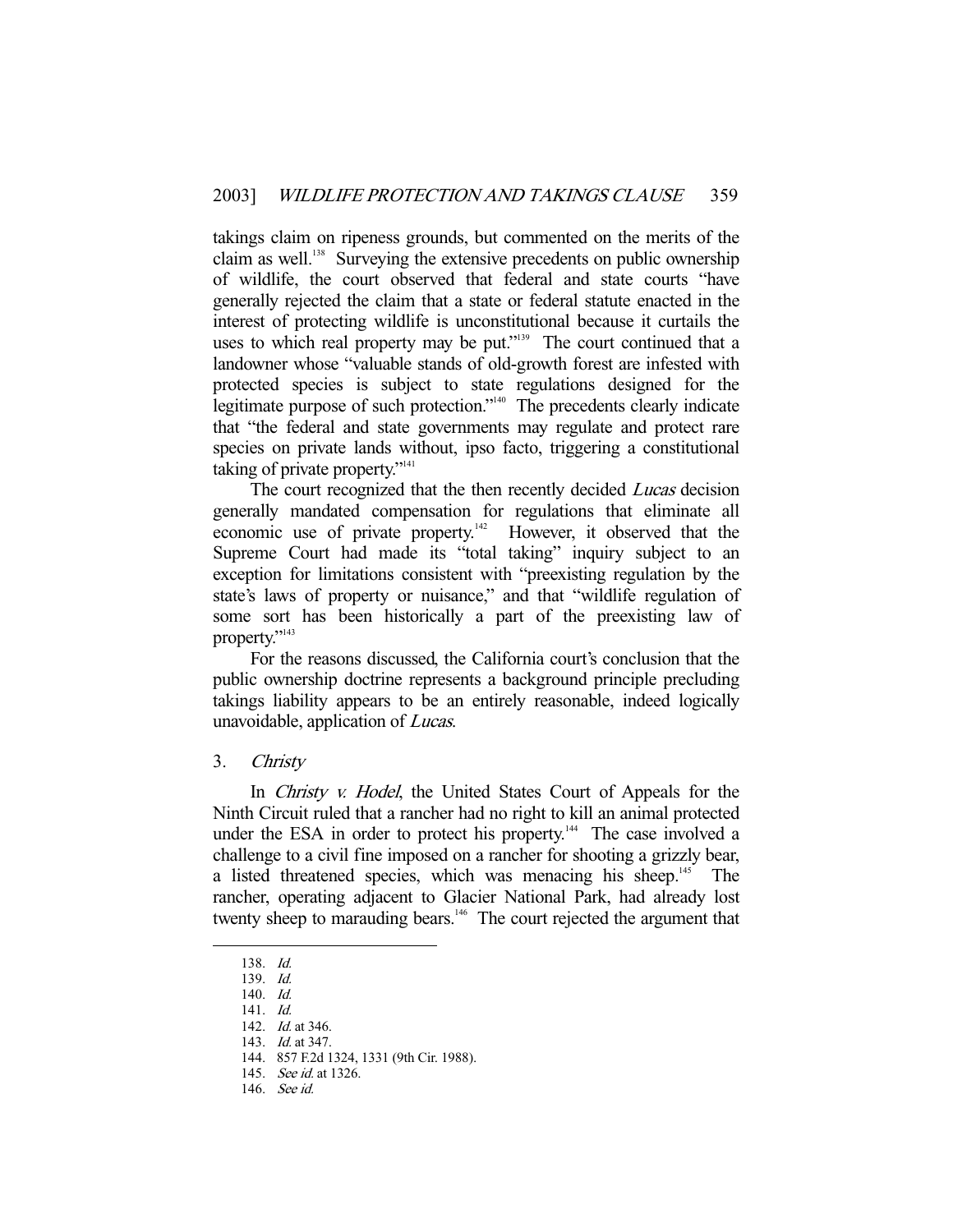takings claim on ripeness grounds, but commented on the merits of the claim as well.<sup>138</sup> Surveying the extensive precedents on public ownership of wildlife, the court observed that federal and state courts "have generally rejected the claim that a state or federal statute enacted in the interest of protecting wildlife is unconstitutional because it curtails the uses to which real property may be put."<sup>139</sup> The court continued that a landowner whose "valuable stands of old-growth forest are infested with protected species is subject to state regulations designed for the legitimate purpose of such protection."<sup>140</sup> The precedents clearly indicate that "the federal and state governments may regulate and protect rare species on private lands without, ipso facto, triggering a constitutional taking of private property."<sup>141</sup>

The court recognized that the then recently decided *Lucas* decision generally mandated compensation for regulations that eliminate all economic use of private property.<sup>142</sup> However, it observed that the Supreme Court had made its "total taking" inquiry subject to an exception for limitations consistent with "preexisting regulation by the state's laws of property or nuisance," and that "wildlife regulation of some sort has been historically a part of the preexisting law of property."<sup>143</sup>

 For the reasons discussed, the California court's conclusion that the public ownership doctrine represents a background principle precluding takings liability appears to be an entirely reasonable, indeed logically unavoidable, application of Lucas.

## 3. Christy

In *Christy v. Hodel*, the United States Court of Appeals for the Ninth Circuit ruled that a rancher had no right to kill an animal protected under the ESA in order to protect his property.<sup>144</sup> The case involved a challenge to a civil fine imposed on a rancher for shooting a grizzly bear, a listed threatened species, which was menacing his sheep.<sup>145</sup> The rancher, operating adjacent to Glacier National Park, had already lost twenty sheep to marauding bears.<sup>146</sup> The court rejected the argument that

 <sup>138.</sup> Id.

 <sup>139.</sup> Id.

 <sup>140.</sup> Id.

 <sup>141.</sup> Id.

 <sup>142.</sup> Id. at 346.

<sup>143.</sup> *Id.* at 347.

 <sup>144. 857</sup> F.2d 1324, 1331 (9th Cir. 1988).

 <sup>145.</sup> See id. at 1326.

 <sup>146.</sup> See id.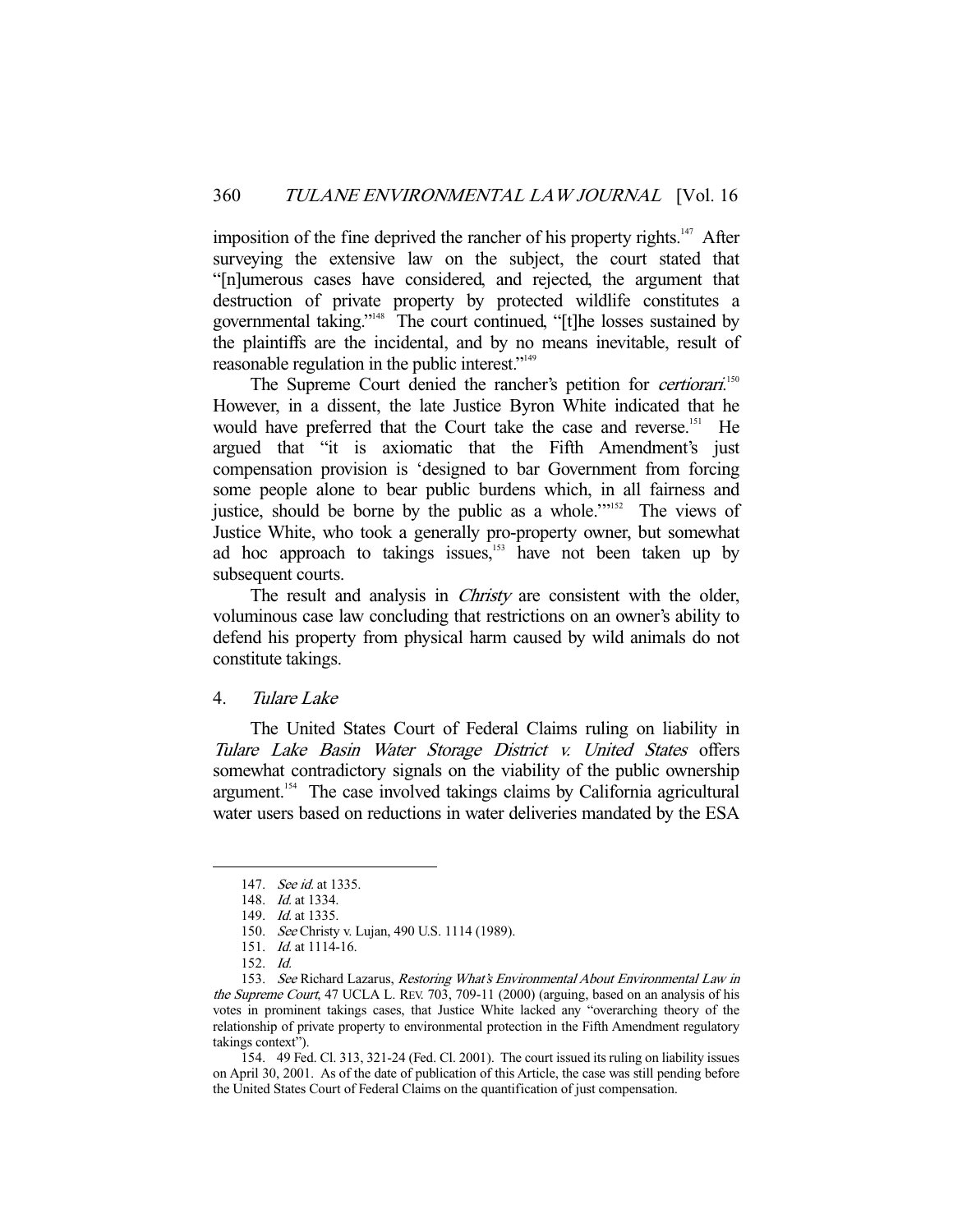imposition of the fine deprived the rancher of his property rights.<sup>147</sup> After surveying the extensive law on the subject, the court stated that "[n]umerous cases have considered, and rejected, the argument that destruction of private property by protected wildlife constitutes a governmental taking."148 The court continued, "[t]he losses sustained by the plaintiffs are the incidental, and by no means inevitable, result of reasonable regulation in the public interest."<sup>149</sup>

The Supreme Court denied the rancher's petition for *certiorari*.<sup>150</sup> However, in a dissent, the late Justice Byron White indicated that he would have preferred that the Court take the case and reverse.<sup>151</sup> He argued that "it is axiomatic that the Fifth Amendment's just compensation provision is 'designed to bar Government from forcing some people alone to bear public burdens which, in all fairness and justice, should be borne by the public as a whole."<sup>152</sup> The views of Justice White, who took a generally pro-property owner, but somewhat ad hoc approach to takings issues, $153$  have not been taken up by subsequent courts.

The result and analysis in *Christy* are consistent with the older, voluminous case law concluding that restrictions on an owner's ability to defend his property from physical harm caused by wild animals do not constitute takings.

#### 4. Tulare Lake

 The United States Court of Federal Claims ruling on liability in Tulare Lake Basin Water Storage District v. United States offers somewhat contradictory signals on the viability of the public ownership argument.154 The case involved takings claims by California agricultural water users based on reductions in water deliveries mandated by the ESA

-

 154. 49 Fed. Cl. 313, 321-24 (Fed. Cl. 2001). The court issued its ruling on liability issues on April 30, 2001. As of the date of publication of this Article, the case was still pending before the United States Court of Federal Claims on the quantification of just compensation.

 <sup>147.</sup> See id. at 1335.

<sup>148.</sup> *Id.* at 1334.

<sup>149.</sup> *Id.* at 1335.

 <sup>150.</sup> See Christy v. Lujan, 490 U.S. 1114 (1989).

 <sup>151.</sup> Id. at 1114-16.

 <sup>152.</sup> Id.

 <sup>153.</sup> See Richard Lazarus, Restoring What's Environmental About Environmental Law in the Supreme Court, 47 UCLA L. REV. 703, 709-11 (2000) (arguing, based on an analysis of his votes in prominent takings cases, that Justice White lacked any "overarching theory of the relationship of private property to environmental protection in the Fifth Amendment regulatory takings context").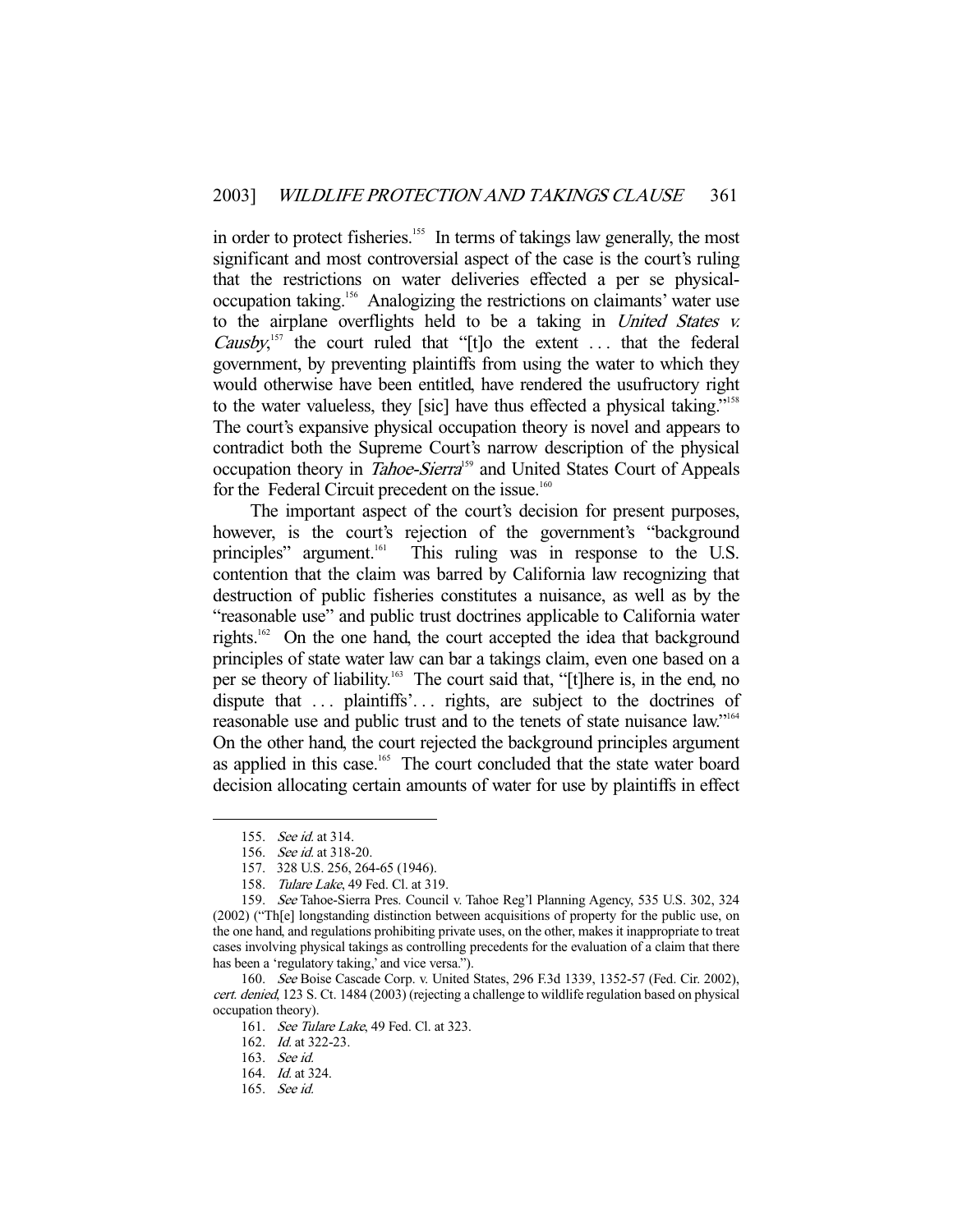in order to protect fisheries.<sup>155</sup> In terms of takings law generally, the most significant and most controversial aspect of the case is the court's ruling that the restrictions on water deliveries effected a per se physicaloccupation taking.<sup>156</sup> Analogizing the restrictions on claimants' water use to the airplane overflights held to be a taking in United States v. *Causby*,<sup>157</sup> the court ruled that "[t]o the extent ... that the federal government, by preventing plaintiffs from using the water to which they would otherwise have been entitled, have rendered the usufructory right to the water valueless, they [sic] have thus effected a physical taking."<sup>158</sup> The court's expansive physical occupation theory is novel and appears to contradict both the Supreme Court's narrow description of the physical occupation theory in *Tahoe-Sierra*<sup>159</sup> and United States Court of Appeals for the Federal Circuit precedent on the issue.<sup>160</sup>

 The important aspect of the court's decision for present purposes, however, is the court's rejection of the government's "background" principles" argument.<sup>161</sup> This ruling was in response to the U.S. contention that the claim was barred by California law recognizing that destruction of public fisheries constitutes a nuisance, as well as by the "reasonable use" and public trust doctrines applicable to California water rights.162 On the one hand, the court accepted the idea that background principles of state water law can bar a takings claim, even one based on a per se theory of liability.163 The court said that, "[t]here is, in the end, no dispute that ... plaintiffs'... rights, are subject to the doctrines of reasonable use and public trust and to the tenets of state nuisance law."164 On the other hand, the court rejected the background principles argument as applied in this case.<sup>165</sup> The court concluded that the state water board decision allocating certain amounts of water for use by plaintiffs in effect

 <sup>155.</sup> See id. at 314.

 <sup>156.</sup> See id. at 318-20.

 <sup>157. 328</sup> U.S. 256, 264-65 (1946).

<sup>158.</sup> Tulare Lake, 49 Fed. Cl. at 319.

 <sup>159.</sup> See Tahoe-Sierra Pres. Council v. Tahoe Reg'l Planning Agency, 535 U.S. 302, 324 (2002) ("Th[e] longstanding distinction between acquisitions of property for the public use, on the one hand, and regulations prohibiting private uses, on the other, makes it inappropriate to treat cases involving physical takings as controlling precedents for the evaluation of a claim that there has been a 'regulatory taking,' and vice versa.").

 <sup>160.</sup> See Boise Cascade Corp. v. United States, 296 F.3d 1339, 1352-57 (Fed. Cir. 2002), cert. denied, 123 S. Ct. 1484 (2003) (rejecting a challenge to wildlife regulation based on physical occupation theory).

<sup>161.</sup> See Tulare Lake, 49 Fed. Cl. at 323.

 <sup>162.</sup> Id. at 322-23.

 <sup>163.</sup> See id.

 <sup>164.</sup> Id. at 324.

 <sup>165.</sup> See id.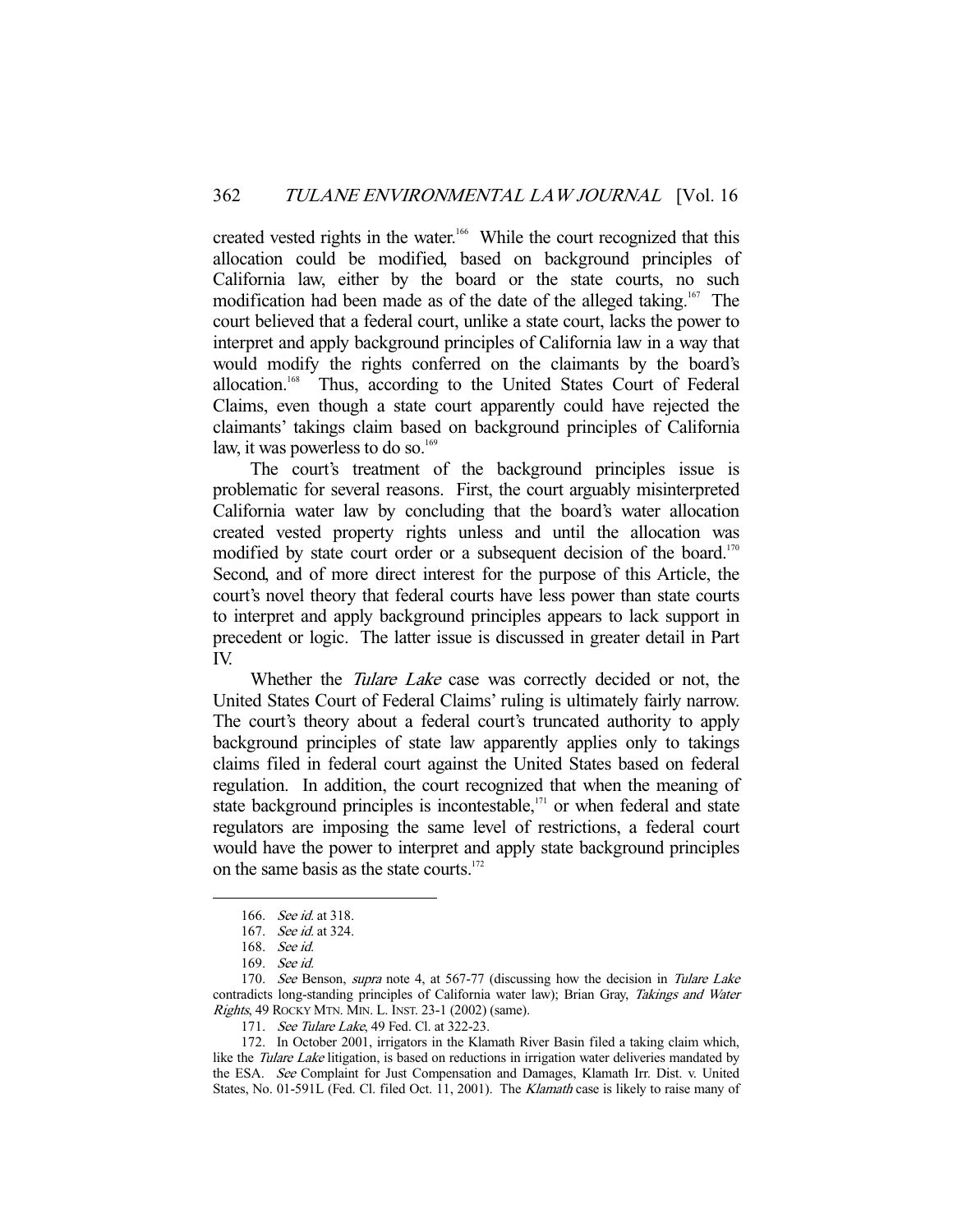created vested rights in the water.<sup>166</sup> While the court recognized that this allocation could be modified, based on background principles of California law, either by the board or the state courts, no such modification had been made as of the date of the alleged taking.<sup>167</sup> The court believed that a federal court, unlike a state court, lacks the power to interpret and apply background principles of California law in a way that would modify the rights conferred on the claimants by the board's allocation.<sup>168</sup> Thus, according to the United States Court of Federal Claims, even though a state court apparently could have rejected the claimants' takings claim based on background principles of California law, it was powerless to do so.<sup>169</sup>

 The court's treatment of the background principles issue is problematic for several reasons. First, the court arguably misinterpreted California water law by concluding that the board's water allocation created vested property rights unless and until the allocation was modified by state court order or a subsequent decision of the board.<sup>170</sup> Second, and of more direct interest for the purpose of this Article, the court's novel theory that federal courts have less power than state courts to interpret and apply background principles appears to lack support in precedent or logic. The latter issue is discussed in greater detail in Part IV.

Whether the *Tulare Lake* case was correctly decided or not, the United States Court of Federal Claims' ruling is ultimately fairly narrow. The court's theory about a federal court's truncated authority to apply background principles of state law apparently applies only to takings claims filed in federal court against the United States based on federal regulation. In addition, the court recognized that when the meaning of state background principles is incontestable,<sup>171</sup> or when federal and state regulators are imposing the same level of restrictions, a federal court would have the power to interpret and apply state background principles on the same basis as the state courts.<sup>172</sup>

 <sup>166.</sup> See id. at 318.

 <sup>167.</sup> See id. at 324.

 <sup>168.</sup> See id.

 <sup>169.</sup> See id.

<sup>170.</sup> See Benson, supra note 4, at 567-77 (discussing how the decision in Tulare Lake contradicts long-standing principles of California water law); Brian Gray, Takings and Water Rights, 49 ROCKY MTN. MIN. L. INST. 23-1 (2002) (same).

<sup>171.</sup> See Tulare Lake, 49 Fed. Cl. at 322-23.

 <sup>172.</sup> In October 2001, irrigators in the Klamath River Basin filed a taking claim which, like the Tulare Lake litigation, is based on reductions in irrigation water deliveries mandated by the ESA. See Complaint for Just Compensation and Damages, Klamath Irr. Dist. v. United States, No. 01-591L (Fed. Cl. filed Oct. 11, 2001). The Klamath case is likely to raise many of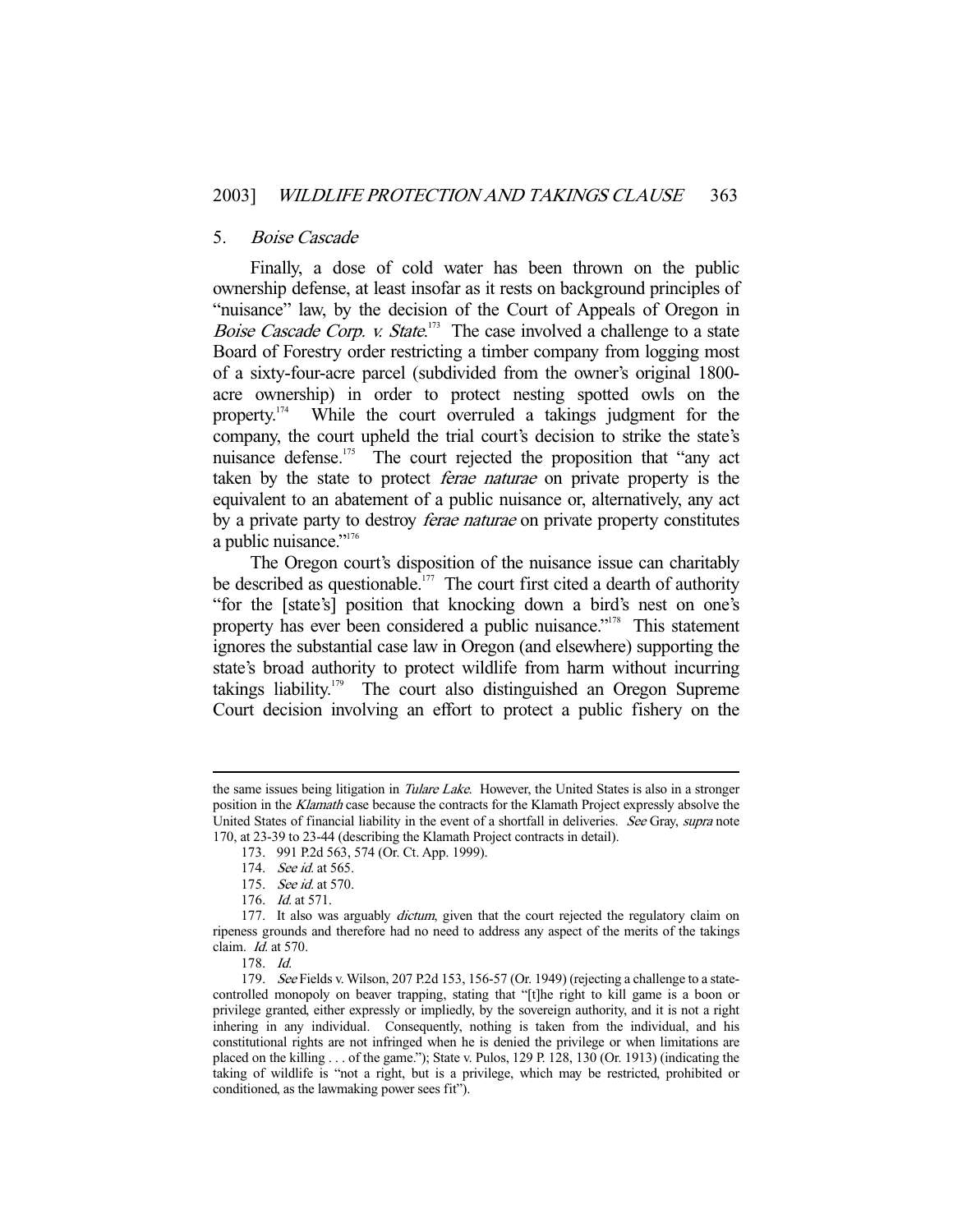#### 5. Boise Cascade

 Finally, a dose of cold water has been thrown on the public ownership defense, at least insofar as it rests on background principles of "nuisance" law, by the decision of the Court of Appeals of Oregon in Boise Cascade Corp. v. State.<sup>173</sup> The case involved a challenge to a state Board of Forestry order restricting a timber company from logging most of a sixty-four-acre parcel (subdivided from the owner's original 1800 acre ownership) in order to protect nesting spotted owls on the property.174 While the court overruled a takings judgment for the company, the court upheld the trial court's decision to strike the state's nuisance defense.<sup>175</sup> The court rejected the proposition that "any act" taken by the state to protect *ferae naturae* on private property is the equivalent to an abatement of a public nuisance or, alternatively, any act by a private party to destroy *ferae naturae* on private property constitutes a public nuisance."<sup>176</sup>

 The Oregon court's disposition of the nuisance issue can charitably be described as questionable.<sup>177</sup> The court first cited a dearth of authority "for the [state's] position that knocking down a bird's nest on one's property has ever been considered a public nuisance."<sup>178</sup> This statement ignores the substantial case law in Oregon (and elsewhere) supporting the state's broad authority to protect wildlife from harm without incurring takings liability.<sup>179</sup> The court also distinguished an Oregon Supreme Court decision involving an effort to protect a public fishery on the

the same issues being litigation in *Tulare Lake*. However, the United States is also in a stronger position in the Klamath case because the contracts for the Klamath Project expressly absolve the United States of financial liability in the event of a shortfall in deliveries. See Gray, supra note 170, at 23-39 to 23-44 (describing the Klamath Project contracts in detail).

 <sup>173. 991</sup> P.2d 563, 574 (Or. Ct. App. 1999).

<sup>174.</sup> See id. at 565.

 <sup>175.</sup> See id. at 570.

 <sup>176.</sup> Id. at 571.

<sup>177.</sup> It also was arguably *dictum*, given that the court rejected the regulatory claim on ripeness grounds and therefore had no need to address any aspect of the merits of the takings claim. Id. at 570.

 <sup>178.</sup> Id.

 <sup>179.</sup> See Fields v. Wilson, 207 P.2d 153, 156-57 (Or. 1949) (rejecting a challenge to a statecontrolled monopoly on beaver trapping, stating that "[t]he right to kill game is a boon or privilege granted, either expressly or impliedly, by the sovereign authority, and it is not a right inhering in any individual. Consequently, nothing is taken from the individual, and his constitutional rights are not infringed when he is denied the privilege or when limitations are placed on the killing . . . of the game."); State v. Pulos, 129 P. 128, 130 (Or. 1913) (indicating the taking of wildlife is "not a right, but is a privilege, which may be restricted, prohibited or conditioned, as the lawmaking power sees fit").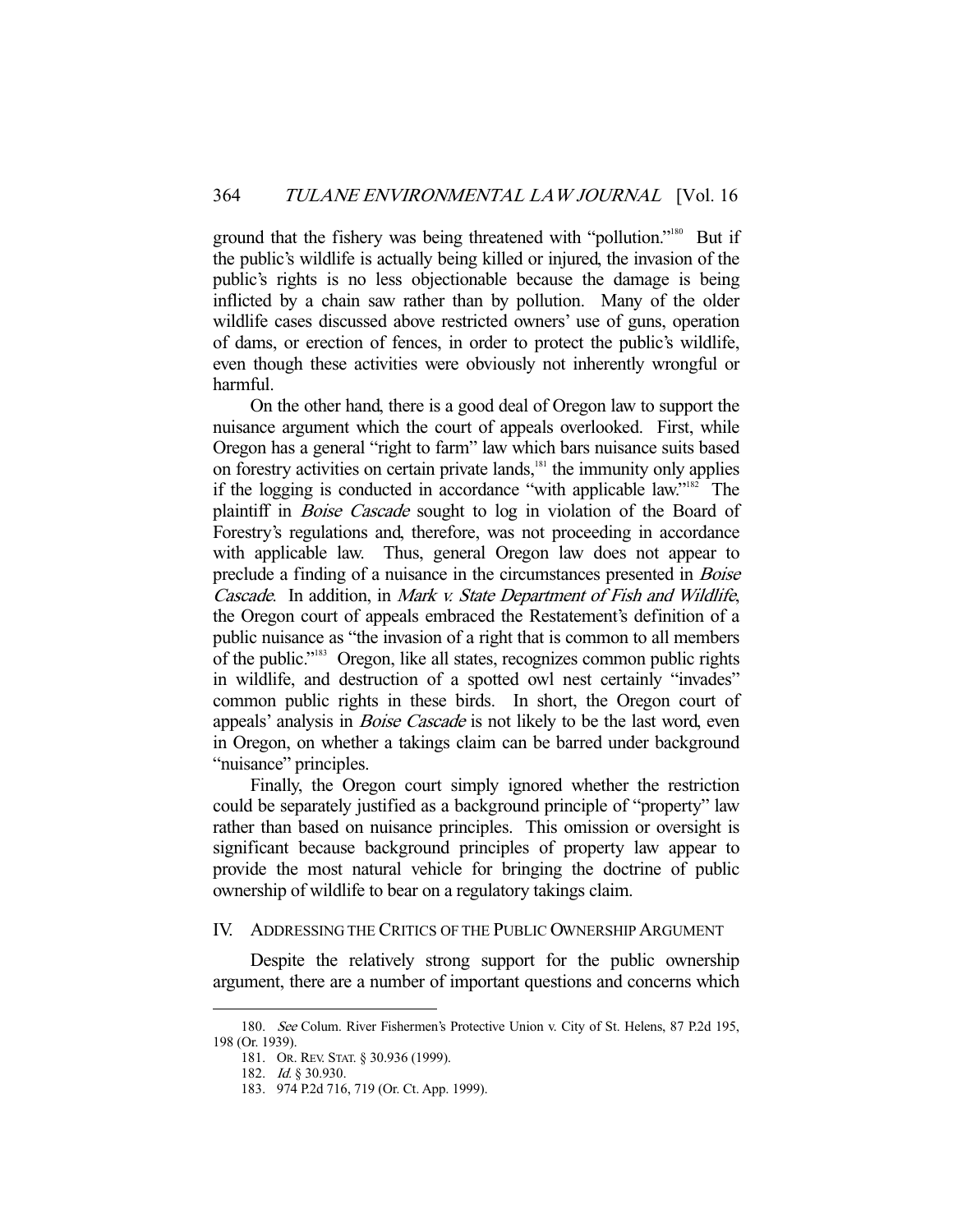ground that the fishery was being threatened with "pollution."<sup>180</sup> But if the public's wildlife is actually being killed or injured, the invasion of the public's rights is no less objectionable because the damage is being inflicted by a chain saw rather than by pollution. Many of the older wildlife cases discussed above restricted owners' use of guns, operation of dams, or erection of fences, in order to protect the public's wildlife, even though these activities were obviously not inherently wrongful or harmful.

 On the other hand, there is a good deal of Oregon law to support the nuisance argument which the court of appeals overlooked. First, while Oregon has a general "right to farm" law which bars nuisance suits based on forestry activities on certain private lands,<sup>181</sup> the immunity only applies if the logging is conducted in accordance "with applicable law."182 The plaintiff in *Boise Cascade* sought to log in violation of the Board of Forestry's regulations and, therefore, was not proceeding in accordance with applicable law. Thus, general Oregon law does not appear to preclude a finding of a nuisance in the circumstances presented in Boise Cascade. In addition, in Mark v. State Department of Fish and Wildlife, the Oregon court of appeals embraced the Restatement's definition of a public nuisance as "the invasion of a right that is common to all members of the public."183 Oregon, like all states, recognizes common public rights in wildlife, and destruction of a spotted owl nest certainly "invades" common public rights in these birds. In short, the Oregon court of appeals' analysis in *Boise Cascade* is not likely to be the last word, even in Oregon, on whether a takings claim can be barred under background "nuisance" principles.

 Finally, the Oregon court simply ignored whether the restriction could be separately justified as a background principle of "property" law rather than based on nuisance principles. This omission or oversight is significant because background principles of property law appear to provide the most natural vehicle for bringing the doctrine of public ownership of wildlife to bear on a regulatory takings claim.

#### IV. ADDRESSING THE CRITICS OF THE PUBLIC OWNERSHIP ARGUMENT

 Despite the relatively strong support for the public ownership argument, there are a number of important questions and concerns which

 <sup>180.</sup> See Colum. River Fishermen's Protective Union v. City of St. Helens, 87 P.2d 195, 198 (Or. 1939).

 <sup>181.</sup> OR. REV. STAT. § 30.936 (1999).

 <sup>182.</sup> Id. § 30.930.

 <sup>183. 974</sup> P.2d 716, 719 (Or. Ct. App. 1999).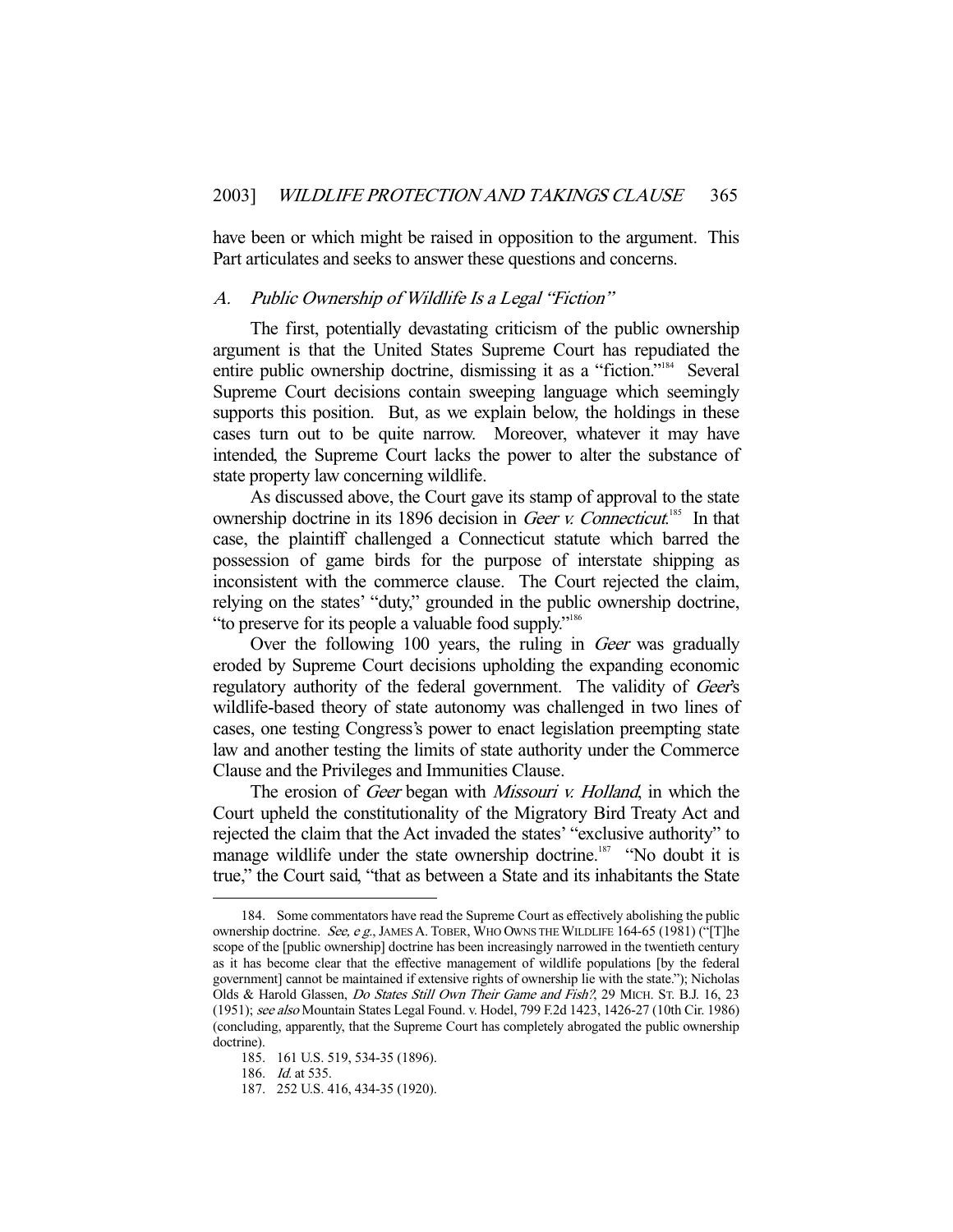have been or which might be raised in opposition to the argument. This Part articulates and seeks to answer these questions and concerns.

### A. Public Ownership of Wildlife Is a Legal "Fiction"

 The first, potentially devastating criticism of the public ownership argument is that the United States Supreme Court has repudiated the entire public ownership doctrine, dismissing it as a "fiction."<sup>184</sup> Several Supreme Court decisions contain sweeping language which seemingly supports this position. But, as we explain below, the holdings in these cases turn out to be quite narrow. Moreover, whatever it may have intended, the Supreme Court lacks the power to alter the substance of state property law concerning wildlife.

 As discussed above, the Court gave its stamp of approval to the state ownership doctrine in its 1896 decision in Geer v. Connecticut.<sup>185</sup> In that case, the plaintiff challenged a Connecticut statute which barred the possession of game birds for the purpose of interstate shipping as inconsistent with the commerce clause. The Court rejected the claim, relying on the states' "duty," grounded in the public ownership doctrine, "to preserve for its people a valuable food supply."186

Over the following 100 years, the ruling in *Geer* was gradually eroded by Supreme Court decisions upholding the expanding economic regulatory authority of the federal government. The validity of Geer's wildlife-based theory of state autonomy was challenged in two lines of cases, one testing Congress's power to enact legislation preempting state law and another testing the limits of state authority under the Commerce Clause and the Privileges and Immunities Clause.

The erosion of *Geer* began with *Missouri v. Holland*, in which the Court upheld the constitutionality of the Migratory Bird Treaty Act and rejected the claim that the Act invaded the states' "exclusive authority" to manage wildlife under the state ownership doctrine.<sup>187</sup> "No doubt it is true," the Court said, "that as between a State and its inhabitants the State

 <sup>184.</sup> Some commentators have read the Supreme Court as effectively abolishing the public ownership doctrine. See, e g., JAMES A. TOBER, WHO OWNS THE WILDLIFE  $164-65$  (1981) ("[T]he scope of the [public ownership] doctrine has been increasingly narrowed in the twentieth century as it has become clear that the effective management of wildlife populations [by the federal government] cannot be maintained if extensive rights of ownership lie with the state."); Nicholas Olds & Harold Glassen, Do States Still Own Their Game and Fish?, 29 MICH. ST. B.J. 16, 23 (1951); see also Mountain States Legal Found. v. Hodel, 799 F.2d 1423, 1426-27 (10th Cir. 1986) (concluding, apparently, that the Supreme Court has completely abrogated the public ownership doctrine).

 <sup>185. 161</sup> U.S. 519, 534-35 (1896).

<sup>186.</sup> *Id.* at 535.

 <sup>187. 252</sup> U.S. 416, 434-35 (1920).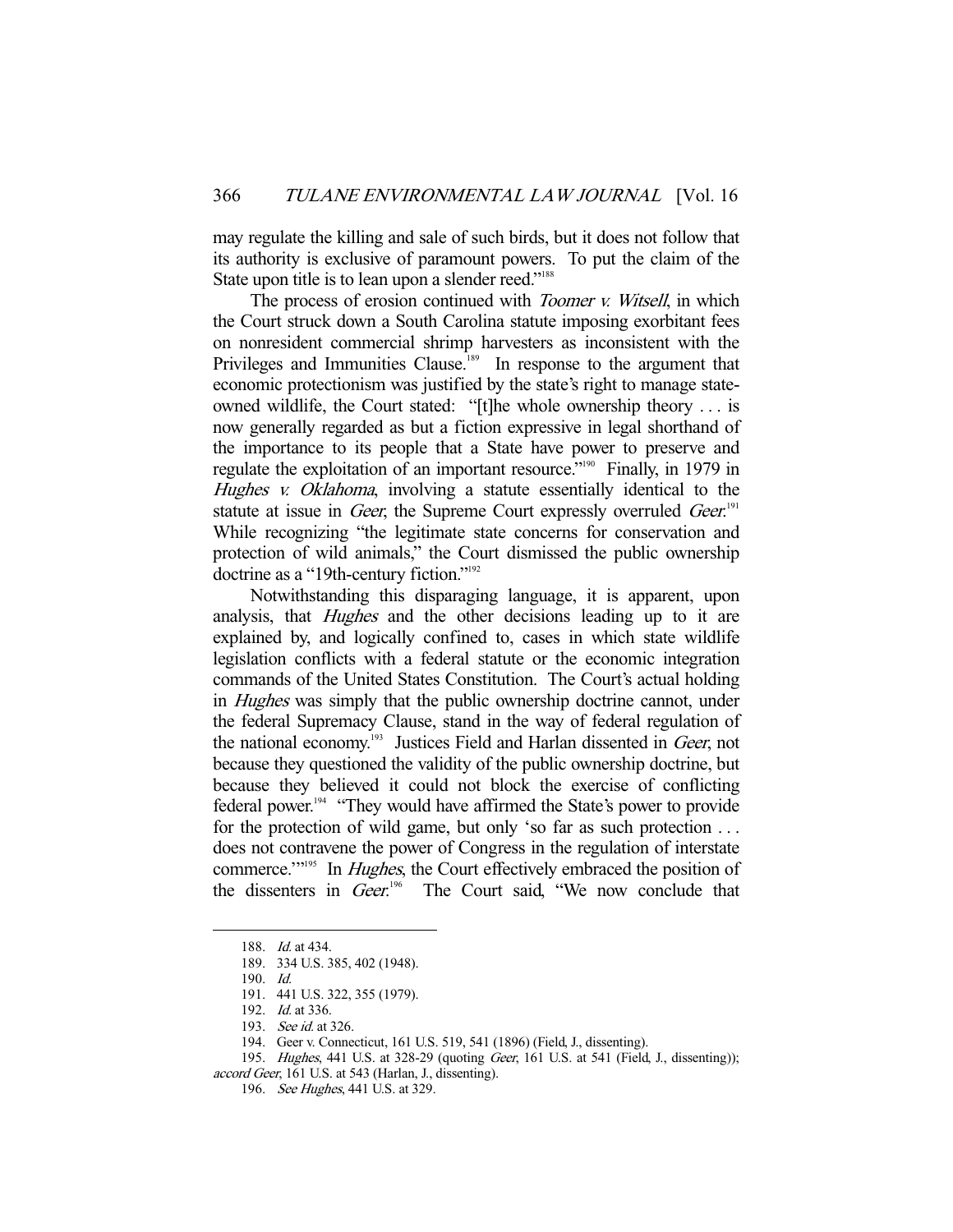may regulate the killing and sale of such birds, but it does not follow that its authority is exclusive of paramount powers. To put the claim of the State upon title is to lean upon a slender reed."<sup>188</sup>

The process of erosion continued with *Toomer v. Witsell*, in which the Court struck down a South Carolina statute imposing exorbitant fees on nonresident commercial shrimp harvesters as inconsistent with the Privileges and Immunities Clause.<sup>189</sup> In response to the argument that economic protectionism was justified by the state's right to manage stateowned wildlife, the Court stated: "[t]he whole ownership theory . . . is now generally regarded as but a fiction expressive in legal shorthand of the importance to its people that a State have power to preserve and regulate the exploitation of an important resource."<sup>190</sup> Finally, in 1979 in Hughes v. Oklahoma, involving a statute essentially identical to the statute at issue in Geer, the Supreme Court expressly overruled Geer.<sup>191</sup> While recognizing "the legitimate state concerns for conservation and protection of wild animals," the Court dismissed the public ownership doctrine as a "19th-century fiction."<sup>192</sup>

 Notwithstanding this disparaging language, it is apparent, upon analysis, that *Hughes* and the other decisions leading up to it are explained by, and logically confined to, cases in which state wildlife legislation conflicts with a federal statute or the economic integration commands of the United States Constitution. The Court's actual holding in Hughes was simply that the public ownership doctrine cannot, under the federal Supremacy Clause, stand in the way of federal regulation of the national economy.<sup>193</sup> Justices Field and Harlan dissented in Geer, not because they questioned the validity of the public ownership doctrine, but because they believed it could not block the exercise of conflicting federal power.<sup>194</sup> "They would have affirmed the State's power to provide for the protection of wild game, but only 'so far as such protection . . . does not contravene the power of Congress in the regulation of interstate commerce."<sup>195</sup> In *Hughes*, the Court effectively embraced the position of the dissenters in Geer.<sup>196</sup> The Court said, "We now conclude that

<sup>188.</sup> *Id.* at 434.

 <sup>189. 334</sup> U.S. 385, 402 (1948).

 <sup>190.</sup> Id.

 <sup>191. 441</sup> U.S. 322, 355 (1979).

<sup>192.</sup> *Id.* at 336.

 <sup>193.</sup> See id. at 326.

 <sup>194.</sup> Geer v. Connecticut, 161 U.S. 519, 541 (1896) (Field, J., dissenting).

<sup>195.</sup> Hughes, 441 U.S. at 328-29 (quoting Geer, 161 U.S. at 541 (Field, J., dissenting)); accord Geer, 161 U.S. at 543 (Harlan, J., dissenting).

<sup>196.</sup> See Hughes, 441 U.S. at 329.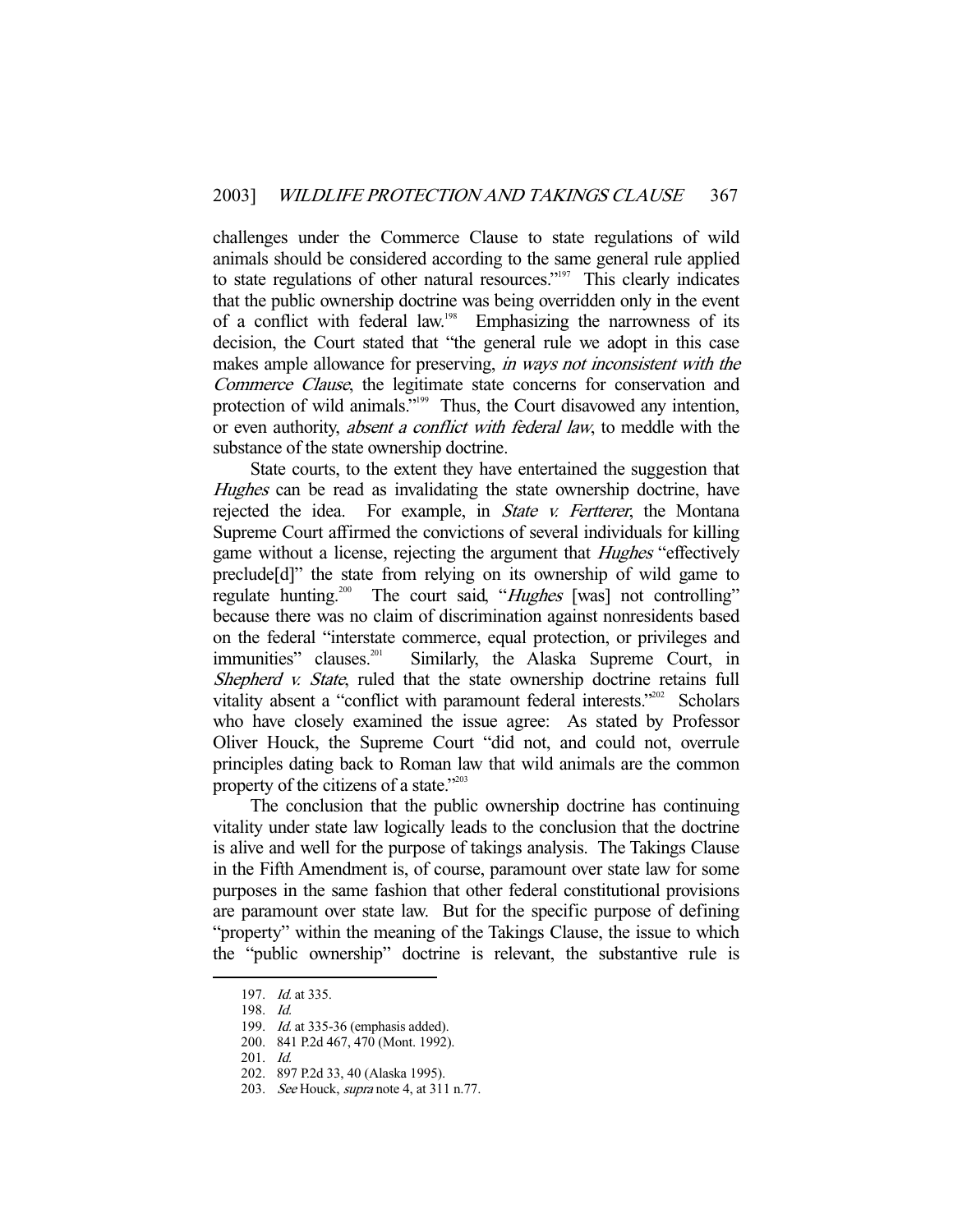challenges under the Commerce Clause to state regulations of wild animals should be considered according to the same general rule applied to state regulations of other natural resources."<sup>197</sup> This clearly indicates that the public ownership doctrine was being overridden only in the event of a conflict with federal law.<sup>198</sup> Emphasizing the narrowness of its decision, the Court stated that "the general rule we adopt in this case makes ample allowance for preserving, *in ways not inconsistent with the* Commerce Clause, the legitimate state concerns for conservation and protection of wild animals."<sup>199</sup> Thus, the Court disavowed any intention, or even authority, absent a conflict with federal law, to meddle with the substance of the state ownership doctrine.

 State courts, to the extent they have entertained the suggestion that Hughes can be read as invalidating the state ownership doctrine, have rejected the idea. For example, in *State v. Fertterer*, the Montana Supreme Court affirmed the convictions of several individuals for killing game without a license, rejecting the argument that *Hughes* "effectively preclude[d]" the state from relying on its ownership of wild game to regulate hunting.<sup>200</sup> The court said, "Hughes [was] not controlling" because there was no claim of discrimination against nonresidents based on the federal "interstate commerce, equal protection, or privileges and immunities" clauses.<sup>201</sup> Similarly, the Alaska Supreme Court, in Shepherd *v. State*, ruled that the state ownership doctrine retains full vitality absent a "conflict with paramount federal interests."<sup>202</sup> Scholars who have closely examined the issue agree: As stated by Professor Oliver Houck, the Supreme Court "did not, and could not, overrule principles dating back to Roman law that wild animals are the common property of the citizens of a state."<sup>203</sup>

 The conclusion that the public ownership doctrine has continuing vitality under state law logically leads to the conclusion that the doctrine is alive and well for the purpose of takings analysis. The Takings Clause in the Fifth Amendment is, of course, paramount over state law for some purposes in the same fashion that other federal constitutional provisions are paramount over state law. But for the specific purpose of defining "property" within the meaning of the Takings Clause, the issue to which the "public ownership" doctrine is relevant, the substantive rule is

 <sup>197.</sup> Id. at 335.

 <sup>198.</sup> Id.

<sup>199.</sup> *Id.* at 335-36 (emphasis added).

 <sup>200. 841</sup> P.2d 467, 470 (Mont. 1992).

 <sup>201.</sup> Id.

 <sup>202. 897</sup> P.2d 33, 40 (Alaska 1995).

<sup>203.</sup> See Houck, *supra* note 4, at 311 n.77.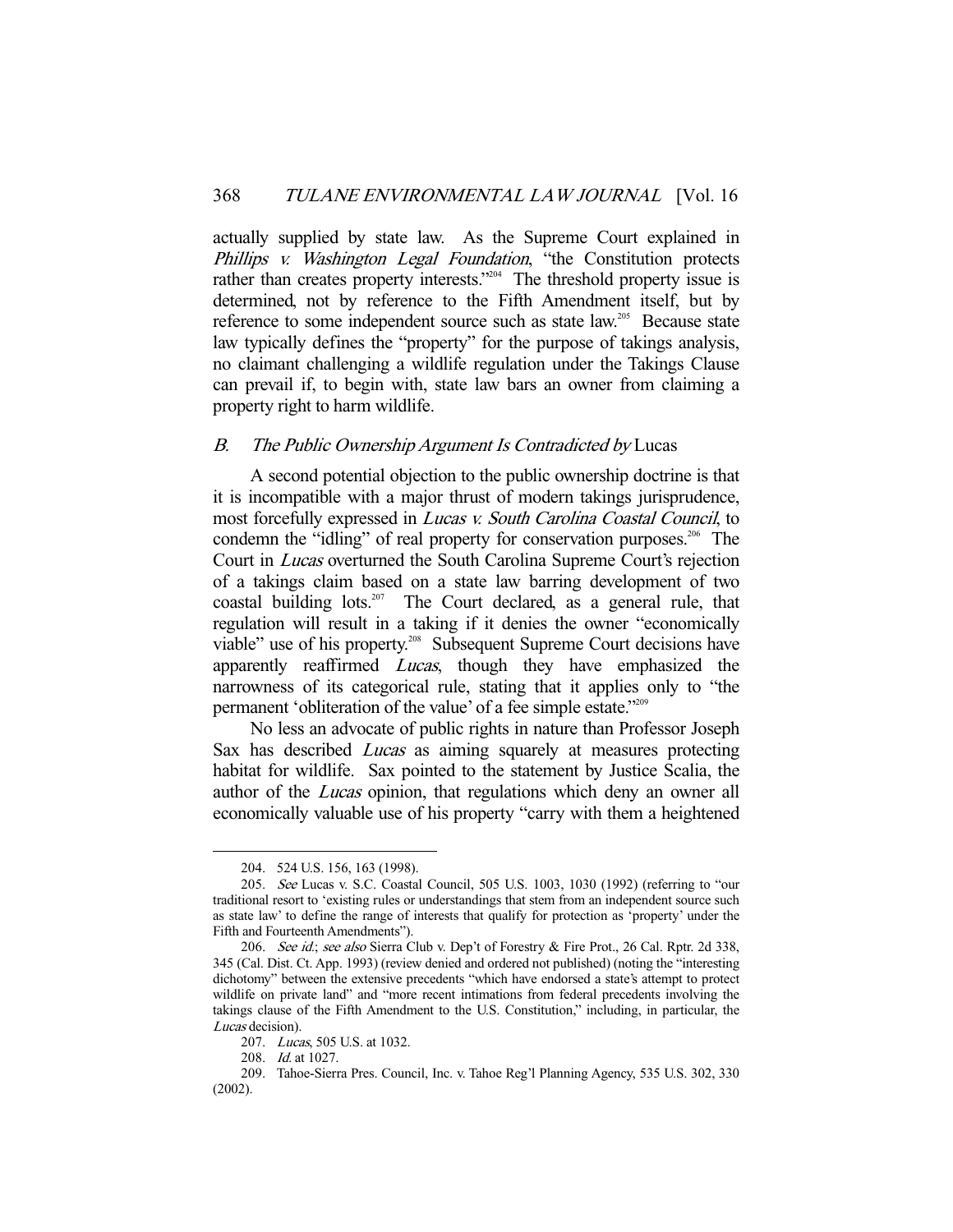actually supplied by state law. As the Supreme Court explained in Phillips v. Washington Legal Foundation, "the Constitution protects rather than creates property interests."204 The threshold property issue is determined, not by reference to the Fifth Amendment itself, but by reference to some independent source such as state law.<sup>205</sup> Because state law typically defines the "property" for the purpose of takings analysis, no claimant challenging a wildlife regulation under the Takings Clause can prevail if, to begin with, state law bars an owner from claiming a property right to harm wildlife.

### B. The Public Ownership Argument Is Contradicted by Lucas

 A second potential objection to the public ownership doctrine is that it is incompatible with a major thrust of modern takings jurisprudence, most forcefully expressed in Lucas v. South Carolina Coastal Council, to condemn the "idling" of real property for conservation purposes.<sup>206</sup> The Court in Lucas overturned the South Carolina Supreme Court's rejection of a takings claim based on a state law barring development of two coastal building lots.<sup>207</sup> The Court declared, as a general rule, that regulation will result in a taking if it denies the owner "economically viable" use of his property.<sup>208</sup> Subsequent Supreme Court decisions have apparently reaffirmed *Lucas*, though they have emphasized the narrowness of its categorical rule, stating that it applies only to "the permanent 'obliteration of the value' of a fee simple estate."209

 No less an advocate of public rights in nature than Professor Joseph Sax has described Lucas as aiming squarely at measures protecting habitat for wildlife. Sax pointed to the statement by Justice Scalia, the author of the Lucas opinion, that regulations which deny an owner all economically valuable use of his property "carry with them a heightened

 <sup>204. 524</sup> U.S. 156, 163 (1998).

 <sup>205.</sup> See Lucas v. S.C. Coastal Council, 505 U.S. 1003, 1030 (1992) (referring to "our traditional resort to 'existing rules or understandings that stem from an independent source such as state law' to define the range of interests that qualify for protection as 'property' under the Fifth and Fourteenth Amendments").

<sup>206.</sup> See id.; see also Sierra Club v. Dep't of Forestry & Fire Prot., 26 Cal. Rptr. 2d 338, 345 (Cal. Dist. Ct. App. 1993) (review denied and ordered not published) (noting the "interesting dichotomy" between the extensive precedents "which have endorsed a state's attempt to protect wildlife on private land" and "more recent intimations from federal precedents involving the takings clause of the Fifth Amendment to the U.S. Constitution," including, in particular, the Lucas decision).

 <sup>207.</sup> Lucas, 505 U.S. at 1032.

 <sup>208.</sup> Id. at 1027.

 <sup>209.</sup> Tahoe-Sierra Pres. Council, Inc. v. Tahoe Reg'l Planning Agency, 535 U.S. 302, 330 (2002).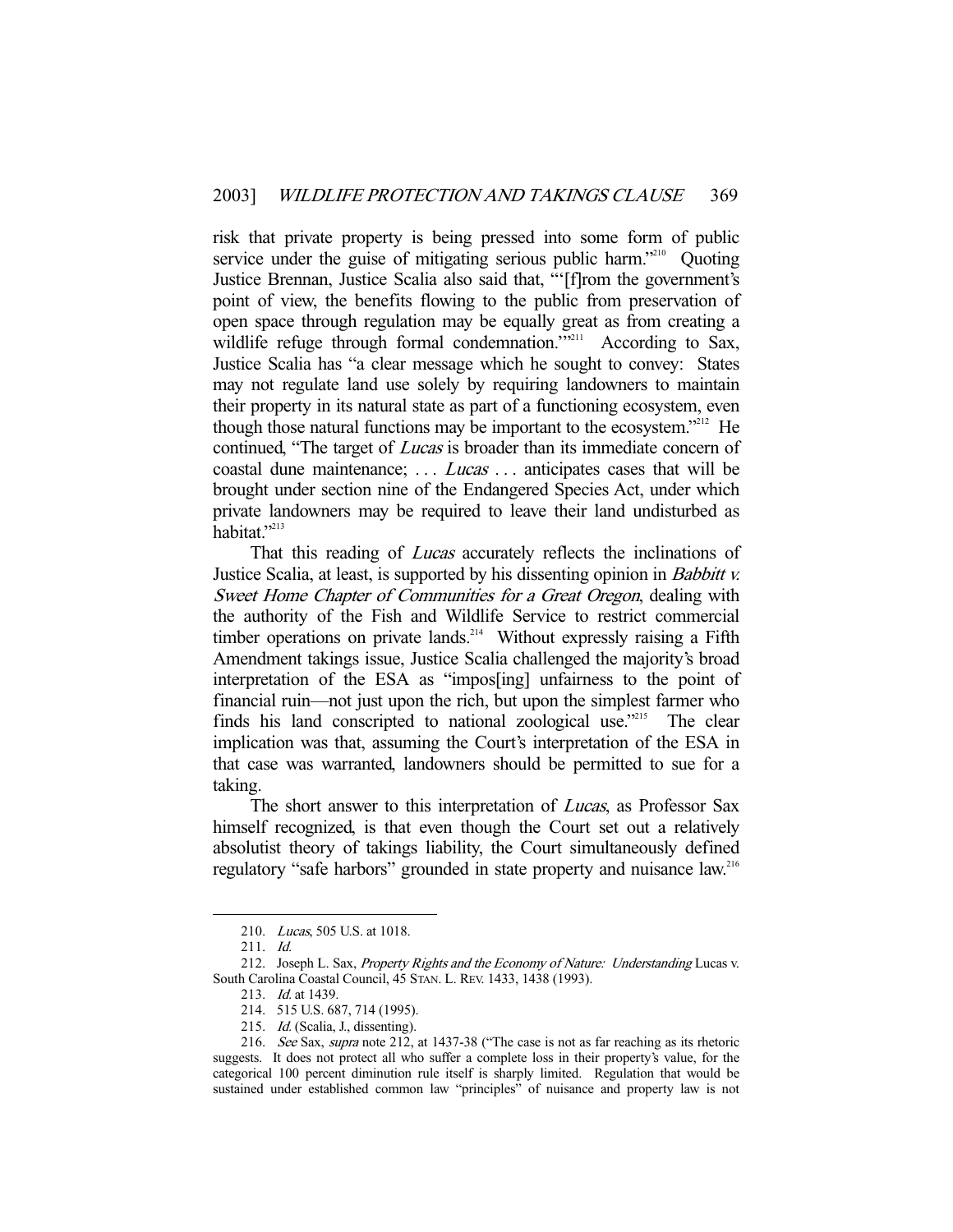risk that private property is being pressed into some form of public service under the guise of mitigating serious public harm.<sup>"210</sup> Quoting Justice Brennan, Justice Scalia also said that, "'[f]rom the government's point of view, the benefits flowing to the public from preservation of open space through regulation may be equally great as from creating a wildlife refuge through formal condemnation."<sup>211</sup> According to Sax, Justice Scalia has "a clear message which he sought to convey: States may not regulate land use solely by requiring landowners to maintain their property in its natural state as part of a functioning ecosystem, even though those natural functions may be important to the ecosystem."212 He continued, "The target of Lucas is broader than its immediate concern of coastal dune maintenance; ... *Lucas* ... anticipates cases that will be brought under section nine of the Endangered Species Act, under which private landowners may be required to leave their land undisturbed as habitat."<sup>213</sup>

That this reading of *Lucas* accurately reflects the inclinations of Justice Scalia, at least, is supported by his dissenting opinion in Babbitt v. Sweet Home Chapter of Communities for a Great Oregon, dealing with the authority of the Fish and Wildlife Service to restrict commercial timber operations on private lands.<sup>214</sup> Without expressly raising a Fifth Amendment takings issue, Justice Scalia challenged the majority's broad interpretation of the ESA as "impos[ing] unfairness to the point of financial ruin—not just upon the rich, but upon the simplest farmer who finds his land conscripted to national zoological use."<sup>215</sup> The clear implication was that, assuming the Court's interpretation of the ESA in that case was warranted, landowners should be permitted to sue for a taking.

The short answer to this interpretation of *Lucas*, as Professor Sax himself recognized, is that even though the Court set out a relatively absolutist theory of takings liability, the Court simultaneously defined regulatory "safe harbors" grounded in state property and nuisance law.<sup>216</sup>

 <sup>210.</sup> Lucas, 505 U.S. at 1018.

 <sup>211.</sup> Id.

<sup>212.</sup> Joseph L. Sax, Property Rights and the Economy of Nature: Understanding Lucas v. South Carolina Coastal Council, 45 STAN. L. REV. 1433, 1438 (1993).

<sup>213.</sup> *Id.* at 1439.

 <sup>214. 515</sup> U.S. 687, 714 (1995).

 <sup>215.</sup> Id. (Scalia, J., dissenting).

 <sup>216.</sup> See Sax, supra note 212, at 1437-38 ("The case is not as far reaching as its rhetoric suggests. It does not protect all who suffer a complete loss in their property's value, for the categorical 100 percent diminution rule itself is sharply limited. Regulation that would be sustained under established common law "principles" of nuisance and property law is not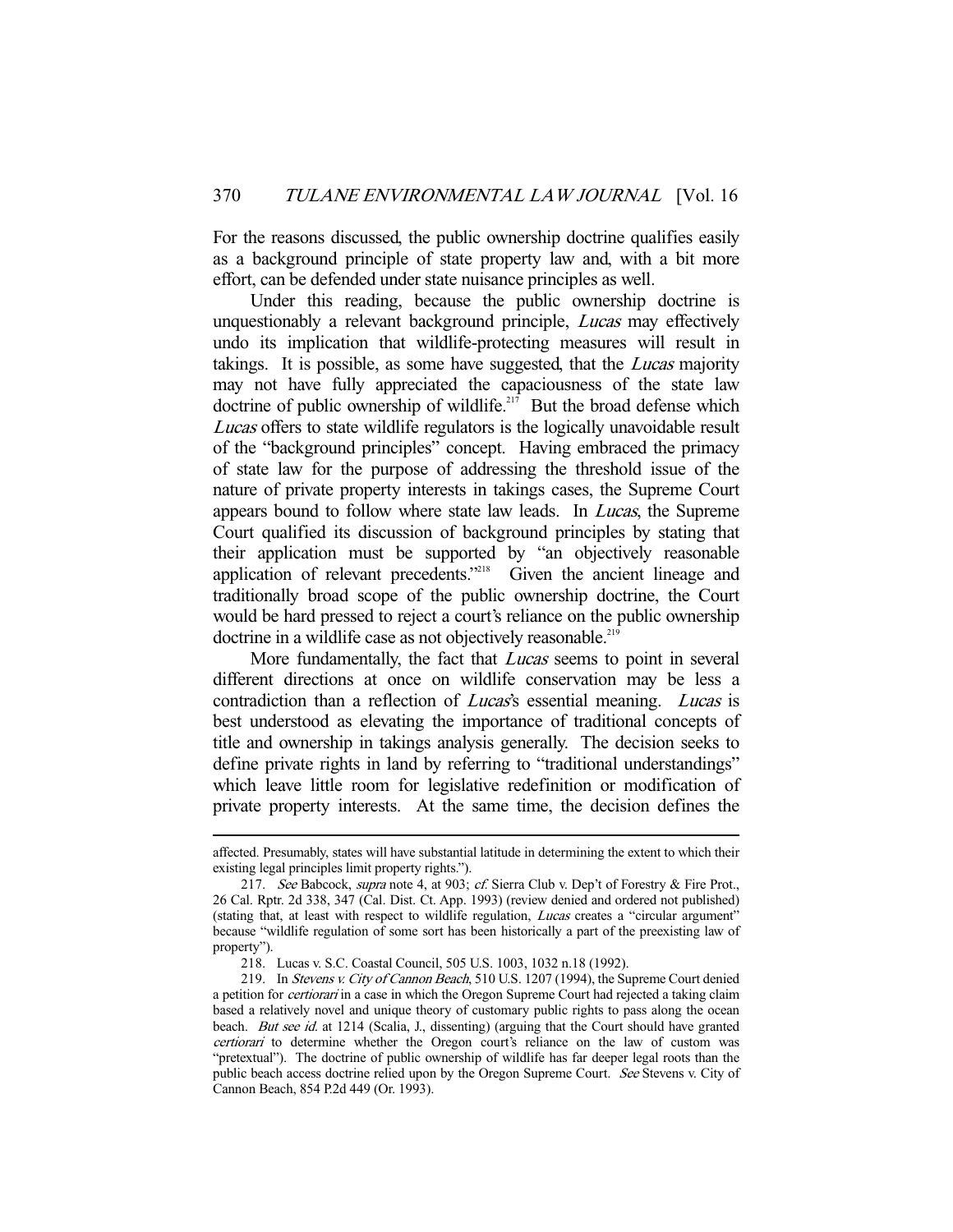For the reasons discussed, the public ownership doctrine qualifies easily as a background principle of state property law and, with a bit more effort, can be defended under state nuisance principles as well.

 Under this reading, because the public ownership doctrine is unquestionably a relevant background principle, *Lucas* may effectively undo its implication that wildlife-protecting measures will result in takings. It is possible, as some have suggested, that the *Lucas* majority may not have fully appreciated the capaciousness of the state law doctrine of public ownership of wildlife.<sup>217</sup> But the broad defense which Lucas offers to state wildlife regulators is the logically unavoidable result of the "background principles" concept. Having embraced the primacy of state law for the purpose of addressing the threshold issue of the nature of private property interests in takings cases, the Supreme Court appears bound to follow where state law leads. In Lucas, the Supreme Court qualified its discussion of background principles by stating that their application must be supported by "an objectively reasonable application of relevant precedents."<sup>218</sup> Given the ancient lineage and traditionally broad scope of the public ownership doctrine, the Court would be hard pressed to reject a court's reliance on the public ownership doctrine in a wildlife case as not objectively reasonable.<sup>219</sup>

More fundamentally, the fact that *Lucas* seems to point in several different directions at once on wildlife conservation may be less a contradiction than a reflection of *Lucas's* essential meaning. *Lucas* is best understood as elevating the importance of traditional concepts of title and ownership in takings analysis generally. The decision seeks to define private rights in land by referring to "traditional understandings" which leave little room for legislative redefinition or modification of private property interests. At the same time, the decision defines the

affected. Presumably, states will have substantial latitude in determining the extent to which their existing legal principles limit property rights.").

<sup>217.</sup> See Babcock, supra note 4, at 903; cf. Sierra Club v. Dep't of Forestry & Fire Prot., 26 Cal. Rptr. 2d 338, 347 (Cal. Dist. Ct. App. 1993) (review denied and ordered not published) (stating that, at least with respect to wildlife regulation, Lucas creates a "circular argument" because "wildlife regulation of some sort has been historically a part of the preexisting law of property").

 <sup>218.</sup> Lucas v. S.C. Coastal Council, 505 U.S. 1003, 1032 n.18 (1992).

<sup>219.</sup> In Stevens v. City of Cannon Beach, 510 U.S. 1207 (1994), the Supreme Court denied a petition for *certiorari* in a case in which the Oregon Supreme Court had rejected a taking claim based a relatively novel and unique theory of customary public rights to pass along the ocean beach. But see id. at 1214 (Scalia, J., dissenting) (arguing that the Court should have granted certiorari to determine whether the Oregon court's reliance on the law of custom was "pretextual"). The doctrine of public ownership of wildlife has far deeper legal roots than the public beach access doctrine relied upon by the Oregon Supreme Court. See Stevens v. City of Cannon Beach, 854 P.2d 449 (Or. 1993).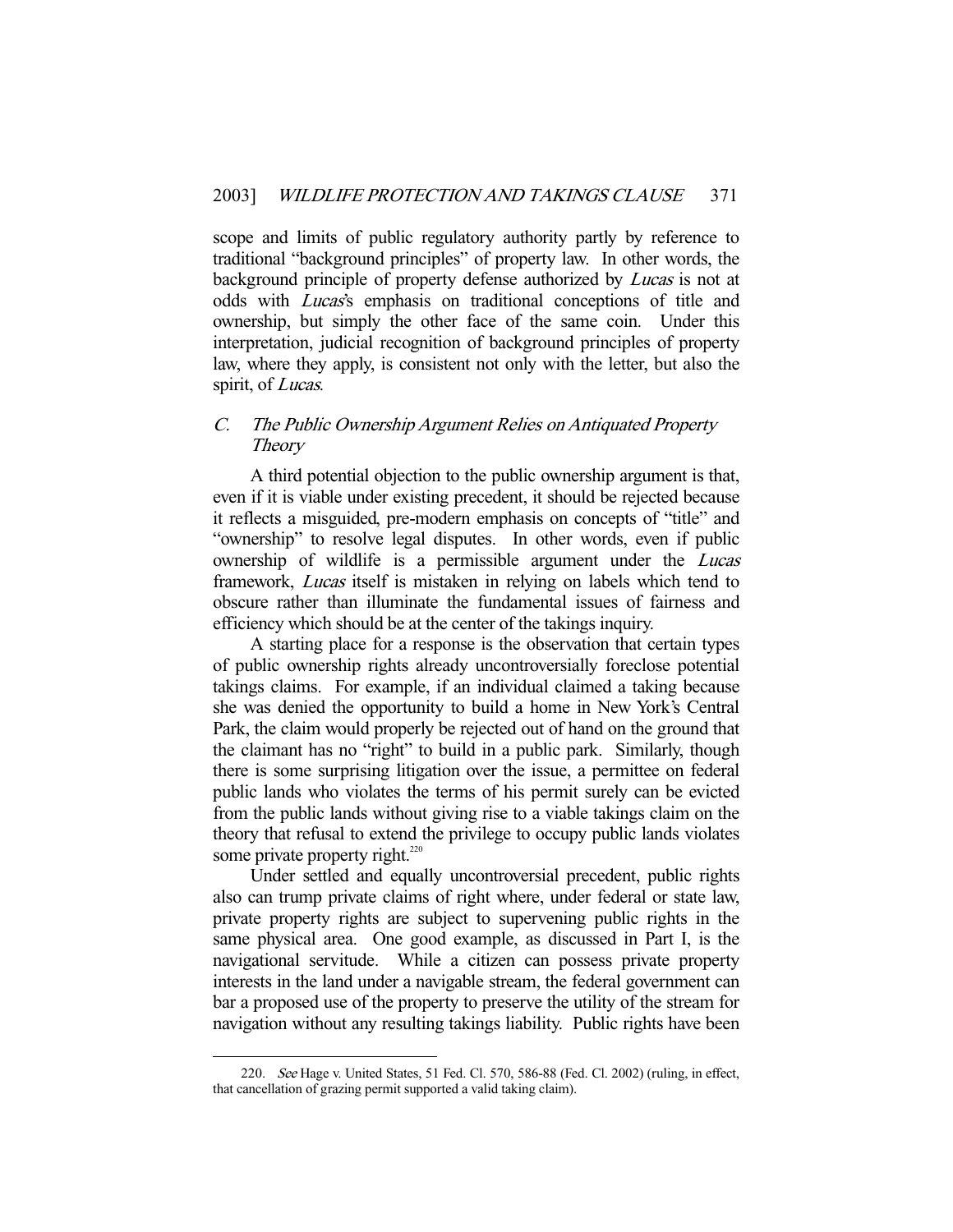scope and limits of public regulatory authority partly by reference to traditional "background principles" of property law. In other words, the background principle of property defense authorized by *Lucas* is not at odds with Lucas's emphasis on traditional conceptions of title and ownership, but simply the other face of the same coin. Under this interpretation, judicial recognition of background principles of property law, where they apply, is consistent not only with the letter, but also the spirit, of Lucas.

## C. The Public Ownership Argument Relies on Antiquated Property **Theory**

 A third potential objection to the public ownership argument is that, even if it is viable under existing precedent, it should be rejected because it reflects a misguided, pre-modern emphasis on concepts of "title" and "ownership" to resolve legal disputes. In other words, even if public ownership of wildlife is a permissible argument under the *Lucas* framework, Lucas itself is mistaken in relying on labels which tend to obscure rather than illuminate the fundamental issues of fairness and efficiency which should be at the center of the takings inquiry.

 A starting place for a response is the observation that certain types of public ownership rights already uncontroversially foreclose potential takings claims. For example, if an individual claimed a taking because she was denied the opportunity to build a home in New York's Central Park, the claim would properly be rejected out of hand on the ground that the claimant has no "right" to build in a public park. Similarly, though there is some surprising litigation over the issue, a permittee on federal public lands who violates the terms of his permit surely can be evicted from the public lands without giving rise to a viable takings claim on the theory that refusal to extend the privilege to occupy public lands violates some private property right. $220$ 

 Under settled and equally uncontroversial precedent, public rights also can trump private claims of right where, under federal or state law, private property rights are subject to supervening public rights in the same physical area. One good example, as discussed in Part I, is the navigational servitude. While a citizen can possess private property interests in the land under a navigable stream, the federal government can bar a proposed use of the property to preserve the utility of the stream for navigation without any resulting takings liability. Public rights have been

 <sup>220.</sup> See Hage v. United States, 51 Fed. Cl. 570, 586-88 (Fed. Cl. 2002) (ruling, in effect, that cancellation of grazing permit supported a valid taking claim).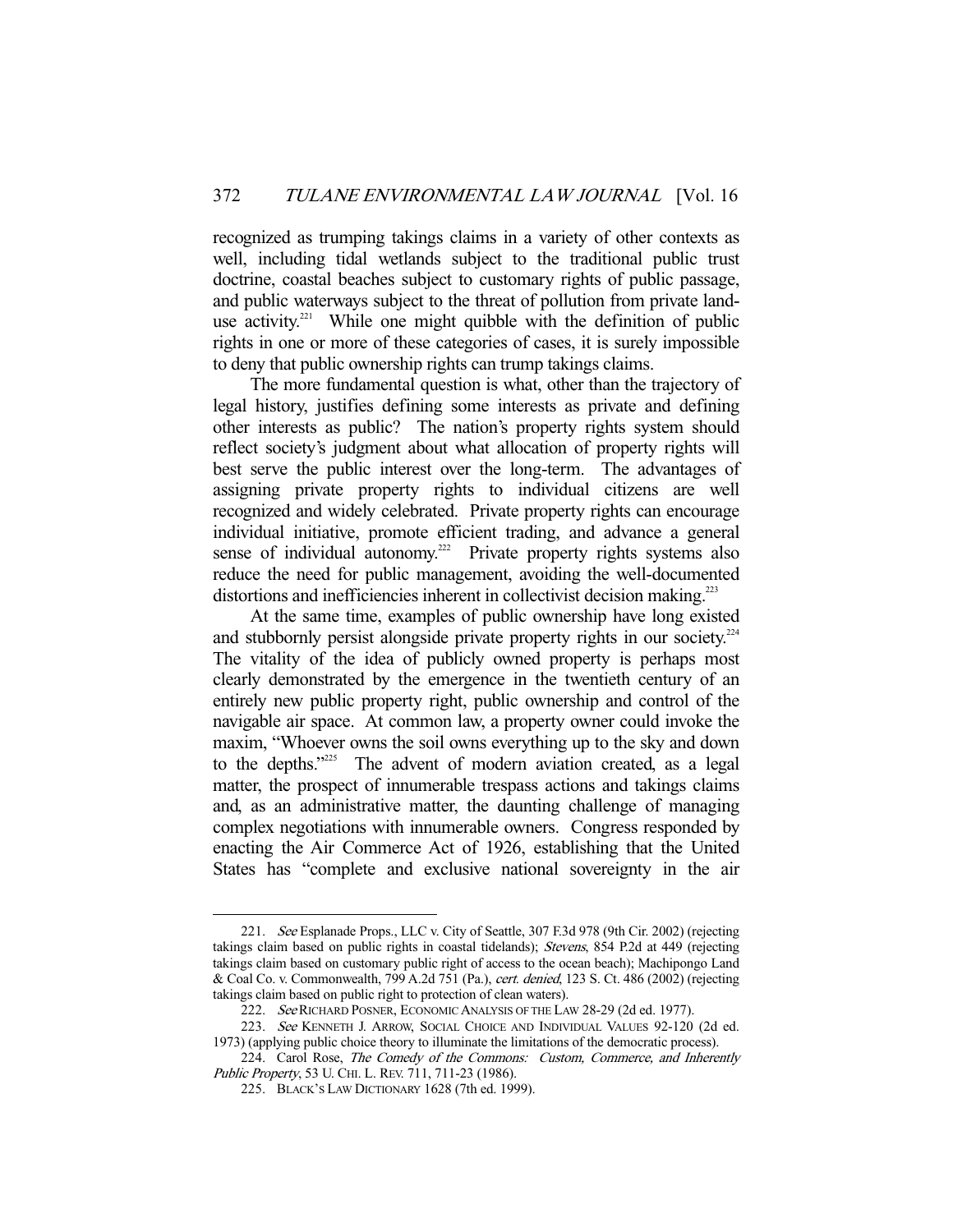recognized as trumping takings claims in a variety of other contexts as well, including tidal wetlands subject to the traditional public trust doctrine, coastal beaches subject to customary rights of public passage, and public waterways subject to the threat of pollution from private landuse activity.<sup>221</sup> While one might quibble with the definition of public rights in one or more of these categories of cases, it is surely impossible to deny that public ownership rights can trump takings claims.

 The more fundamental question is what, other than the trajectory of legal history, justifies defining some interests as private and defining other interests as public? The nation's property rights system should reflect society's judgment about what allocation of property rights will best serve the public interest over the long-term. The advantages of assigning private property rights to individual citizens are well recognized and widely celebrated. Private property rights can encourage individual initiative, promote efficient trading, and advance a general sense of individual autonomy.<sup>222</sup> Private property rights systems also reduce the need for public management, avoiding the well-documented distortions and inefficiencies inherent in collectivist decision making.<sup>223</sup>

 At the same time, examples of public ownership have long existed and stubbornly persist alongside private property rights in our society.<sup>224</sup> The vitality of the idea of publicly owned property is perhaps most clearly demonstrated by the emergence in the twentieth century of an entirely new public property right, public ownership and control of the navigable air space. At common law, a property owner could invoke the maxim, "Whoever owns the soil owns everything up to the sky and down to the depths."<sup>225</sup> The advent of modern aviation created, as a legal matter, the prospect of innumerable trespass actions and takings claims and, as an administrative matter, the daunting challenge of managing complex negotiations with innumerable owners. Congress responded by enacting the Air Commerce Act of 1926, establishing that the United States has "complete and exclusive national sovereignty in the air

 <sup>221.</sup> See Esplanade Props., LLC v. City of Seattle, 307 F.3d 978 (9th Cir. 2002) (rejecting takings claim based on public rights in coastal tidelands); Stevens, 854 P.2d at 449 (rejecting takings claim based on customary public right of access to the ocean beach); Machipongo Land & Coal Co. v. Commonwealth, 799 A.2d 751 (Pa.), cert. denied, 123 S. Ct. 486 (2002) (rejecting takings claim based on public right to protection of clean waters).

<sup>222.</sup> See RICHARD POSNER, ECONOMIC ANALYSIS OF THE LAW 28-29 (2d ed. 1977).

<sup>223.</sup> See KENNETH J. ARROW, SOCIAL CHOICE AND INDIVIDUAL VALUES 92-120 (2d ed. 1973) (applying public choice theory to illuminate the limitations of the democratic process).

<sup>224.</sup> Carol Rose, The Comedy of the Commons: Custom, Commerce, and Inherently Public Property, 53 U. CHI. L. REV. 711, 711-23 (1986).

 <sup>225.</sup> BLACK'S LAW DICTIONARY 1628 (7th ed. 1999).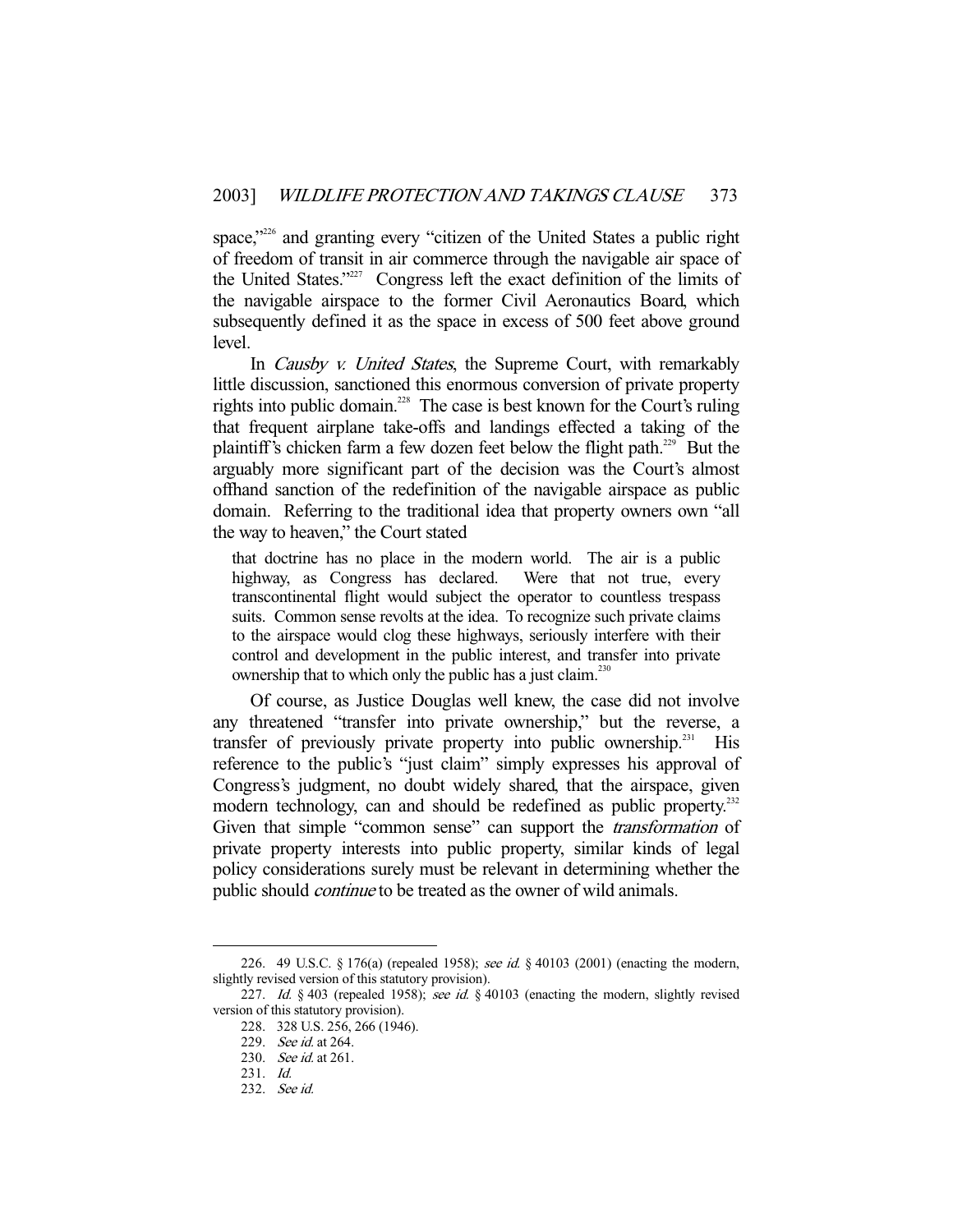space,"<sup>226</sup> and granting every "citizen of the United States a public right of freedom of transit in air commerce through the navigable air space of the United States."227 Congress left the exact definition of the limits of the navigable airspace to the former Civil Aeronautics Board, which subsequently defined it as the space in excess of 500 feet above ground level.

In *Causby v. United States*, the Supreme Court, with remarkably little discussion, sanctioned this enormous conversion of private property rights into public domain.<sup>228</sup> The case is best known for the Court's ruling that frequent airplane take-offs and landings effected a taking of the plaintiff's chicken farm a few dozen feet below the flight path.<sup>229</sup> But the arguably more significant part of the decision was the Court's almost offhand sanction of the redefinition of the navigable airspace as public domain. Referring to the traditional idea that property owners own "all the way to heaven," the Court stated

that doctrine has no place in the modern world. The air is a public highway, as Congress has declared. Were that not true, every transcontinental flight would subject the operator to countless trespass suits. Common sense revolts at the idea. To recognize such private claims to the airspace would clog these highways, seriously interfere with their control and development in the public interest, and transfer into private ownership that to which only the public has a just claim.<sup>230</sup>

 Of course, as Justice Douglas well knew, the case did not involve any threatened "transfer into private ownership," but the reverse, a transfer of previously private property into public ownership.<sup>231</sup> His reference to the public's "just claim" simply expresses his approval of Congress's judgment, no doubt widely shared, that the airspace, given modern technology, can and should be redefined as public property.<sup>232</sup> Given that simple "common sense" can support the *transformation* of private property interests into public property, similar kinds of legal policy considerations surely must be relevant in determining whether the public should *continue* to be treated as the owner of wild animals.

<sup>226. 49</sup> U.S.C. § 176(a) (repealed 1958); see id. § 40103 (2001) (enacting the modern, slightly revised version of this statutory provision).

<sup>227.</sup> Id. § 403 (repealed 1958); see id. § 40103 (enacting the modern, slightly revised version of this statutory provision).

 <sup>228. 328</sup> U.S. 256, 266 (1946).

 <sup>229.</sup> See id. at 264.

<sup>230.</sup> *See id.* at 261.

 <sup>231.</sup> Id.

 <sup>232.</sup> See id.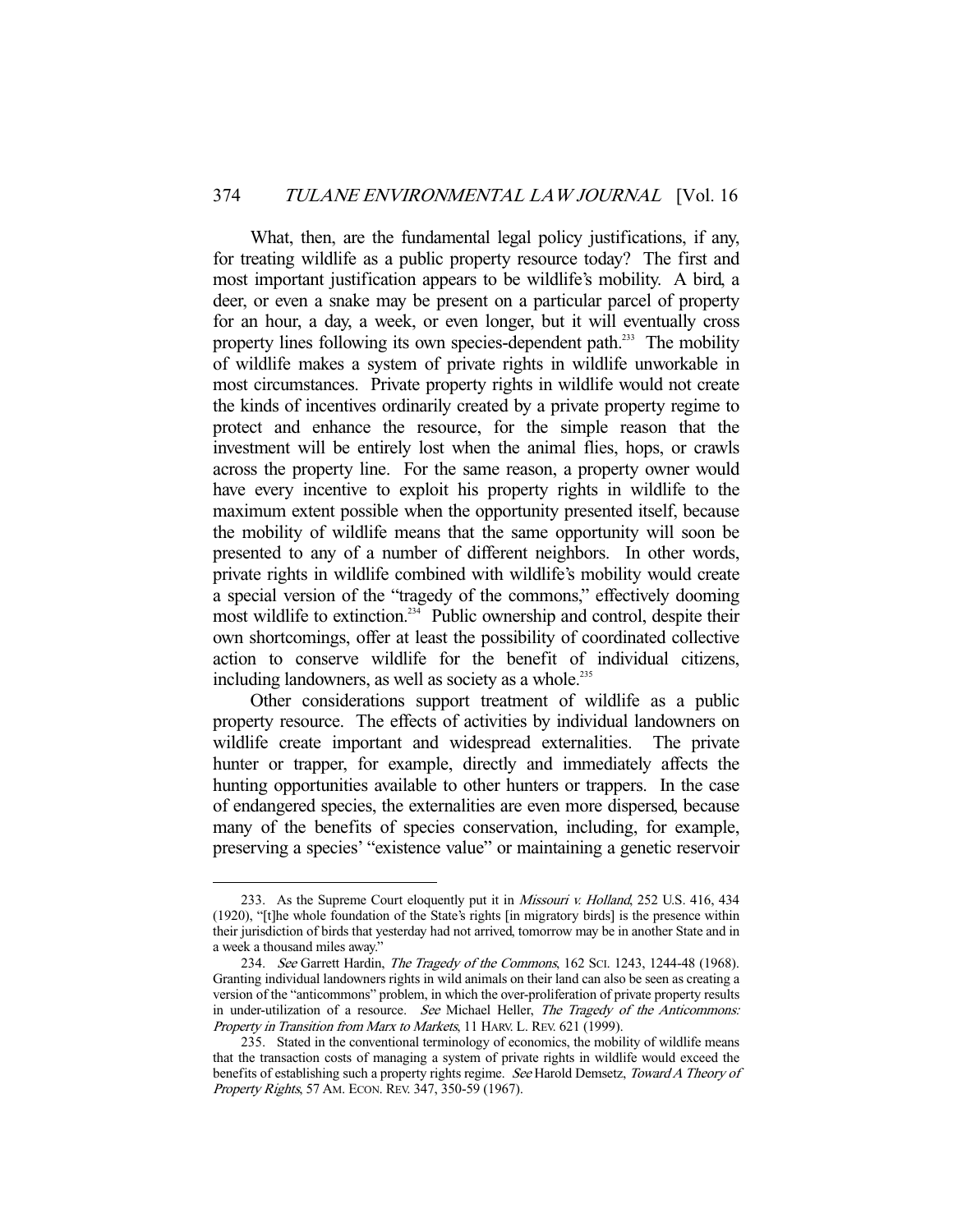What, then, are the fundamental legal policy justifications, if any, for treating wildlife as a public property resource today? The first and most important justification appears to be wildlife's mobility. A bird, a deer, or even a snake may be present on a particular parcel of property for an hour, a day, a week, or even longer, but it will eventually cross property lines following its own species-dependent path.<sup>233</sup> The mobility of wildlife makes a system of private rights in wildlife unworkable in most circumstances. Private property rights in wildlife would not create the kinds of incentives ordinarily created by a private property regime to protect and enhance the resource, for the simple reason that the investment will be entirely lost when the animal flies, hops, or crawls across the property line. For the same reason, a property owner would have every incentive to exploit his property rights in wildlife to the maximum extent possible when the opportunity presented itself, because the mobility of wildlife means that the same opportunity will soon be presented to any of a number of different neighbors. In other words, private rights in wildlife combined with wildlife's mobility would create a special version of the "tragedy of the commons," effectively dooming most wildlife to extinction.<sup>234</sup> Public ownership and control, despite their own shortcomings, offer at least the possibility of coordinated collective action to conserve wildlife for the benefit of individual citizens, including landowners, as well as society as a whole.<sup>235</sup>

 Other considerations support treatment of wildlife as a public property resource. The effects of activities by individual landowners on wildlife create important and widespread externalities. The private hunter or trapper, for example, directly and immediately affects the hunting opportunities available to other hunters or trappers. In the case of endangered species, the externalities are even more dispersed, because many of the benefits of species conservation, including, for example, preserving a species' "existence value" or maintaining a genetic reservoir

<sup>233.</sup> As the Supreme Court eloquently put it in *Missouri v. Holland*, 252 U.S. 416, 434 (1920), "[t]he whole foundation of the State's rights [in migratory birds] is the presence within their jurisdiction of birds that yesterday had not arrived, tomorrow may be in another State and in a week a thousand miles away."

 <sup>234.</sup> See Garrett Hardin, The Tragedy of the Commons, 162 SCI. 1243, 1244-48 (1968). Granting individual landowners rights in wild animals on their land can also be seen as creating a version of the "anticommons" problem, in which the over-proliferation of private property results in under-utilization of a resource. See Michael Heller, The Tragedy of the Anticommons: Property in Transition from Marx to Markets, 11 HARV. L. REV. 621 (1999).

 <sup>235.</sup> Stated in the conventional terminology of economics, the mobility of wildlife means that the transaction costs of managing a system of private rights in wildlife would exceed the benefits of establishing such a property rights regime. See Harold Demsetz, Toward A Theory of Property Rights, 57 AM. ECON. REV. 347, 350-59 (1967).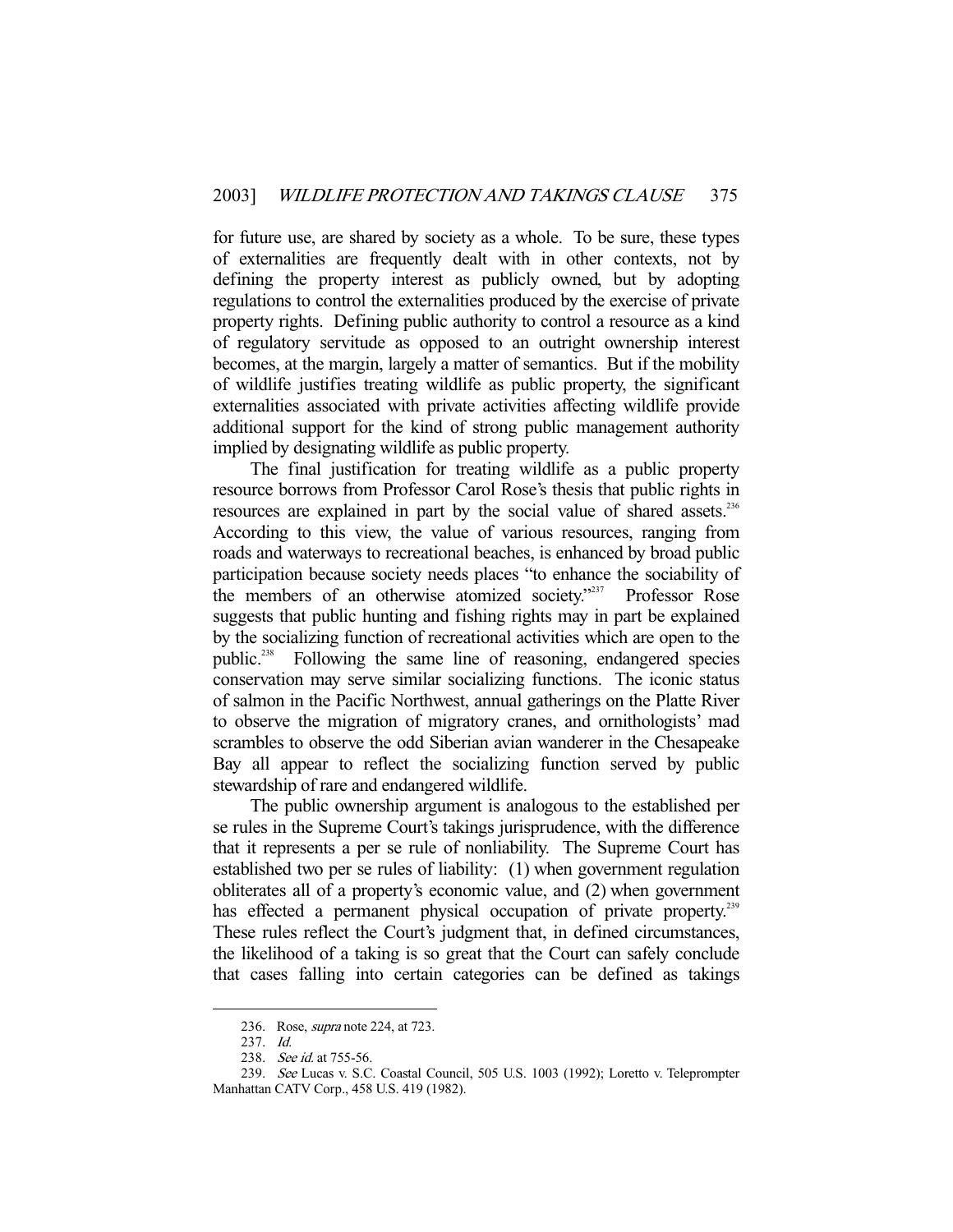for future use, are shared by society as a whole. To be sure, these types of externalities are frequently dealt with in other contexts, not by defining the property interest as publicly owned, but by adopting regulations to control the externalities produced by the exercise of private property rights. Defining public authority to control a resource as a kind of regulatory servitude as opposed to an outright ownership interest becomes, at the margin, largely a matter of semantics. But if the mobility of wildlife justifies treating wildlife as public property, the significant externalities associated with private activities affecting wildlife provide additional support for the kind of strong public management authority implied by designating wildlife as public property.

 The final justification for treating wildlife as a public property resource borrows from Professor Carol Rose's thesis that public rights in resources are explained in part by the social value of shared assets.<sup>236</sup> According to this view, the value of various resources, ranging from roads and waterways to recreational beaches, is enhanced by broad public participation because society needs places "to enhance the sociability of the members of an otherwise atomized society."<sup>237</sup> Professor Rose suggests that public hunting and fishing rights may in part be explained by the socializing function of recreational activities which are open to the public.238 Following the same line of reasoning, endangered species conservation may serve similar socializing functions. The iconic status of salmon in the Pacific Northwest, annual gatherings on the Platte River to observe the migration of migratory cranes, and ornithologists' mad scrambles to observe the odd Siberian avian wanderer in the Chesapeake Bay all appear to reflect the socializing function served by public stewardship of rare and endangered wildlife.

 The public ownership argument is analogous to the established per se rules in the Supreme Court's takings jurisprudence, with the difference that it represents a per se rule of nonliability. The Supreme Court has established two per se rules of liability: (1) when government regulation obliterates all of a property's economic value, and (2) when government has effected a permanent physical occupation of private property.<sup>239</sup> These rules reflect the Court's judgment that, in defined circumstances, the likelihood of a taking is so great that the Court can safely conclude that cases falling into certain categories can be defined as takings

<sup>236.</sup> Rose, *supra* note 224, at 723.

 <sup>237.</sup> Id.

<sup>238.</sup> See id. at 755-56.

 <sup>239.</sup> See Lucas v. S.C. Coastal Council, 505 U.S. 1003 (1992); Loretto v. Teleprompter Manhattan CATV Corp., 458 U.S. 419 (1982).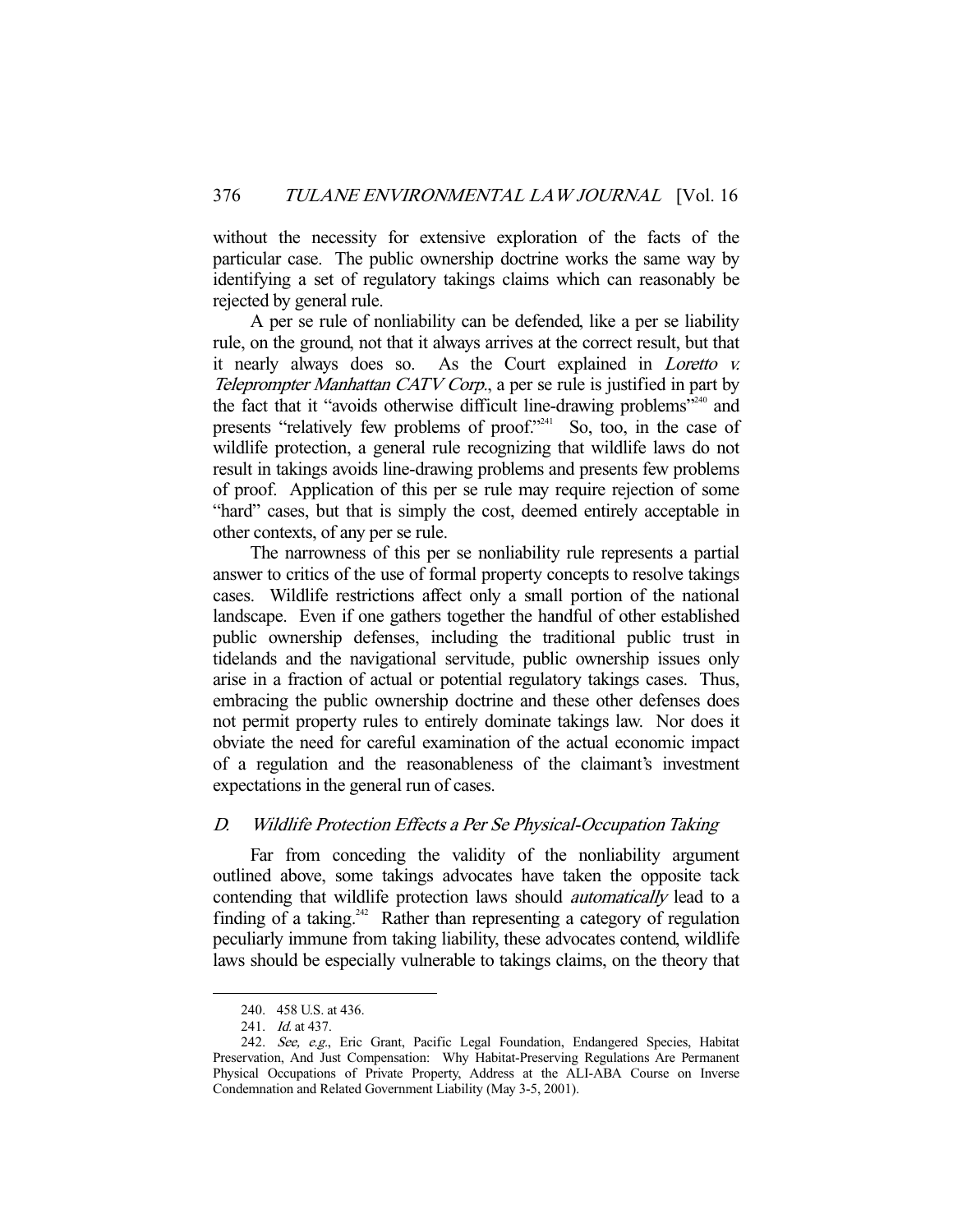without the necessity for extensive exploration of the facts of the particular case. The public ownership doctrine works the same way by identifying a set of regulatory takings claims which can reasonably be rejected by general rule.

 A per se rule of nonliability can be defended, like a per se liability rule, on the ground, not that it always arrives at the correct result, but that it nearly always does so. As the Court explained in Loretto v. Teleprompter Manhattan CATV Corp., a per se rule is justified in part by the fact that it "avoids otherwise difficult line-drawing problems"240 and presents "relatively few problems of proof."<sup>241</sup> So, too, in the case of wildlife protection, a general rule recognizing that wildlife laws do not result in takings avoids line-drawing problems and presents few problems of proof. Application of this per se rule may require rejection of some "hard" cases, but that is simply the cost, deemed entirely acceptable in other contexts, of any per se rule.

 The narrowness of this per se nonliability rule represents a partial answer to critics of the use of formal property concepts to resolve takings cases. Wildlife restrictions affect only a small portion of the national landscape. Even if one gathers together the handful of other established public ownership defenses, including the traditional public trust in tidelands and the navigational servitude, public ownership issues only arise in a fraction of actual or potential regulatory takings cases. Thus, embracing the public ownership doctrine and these other defenses does not permit property rules to entirely dominate takings law. Nor does it obviate the need for careful examination of the actual economic impact of a regulation and the reasonableness of the claimant's investment expectations in the general run of cases.

#### D. Wildlife Protection Effects a Per Se Physical-Occupation Taking

 Far from conceding the validity of the nonliability argument outlined above, some takings advocates have taken the opposite tack contending that wildlife protection laws should automatically lead to a finding of a taking.<sup>242</sup> Rather than representing a category of regulation peculiarly immune from taking liability, these advocates contend, wildlife laws should be especially vulnerable to takings claims, on the theory that

 <sup>240. 458</sup> U.S. at 436.

 <sup>241.</sup> Id. at 437.

<sup>242.</sup> See, e.g., Eric Grant, Pacific Legal Foundation, Endangered Species, Habitat Preservation, And Just Compensation: Why Habitat-Preserving Regulations Are Permanent Physical Occupations of Private Property, Address at the ALI-ABA Course on Inverse Condemnation and Related Government Liability (May 3-5, 2001).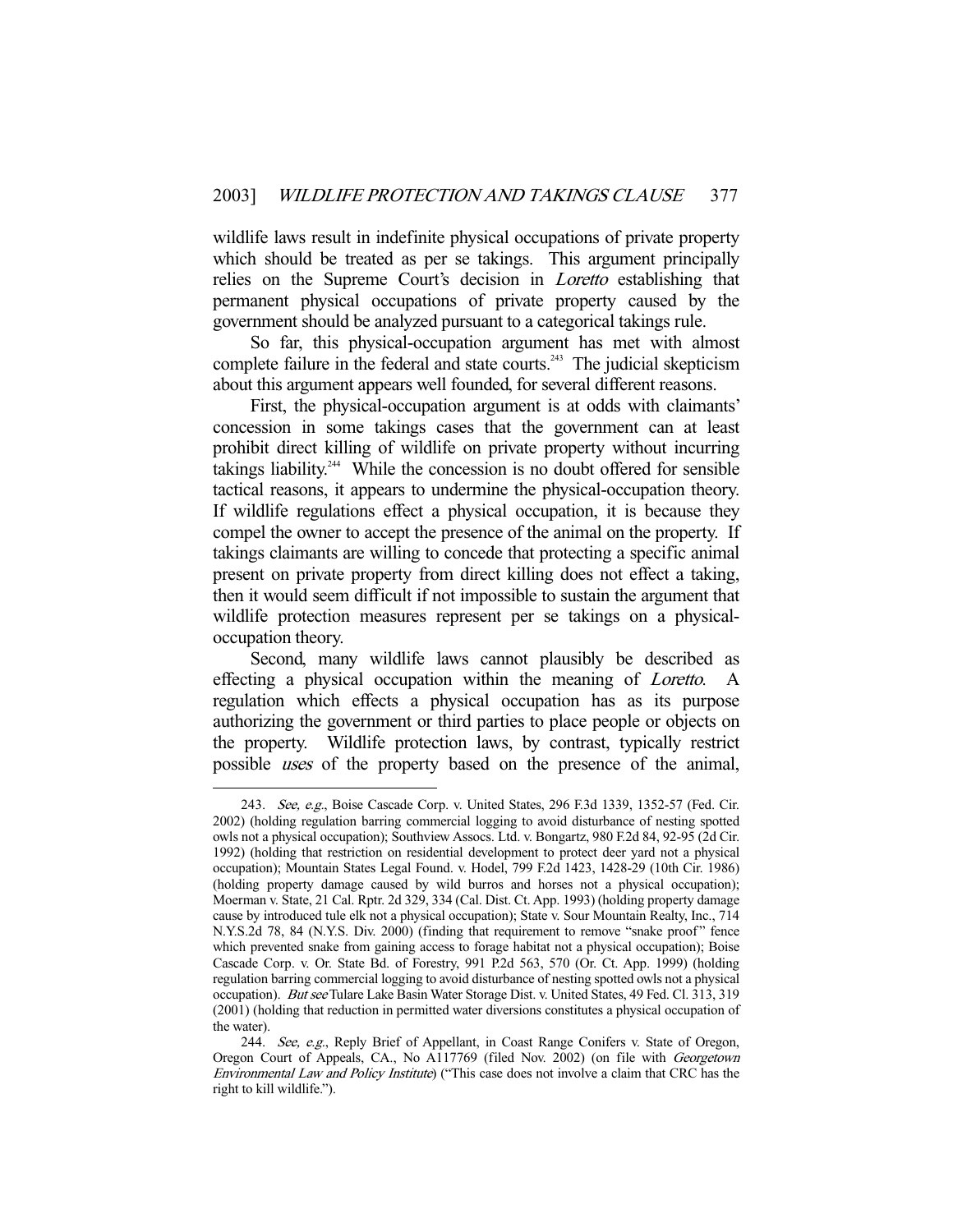wildlife laws result in indefinite physical occupations of private property which should be treated as per se takings. This argument principally relies on the Supreme Court's decision in *Loretto* establishing that permanent physical occupations of private property caused by the government should be analyzed pursuant to a categorical takings rule.

 So far, this physical-occupation argument has met with almost complete failure in the federal and state courts.<sup>243</sup> The judicial skepticism about this argument appears well founded, for several different reasons.

 First, the physical-occupation argument is at odds with claimants' concession in some takings cases that the government can at least prohibit direct killing of wildlife on private property without incurring takings liability.<sup>244</sup> While the concession is no doubt offered for sensible tactical reasons, it appears to undermine the physical-occupation theory. If wildlife regulations effect a physical occupation, it is because they compel the owner to accept the presence of the animal on the property. If takings claimants are willing to concede that protecting a specific animal present on private property from direct killing does not effect a taking, then it would seem difficult if not impossible to sustain the argument that wildlife protection measures represent per se takings on a physicaloccupation theory.

 Second, many wildlife laws cannot plausibly be described as effecting a physical occupation within the meaning of *Loretto*. regulation which effects a physical occupation has as its purpose authorizing the government or third parties to place people or objects on the property. Wildlife protection laws, by contrast, typically restrict possible uses of the property based on the presence of the animal,

<sup>243.</sup> See, e.g., Boise Cascade Corp. v. United States, 296 F.3d 1339, 1352-57 (Fed. Cir. 2002) (holding regulation barring commercial logging to avoid disturbance of nesting spotted owls not a physical occupation); Southview Assocs. Ltd. v. Bongartz, 980 F.2d 84, 92-95 (2d Cir. 1992) (holding that restriction on residential development to protect deer yard not a physical occupation); Mountain States Legal Found. v. Hodel, 799 F.2d 1423, 1428-29 (10th Cir. 1986) (holding property damage caused by wild burros and horses not a physical occupation); Moerman v. State, 21 Cal. Rptr. 2d 329, 334 (Cal. Dist. Ct. App. 1993) (holding property damage cause by introduced tule elk not a physical occupation); State v. Sour Mountain Realty, Inc., 714 N.Y.S.2d 78, 84 (N.Y.S. Div. 2000) (finding that requirement to remove "snake proof" fence which prevented snake from gaining access to forage habitat not a physical occupation); Boise Cascade Corp. v. Or. State Bd. of Forestry, 991 P.2d 563, 570 (Or. Ct. App. 1999) (holding regulation barring commercial logging to avoid disturbance of nesting spotted owls not a physical occupation). But see Tulare Lake Basin Water Storage Dist. v. United States, 49 Fed. Cl. 313, 319 (2001) (holding that reduction in permitted water diversions constitutes a physical occupation of the water).

<sup>244.</sup> See, e.g., Reply Brief of Appellant, in Coast Range Conifers v. State of Oregon, Oregon Court of Appeals, CA., No A117769 (filed Nov. 2002) (on file with Georgetown Environmental Law and Policy Institute) ("This case does not involve a claim that CRC has the right to kill wildlife.").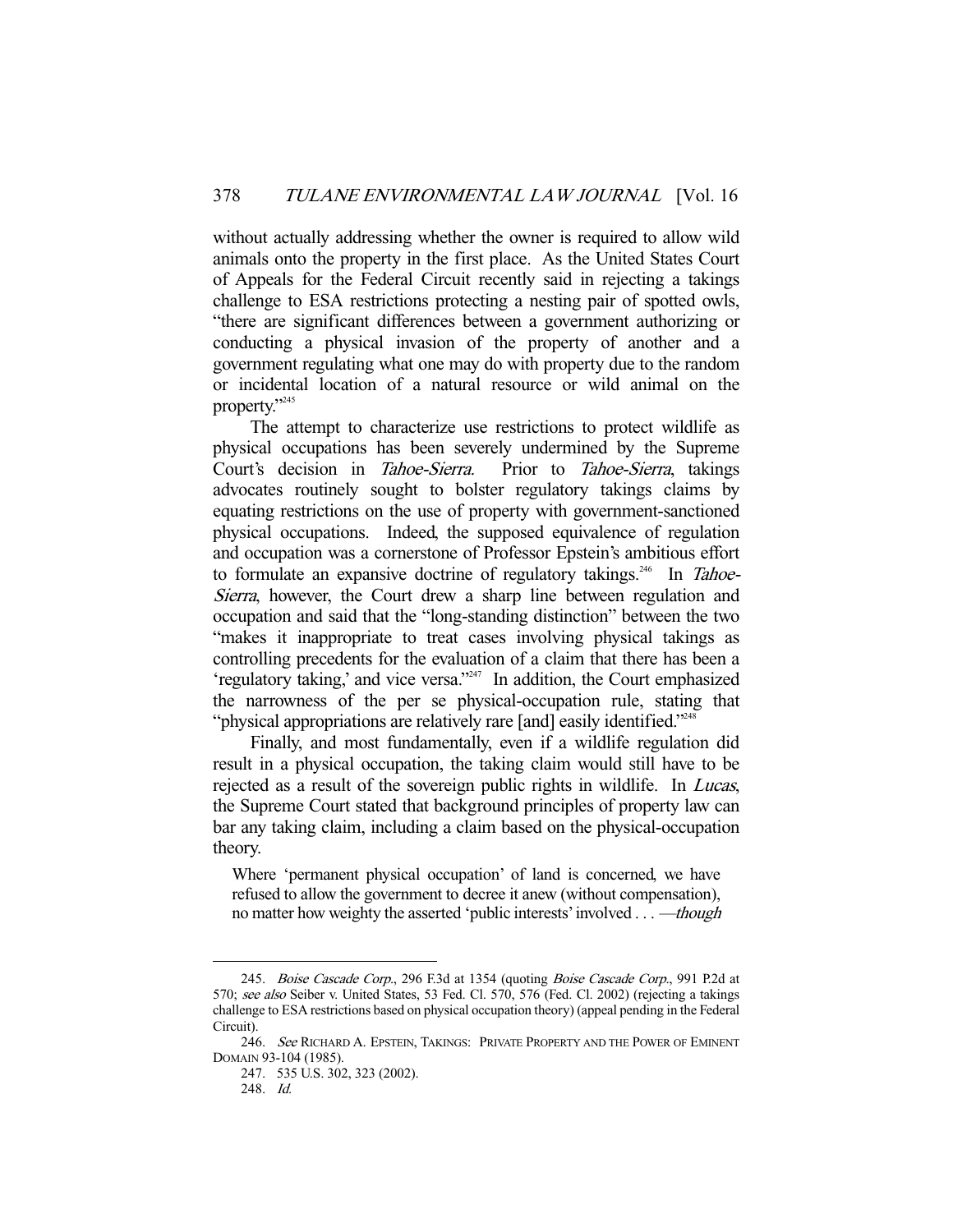without actually addressing whether the owner is required to allow wild animals onto the property in the first place. As the United States Court of Appeals for the Federal Circuit recently said in rejecting a takings challenge to ESA restrictions protecting a nesting pair of spotted owls, "there are significant differences between a government authorizing or conducting a physical invasion of the property of another and a government regulating what one may do with property due to the random or incidental location of a natural resource or wild animal on the property."245

 The attempt to characterize use restrictions to protect wildlife as physical occupations has been severely undermined by the Supreme Court's decision in Tahoe-Sierra. Prior to Tahoe-Sierra, takings advocates routinely sought to bolster regulatory takings claims by equating restrictions on the use of property with government-sanctioned physical occupations. Indeed, the supposed equivalence of regulation and occupation was a cornerstone of Professor Epstein's ambitious effort to formulate an expansive doctrine of regulatory takings.<sup>246</sup> In Tahoe-Sierra, however, the Court drew a sharp line between regulation and occupation and said that the "long-standing distinction" between the two "makes it inappropriate to treat cases involving physical takings as controlling precedents for the evaluation of a claim that there has been a 'regulatory taking,' and vice versa."247 In addition, the Court emphasized the narrowness of the per se physical-occupation rule, stating that "physical appropriations are relatively rare [and] easily identified."<sup>248</sup>

 Finally, and most fundamentally, even if a wildlife regulation did result in a physical occupation, the taking claim would still have to be rejected as a result of the sovereign public rights in wildlife. In Lucas, the Supreme Court stated that background principles of property law can bar any taking claim, including a claim based on the physical-occupation theory.

Where 'permanent physical occupation' of land is concerned, we have refused to allow the government to decree it anew (without compensation), no matter how weighty the asserted 'public interests' involved . . . —though

<sup>245.</sup> Boise Cascade Corp., 296 F.3d at 1354 (quoting Boise Cascade Corp., 991 P.2d at 570; see also Seiber v. United States, 53 Fed. Cl. 570, 576 (Fed. Cl. 2002) (rejecting a takings challenge to ESA restrictions based on physical occupation theory) (appeal pending in the Federal Circuit).

<sup>246.</sup> See RICHARD A. EPSTEIN, TAKINGS: PRIVATE PROPERTY AND THE POWER OF EMINENT DOMAIN 93-104 (1985).

 <sup>247. 535</sup> U.S. 302, 323 (2002).

 <sup>248.</sup> Id.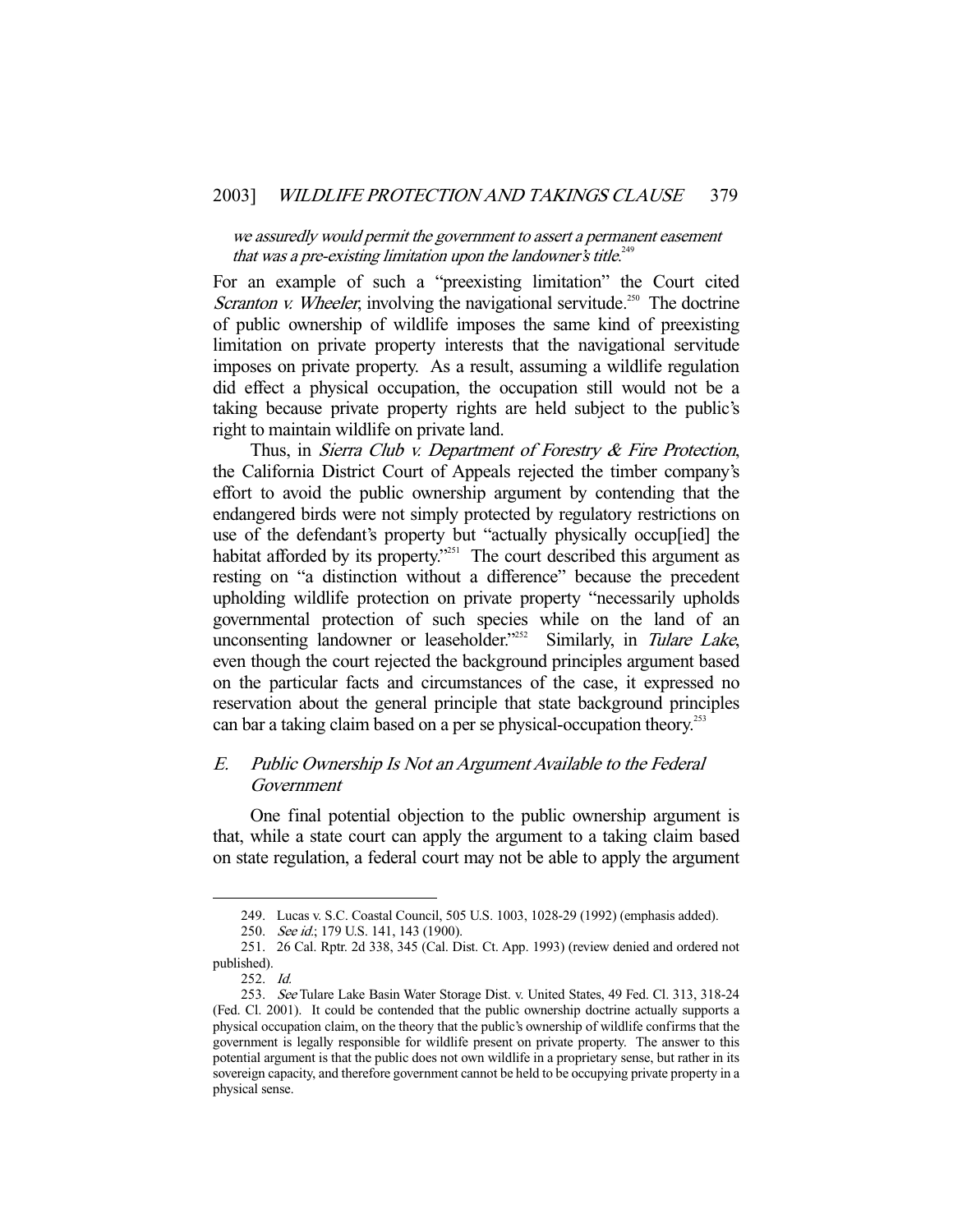we assuredly would permit the government to assert a permanent easement that was a pre-existing limitation upon the landowner's title.<sup>249</sup>

For an example of such a "preexisting limitation" the Court cited Scranton v. Wheeler, involving the navigational servitude.<sup>250</sup> The doctrine of public ownership of wildlife imposes the same kind of preexisting limitation on private property interests that the navigational servitude imposes on private property. As a result, assuming a wildlife regulation did effect a physical occupation, the occupation still would not be a taking because private property rights are held subject to the public's right to maintain wildlife on private land.

Thus, in Sierra Club v. Department of Forestry & Fire Protection, the California District Court of Appeals rejected the timber company's effort to avoid the public ownership argument by contending that the endangered birds were not simply protected by regulatory restrictions on use of the defendant's property but "actually physically occup[ied] the habitat afforded by its property.<sup>"251</sup> The court described this argument as resting on "a distinction without a difference" because the precedent upholding wildlife protection on private property "necessarily upholds governmental protection of such species while on the land of an unconsenting landowner or leaseholder.<sup>2252</sup> Similarly, in Tulare Lake, even though the court rejected the background principles argument based on the particular facts and circumstances of the case, it expressed no reservation about the general principle that state background principles can bar a taking claim based on a per se physical-occupation theory.<sup>253</sup>

## E. Public Ownership Is Not an Argument Available to the Federal Government

 One final potential objection to the public ownership argument is that, while a state court can apply the argument to a taking claim based on state regulation, a federal court may not be able to apply the argument

 <sup>249.</sup> Lucas v. S.C. Coastal Council, 505 U.S. 1003, 1028-29 (1992) (emphasis added).

<sup>250.</sup> See id.; 179 U.S. 141, 143 (1900).

 <sup>251. 26</sup> Cal. Rptr. 2d 338, 345 (Cal. Dist. Ct. App. 1993) (review denied and ordered not published).

 <sup>252.</sup> Id.

<sup>253.</sup> See Tulare Lake Basin Water Storage Dist. v. United States, 49 Fed. Cl. 313, 318-24 (Fed. Cl. 2001). It could be contended that the public ownership doctrine actually supports a physical occupation claim, on the theory that the public's ownership of wildlife confirms that the government is legally responsible for wildlife present on private property. The answer to this potential argument is that the public does not own wildlife in a proprietary sense, but rather in its sovereign capacity, and therefore government cannot be held to be occupying private property in a physical sense.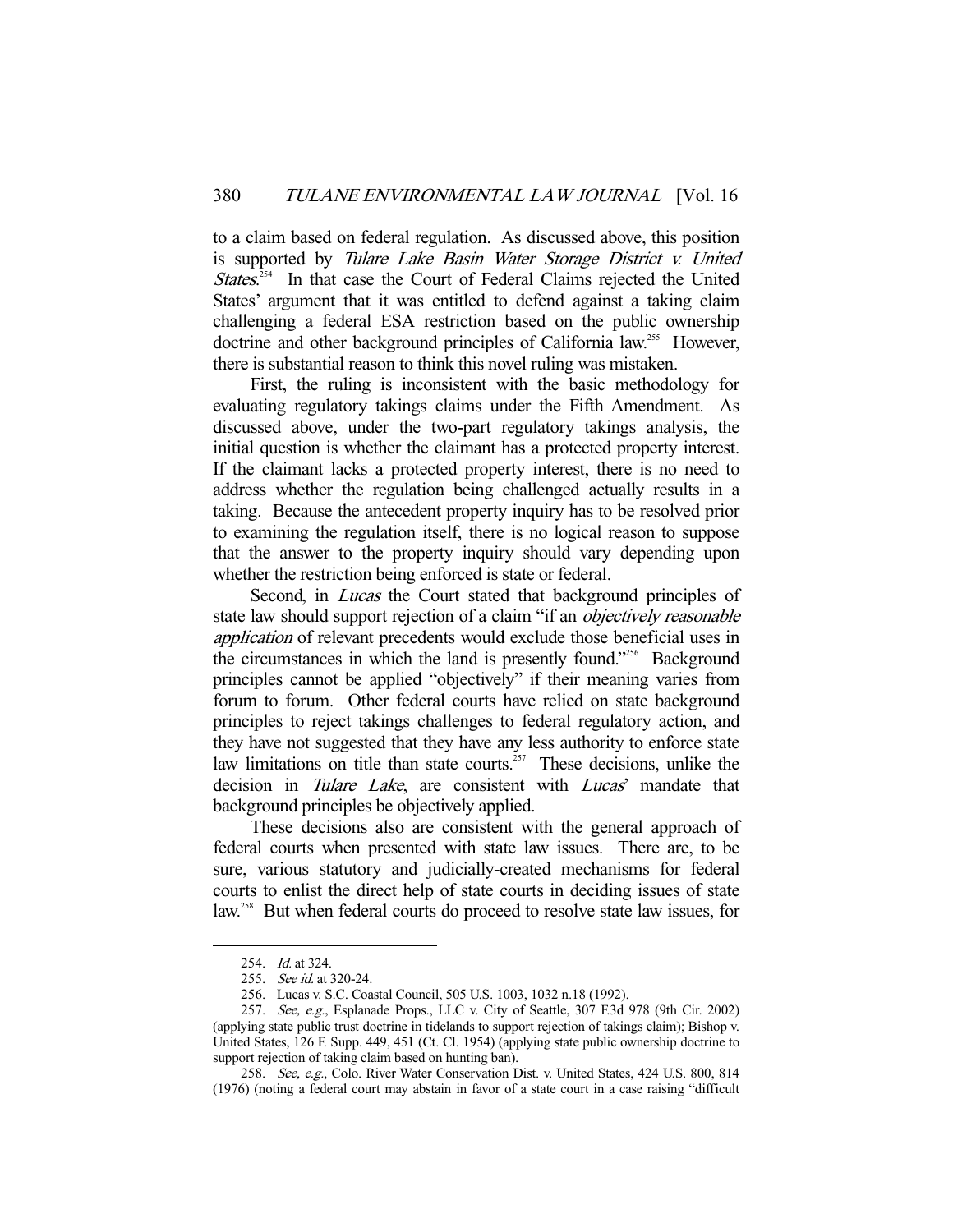to a claim based on federal regulation. As discussed above, this position is supported by Tulare Lake Basin Water Storage District v. United States.<sup>254</sup> In that case the Court of Federal Claims rejected the United States' argument that it was entitled to defend against a taking claim challenging a federal ESA restriction based on the public ownership doctrine and other background principles of California law.<sup>255</sup> However, there is substantial reason to think this novel ruling was mistaken.

 First, the ruling is inconsistent with the basic methodology for evaluating regulatory takings claims under the Fifth Amendment. As discussed above, under the two-part regulatory takings analysis, the initial question is whether the claimant has a protected property interest. If the claimant lacks a protected property interest, there is no need to address whether the regulation being challenged actually results in a taking. Because the antecedent property inquiry has to be resolved prior to examining the regulation itself, there is no logical reason to suppose that the answer to the property inquiry should vary depending upon whether the restriction being enforced is state or federal.

Second, in *Lucas* the Court stated that background principles of state law should support rejection of a claim "if an *objectively reasonable* application of relevant precedents would exclude those beneficial uses in the circumstances in which the land is presently found."256 Background principles cannot be applied "objectively" if their meaning varies from forum to forum. Other federal courts have relied on state background principles to reject takings challenges to federal regulatory action, and they have not suggested that they have any less authority to enforce state law limitations on title than state courts.<sup> $257$ </sup> These decisions, unlike the decision in Tulare Lake, are consistent with Lucas' mandate that background principles be objectively applied.

 These decisions also are consistent with the general approach of federal courts when presented with state law issues. There are, to be sure, various statutory and judicially-created mechanisms for federal courts to enlist the direct help of state courts in deciding issues of state law.<sup>258</sup> But when federal courts do proceed to resolve state law issues, for

<sup>254.</sup> *Id.* at 324.

 <sup>255.</sup> See id. at 320-24.

 <sup>256.</sup> Lucas v. S.C. Coastal Council, 505 U.S. 1003, 1032 n.18 (1992).

<sup>257.</sup> See, e.g., Esplanade Props., LLC v. City of Seattle, 307 F.3d 978 (9th Cir. 2002) (applying state public trust doctrine in tidelands to support rejection of takings claim); Bishop v. United States, 126 F. Supp. 449, 451 (Ct. Cl. 1954) (applying state public ownership doctrine to support rejection of taking claim based on hunting ban).

<sup>258.</sup> See, e.g., Colo. River Water Conservation Dist. v. United States, 424 U.S. 800, 814 (1976) (noting a federal court may abstain in favor of a state court in a case raising "difficult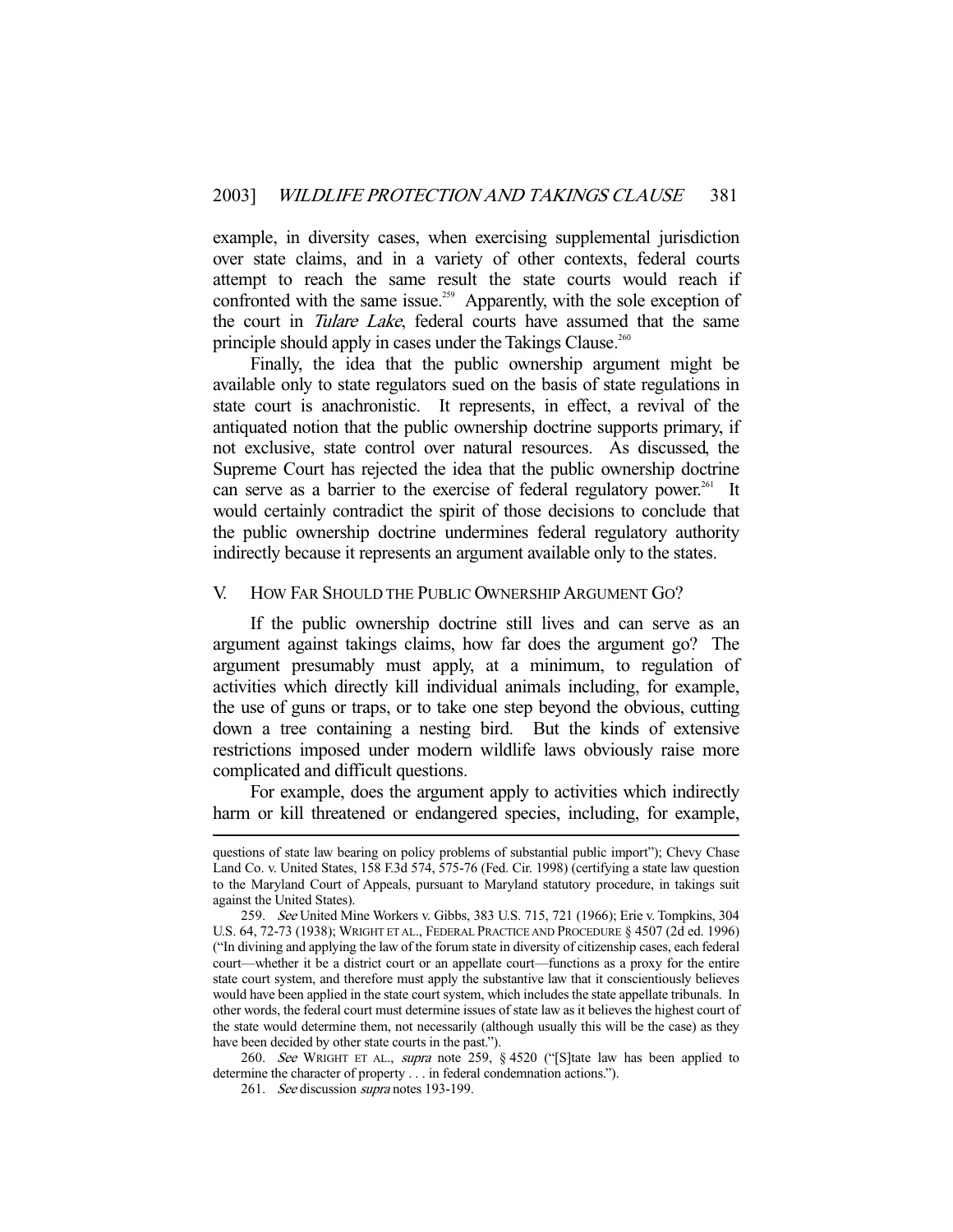example, in diversity cases, when exercising supplemental jurisdiction over state claims, and in a variety of other contexts, federal courts attempt to reach the same result the state courts would reach if confronted with the same issue.<sup>259</sup> Apparently, with the sole exception of the court in *Tulare Lake*, federal courts have assumed that the same principle should apply in cases under the Takings Clause.<sup>260</sup>

 Finally, the idea that the public ownership argument might be available only to state regulators sued on the basis of state regulations in state court is anachronistic. It represents, in effect, a revival of the antiquated notion that the public ownership doctrine supports primary, if not exclusive, state control over natural resources. As discussed, the Supreme Court has rejected the idea that the public ownership doctrine can serve as a barrier to the exercise of federal regulatory power.<sup>261</sup> It would certainly contradict the spirit of those decisions to conclude that the public ownership doctrine undermines federal regulatory authority indirectly because it represents an argument available only to the states.

#### V. HOW FAR SHOULD THE PUBLIC OWNERSHIP ARGUMENT GO?

 If the public ownership doctrine still lives and can serve as an argument against takings claims, how far does the argument go? The argument presumably must apply, at a minimum, to regulation of activities which directly kill individual animals including, for example, the use of guns or traps, or to take one step beyond the obvious, cutting down a tree containing a nesting bird. But the kinds of extensive restrictions imposed under modern wildlife laws obviously raise more complicated and difficult questions.

 For example, does the argument apply to activities which indirectly harm or kill threatened or endangered species, including, for example,

260. See WRIGHT ET AL., supra note 259, § 4520 ("[S]tate law has been applied to determine the character of property . . . in federal condemnation actions.").

questions of state law bearing on policy problems of substantial public import"); Chevy Chase Land Co. v. United States, 158 F.3d 574, 575-76 (Fed. Cir. 1998) (certifying a state law question to the Maryland Court of Appeals, pursuant to Maryland statutory procedure, in takings suit against the United States).

 <sup>259.</sup> See United Mine Workers v. Gibbs, 383 U.S. 715, 721 (1966); Erie v. Tompkins, 304 U.S. 64, 72-73 (1938); WRIGHT ET AL., FEDERAL PRACTICE AND PROCEDURE § 4507 (2d ed. 1996) ("In divining and applying the law of the forum state in diversity of citizenship cases, each federal court—whether it be a district court or an appellate court—functions as a proxy for the entire state court system, and therefore must apply the substantive law that it conscientiously believes would have been applied in the state court system, which includes the state appellate tribunals. In other words, the federal court must determine issues of state law as it believes the highest court of the state would determine them, not necessarily (although usually this will be the case) as they have been decided by other state courts in the past.").

<sup>261.</sup> See discussion *supra* notes 193-199.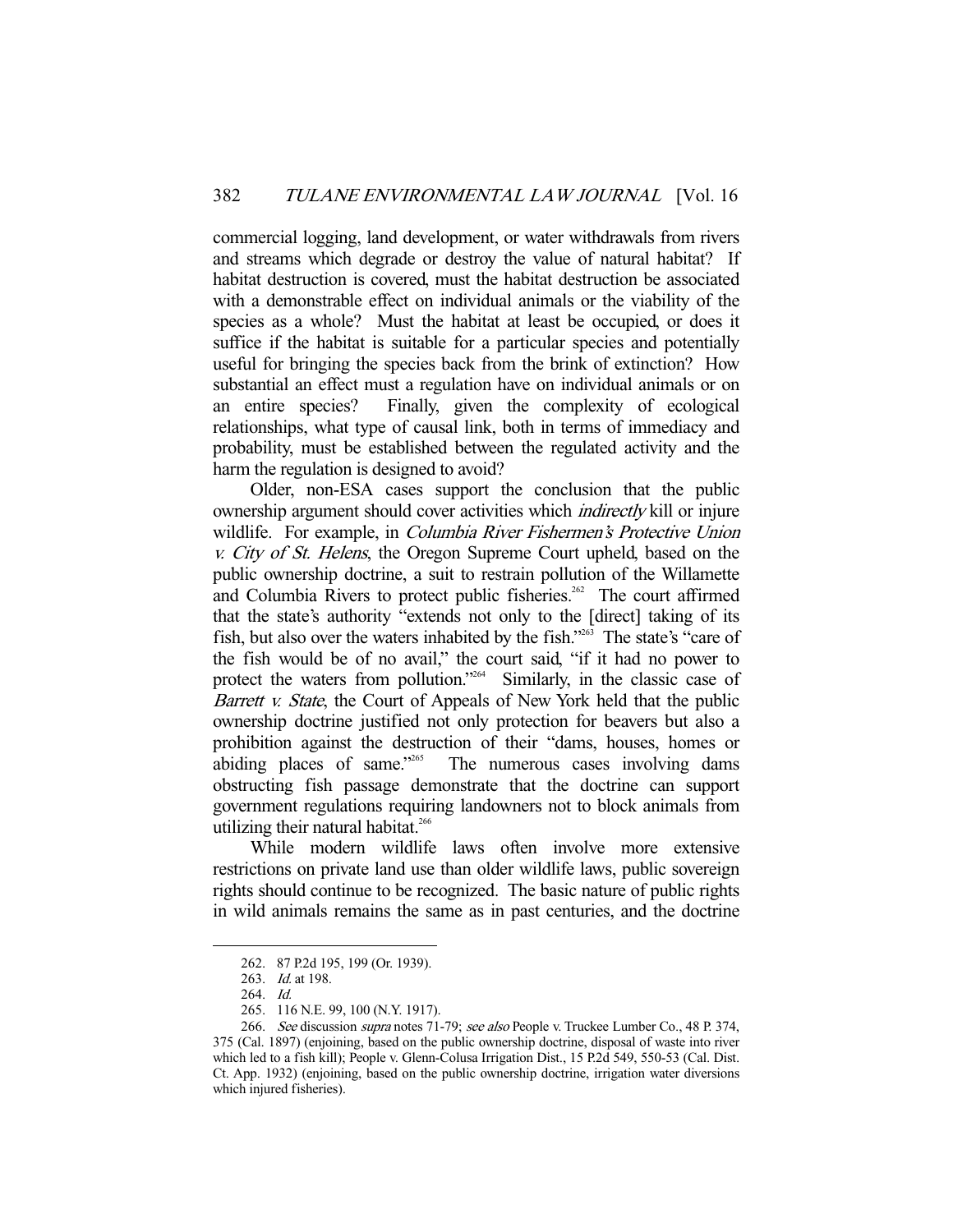commercial logging, land development, or water withdrawals from rivers and streams which degrade or destroy the value of natural habitat? If habitat destruction is covered, must the habitat destruction be associated with a demonstrable effect on individual animals or the viability of the species as a whole? Must the habitat at least be occupied, or does it suffice if the habitat is suitable for a particular species and potentially useful for bringing the species back from the brink of extinction? How substantial an effect must a regulation have on individual animals or on an entire species? Finally, given the complexity of ecological relationships, what type of causal link, both in terms of immediacy and probability, must be established between the regulated activity and the harm the regulation is designed to avoid?

 Older, non-ESA cases support the conclusion that the public ownership argument should cover activities which indirectly kill or injure wildlife. For example, in *Columbia River Fishermen's Protective Union* v. City of St. Helens, the Oregon Supreme Court upheld, based on the public ownership doctrine, a suit to restrain pollution of the Willamette and Columbia Rivers to protect public fisheries.<sup>262</sup> The court affirmed that the state's authority "extends not only to the [direct] taking of its fish, but also over the waters inhabited by the fish."263 The state's "care of the fish would be of no avail," the court said, "if it had no power to protect the waters from pollution."<sup>264</sup> Similarly, in the classic case of Barrett v. State, the Court of Appeals of New York held that the public ownership doctrine justified not only protection for beavers but also a prohibition against the destruction of their "dams, houses, homes or abiding places of same."<sup>265</sup> The numerous cases involving dams The numerous cases involving dams obstructing fish passage demonstrate that the doctrine can support government regulations requiring landowners not to block animals from utilizing their natural habitat.<sup>266</sup>

 While modern wildlife laws often involve more extensive restrictions on private land use than older wildlife laws, public sovereign rights should continue to be recognized. The basic nature of public rights in wild animals remains the same as in past centuries, and the doctrine

 <sup>262. 87</sup> P.2d 195, 199 (Or. 1939).

 <sup>263.</sup> Id. at 198.

 <sup>264.</sup> Id.

 <sup>265. 116</sup> N.E. 99, 100 (N.Y. 1917).

<sup>266.</sup> See discussion *supra* notes 71-79; see also People v. Truckee Lumber Co., 48 P. 374, 375 (Cal. 1897) (enjoining, based on the public ownership doctrine, disposal of waste into river which led to a fish kill); People v. Glenn-Colusa Irrigation Dist., 15 P.2d 549, 550-53 (Cal. Dist. Ct. App. 1932) (enjoining, based on the public ownership doctrine, irrigation water diversions which injured fisheries).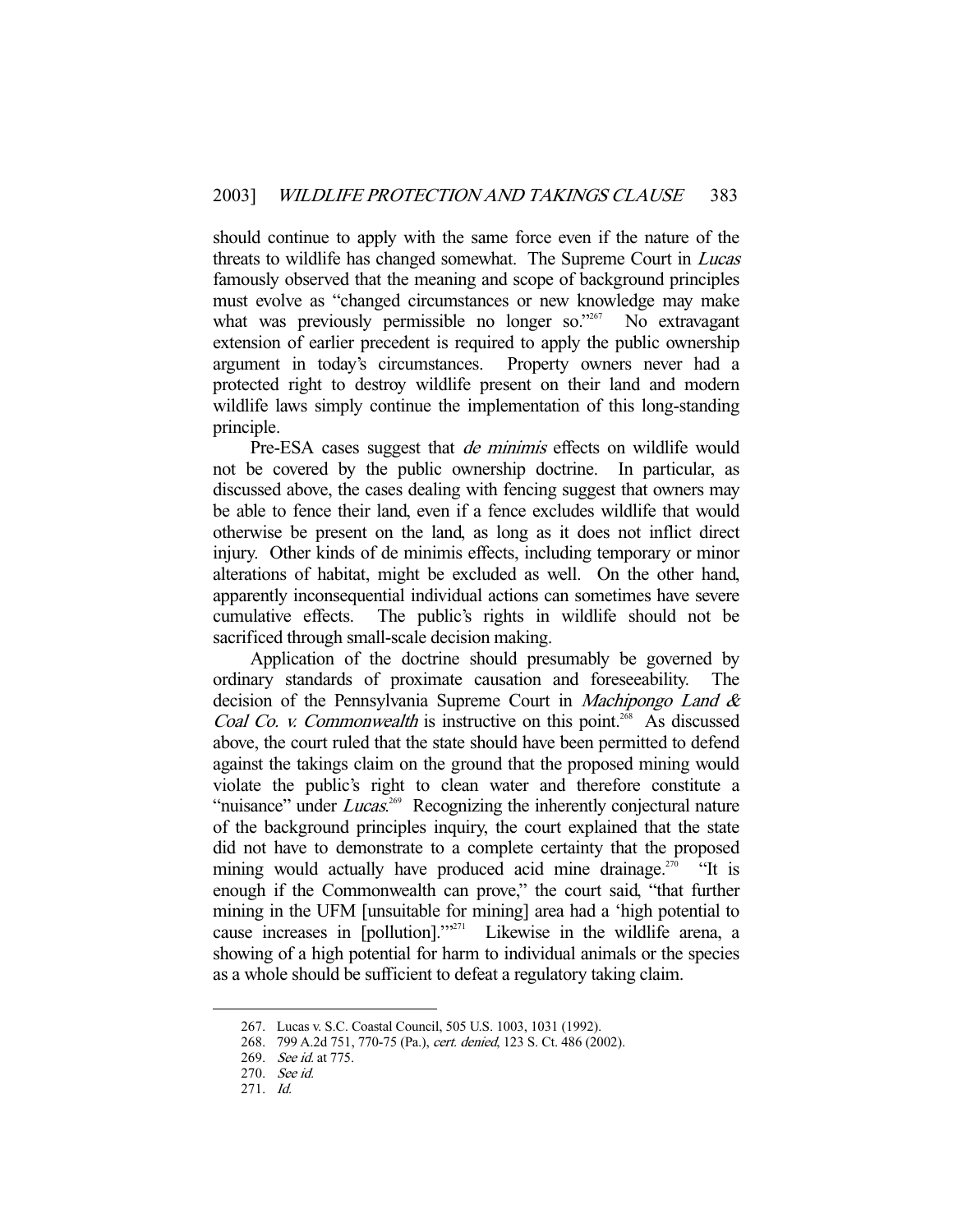should continue to apply with the same force even if the nature of the threats to wildlife has changed somewhat. The Supreme Court in Lucas famously observed that the meaning and scope of background principles must evolve as "changed circumstances or new knowledge may make what was previously permissible no longer so."<sup>267</sup> No extravagant extension of earlier precedent is required to apply the public ownership argument in today's circumstances. Property owners never had a protected right to destroy wildlife present on their land and modern wildlife laws simply continue the implementation of this long-standing principle.

Pre-ESA cases suggest that *de minimis* effects on wildlife would not be covered by the public ownership doctrine. In particular, as discussed above, the cases dealing with fencing suggest that owners may be able to fence their land, even if a fence excludes wildlife that would otherwise be present on the land, as long as it does not inflict direct injury. Other kinds of de minimis effects, including temporary or minor alterations of habitat, might be excluded as well. On the other hand, apparently inconsequential individual actions can sometimes have severe cumulative effects. The public's rights in wildlife should not be sacrificed through small-scale decision making.

 Application of the doctrine should presumably be governed by ordinary standards of proximate causation and foreseeability. The decision of the Pennsylvania Supreme Court in *Machipongo Land &* Coal Co. v. Commonwealth is instructive on this point.<sup>268</sup> As discussed above, the court ruled that the state should have been permitted to defend against the takings claim on the ground that the proposed mining would violate the public's right to clean water and therefore constitute a "nuisance" under *Lucas*.<sup>269</sup> Recognizing the inherently conjectural nature of the background principles inquiry, the court explained that the state did not have to demonstrate to a complete certainty that the proposed mining would actually have produced acid mine drainage.<sup>270</sup> "It is enough if the Commonwealth can prove," the court said, "that further mining in the UFM [unsuitable for mining] area had a 'high potential to cause increases in [pollution].'"271 Likewise in the wildlife arena, a showing of a high potential for harm to individual animals or the species as a whole should be sufficient to defeat a regulatory taking claim.

 <sup>267.</sup> Lucas v. S.C. Coastal Council, 505 U.S. 1003, 1031 (1992).

 <sup>268. 799</sup> A.2d 751, 770-75 (Pa.), cert. denied, 123 S. Ct. 486 (2002).

 <sup>269.</sup> See id. at 775.

 <sup>270.</sup> See id.

 <sup>271.</sup> Id.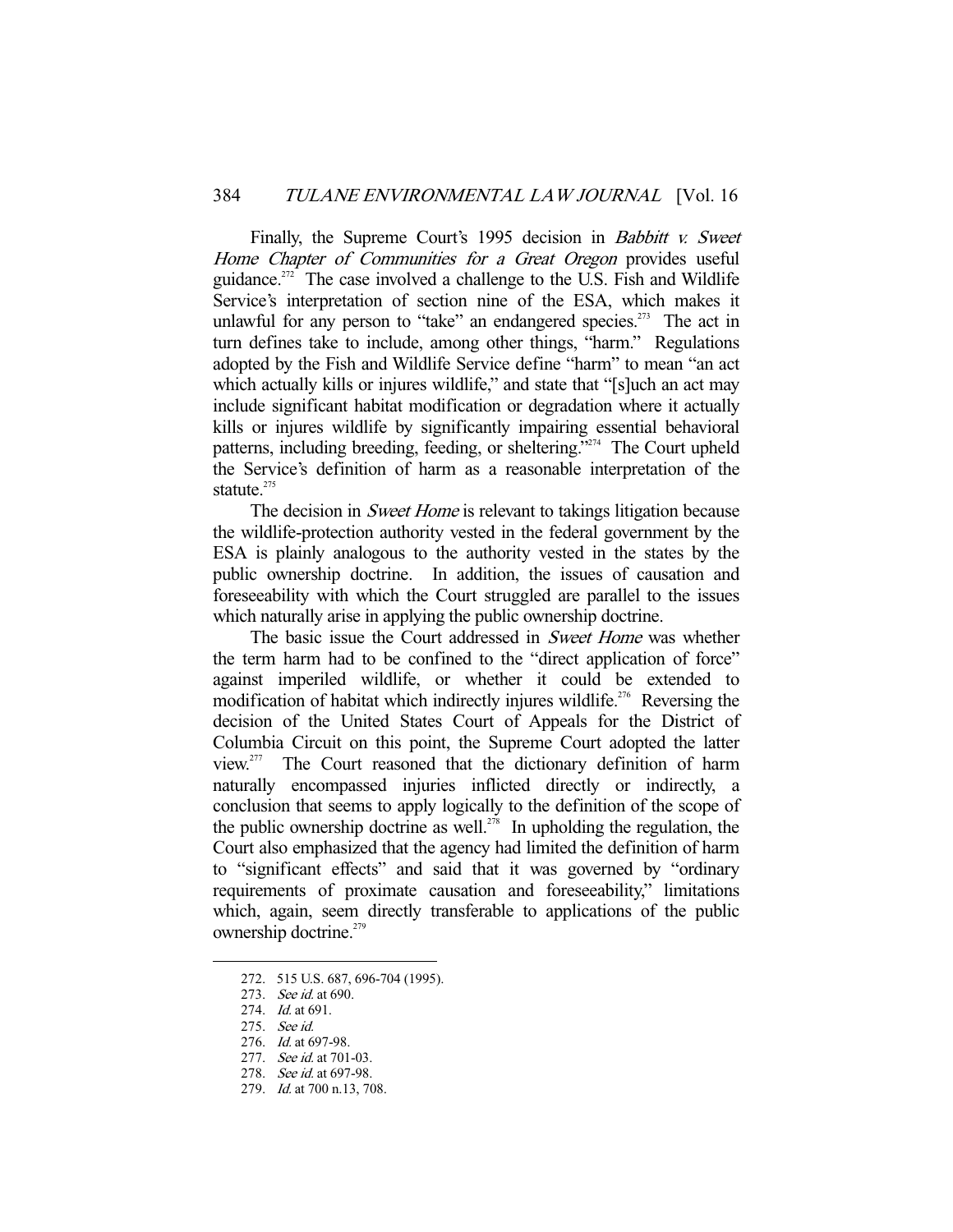Finally, the Supreme Court's 1995 decision in *Babbitt v. Sweet* Home Chapter of Communities for a Great Oregon provides useful guidance.<sup>272</sup> The case involved a challenge to the U.S. Fish and Wildlife Service's interpretation of section nine of the ESA, which makes it unlawful for any person to "take" an endangered species.<sup>273</sup> The act in turn defines take to include, among other things, "harm." Regulations adopted by the Fish and Wildlife Service define "harm" to mean "an act which actually kills or injures wildlife," and state that "[s]uch an act may include significant habitat modification or degradation where it actually kills or injures wildlife by significantly impairing essential behavioral patterns, including breeding, feeding, or sheltering."274 The Court upheld the Service's definition of harm as a reasonable interpretation of the statute.<sup>275</sup>

The decision in *Sweet Home* is relevant to takings litigation because the wildlife-protection authority vested in the federal government by the ESA is plainly analogous to the authority vested in the states by the public ownership doctrine. In addition, the issues of causation and foreseeability with which the Court struggled are parallel to the issues which naturally arise in applying the public ownership doctrine.

The basic issue the Court addressed in *Sweet Home* was whether the term harm had to be confined to the "direct application of force" against imperiled wildlife, or whether it could be extended to modification of habitat which indirectly injures wildlife.<sup>276</sup> Reversing the decision of the United States Court of Appeals for the District of Columbia Circuit on this point, the Supreme Court adopted the latter view.277 The Court reasoned that the dictionary definition of harm naturally encompassed injuries inflicted directly or indirectly, a conclusion that seems to apply logically to the definition of the scope of the public ownership doctrine as well.<sup>278</sup> In upholding the regulation, the Court also emphasized that the agency had limited the definition of harm to "significant effects" and said that it was governed by "ordinary requirements of proximate causation and foreseeability," limitations which, again, seem directly transferable to applications of the public ownership doctrine.<sup>279</sup>

-

275. See id.

 <sup>272. 515</sup> U.S. 687, 696-704 (1995).

<sup>273.</sup> *See id.* at 690.

<sup>274.</sup> *Id.* at 691.

 <sup>276.</sup> Id. at 697-98.

<sup>277.</sup> See id. at 701-03.

 <sup>278.</sup> See id. at 697-98.

 <sup>279.</sup> Id. at 700 n.13, 708.